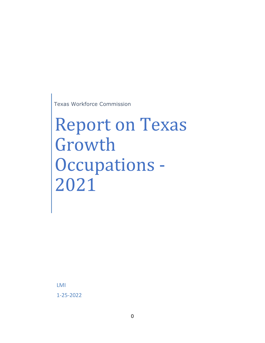Texas Workforce Commission

# Report on Texas Growth Occupations - 2021

LMI 1-25-2022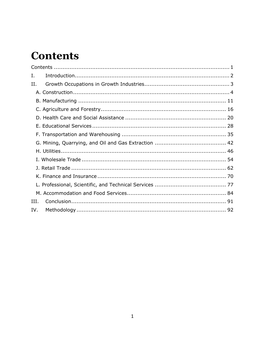## <span id="page-1-0"></span>**Contents**

| Ι.   |  |
|------|--|
| Н.   |  |
|      |  |
|      |  |
|      |  |
|      |  |
|      |  |
|      |  |
|      |  |
|      |  |
|      |  |
|      |  |
|      |  |
|      |  |
|      |  |
| III. |  |
| IV.  |  |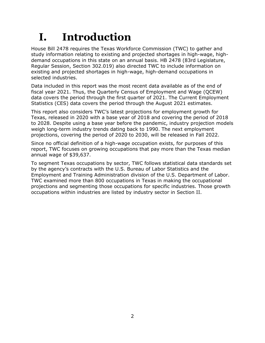# <span id="page-2-0"></span>**I. Introduction**

House Bill 2478 requires the Texas Workforce Commission (TWC) to gather and study information relating to existing and projected shortages in high-wage, highdemand occupations in this state on an annual basis. HB 2478 (83rd Legislature, Regular Session, Section 302.019) also directed TWC to include information on existing and projected shortages in high-wage, high-demand occupations in selected industries.

Data included in this report was the most recent data available as of the end of fiscal year 2021. Thus, the Quarterly Census of Employment and Wage (QCEW) data covers the period through the first quarter of 2021. The Current Employment Statistics (CES) data covers the period through the August 2021 estimates.

This report also considers TWC's latest projections for employment growth for Texas, released in 2020 with a base year of 2018 and covering the period of 2018 to 2028. Despite using a base year before the pandemic, industry projection models weigh long-term industry trends dating back to 1990. The next employment projections, covering the period of 2020 to 2030, will be released in Fall 2022.

Since no official definition of a high-wage occupation exists, for purposes of this report, TWC focuses on growing occupations that pay more than the Texas median annual wage of \$39,637.

To segment Texas occupations by sector, TWC follows statistical data standards set by the agency's contracts with the U.S. Bureau of Labor Statistics and the Employment and Training Administration division of the U.S. Department of Labor. TWC examined more than 800 occupations in Texas in making the occupational projections and segmenting those occupations for specific industries. Those growth occupations within industries are listed by industry sector in Section II.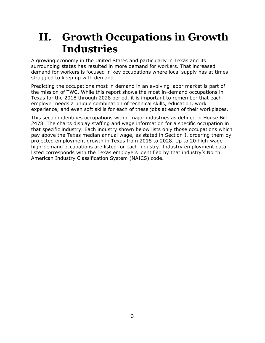### <span id="page-3-0"></span>**II. Growth Occupations in Growth Industries**

A growing economy in the United States and particularly in Texas and its surrounding states has resulted in more demand for workers. That increased demand for workers is focused in key occupations where local supply has at times struggled to keep up with demand.

Predicting the occupations most in demand in an evolving labor market is part of the mission of TWC. While this report shows the most in-demand occupations in Texas for the 2018 through 2028 period, it is important to remember that each employer needs a unique combination of technical skills, education, work experience, and even soft skills for each of these jobs at each of their workplaces.

This section identifies occupations within major industries as defined in House Bill 2478. The charts display staffing and wage information for a specific occupation in that specific industry. Each industry shown below lists only those occupations which pay above the Texas median annual wage, as stated in Section I, ordering them by projected employment growth in Texas from 2018 to 2028. Up to 20 high-wage high-demand occupations are listed for each industry. Industry employment data listed corresponds with the Texas employers identified by that industry's North American Industry Classification System (NAICS) code.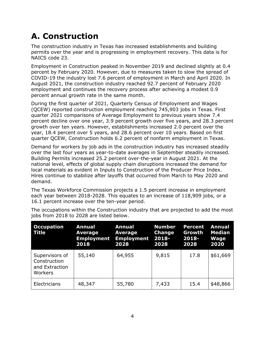#### <span id="page-4-0"></span>**A. Construction**

The construction industry in Texas has increased establishments and building permits over the year and is progressing in employment recovery. This data is for NAICS code 23.

Employment in Construction peaked in November 2019 and declined slightly at 0.4 percent by February 2020. However, due to measures taken to slow the spread of COVID-19 the industry lost 7.6 percent of employment in March and April 2020. In August 2021, the construction industry reached 92.7 percent of February 2020 employment and continues the recovery process after achieving a modest 0.9 percent annual growth rate in the same month.

During the first quarter of 2021, Quarterly Census of Employment and Wages (QCEW) reported construction employment reaching 745,903 jobs in Texas. First quarter 2021 comparisons of Average Employment to previous years show 7.4 percent decline over one year, 3.9 percent growth over five years, and 28.3 percent growth over ten years. However, establishments increased 2.0 percent over the year, 18.4 percent over 5 years, and 28.6 percent over 10 years. Based on first quarter QCEW, Construction holds 6.2 percent of nonfarm employment in Texas.

Demand for workers by job ads in the construction industry has increased steadily over the last four years as year-to-date averages in September steadily increased. Building Permits increased 25.2 percent over-the-year in August 2021. At the national level, effects of global supply chain disruptions increased the demand for local materials as evident in Inputs to Construction of the Producer Price Index. Hires continue to stabilize after layoffs that occurred from March to May 2020 and demand.

The Texas Workforce Commission projects a 1.5 percent increase in employment each year between 2018-2028. This equates to an increase of 118,909 jobs, or a 16.1 percent increase over the ten-year period.

| <b>Occupation</b><br>Title                                  | <b>Annual</b><br>Average<br><b>Employment</b><br>2018 | <b>Annual</b><br>Average<br><b>Employment 2018-</b><br>2028 | <b>Number</b><br><b>Change</b><br>2028 | <b>Percent</b><br>Growth<br>$2018 -$<br>2028 | <b>Annual</b><br><b>Median</b><br><b>Wage</b><br>2020 |
|-------------------------------------------------------------|-------------------------------------------------------|-------------------------------------------------------------|----------------------------------------|----------------------------------------------|-------------------------------------------------------|
| Supervisors of<br>Construction<br>and Extraction<br>Workers | 55,140                                                | 64,955                                                      | 9,815                                  | 17.8                                         | \$61,669                                              |
| Electricians                                                | 48,347                                                | 55,780                                                      | 7,433                                  | 15.4                                         | \$48,866                                              |

The occupations within the Construction industry that are projected to add the most jobs from 2018 to 2028 are listed below.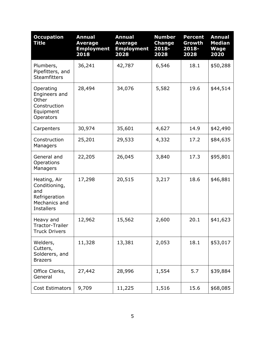| <b>Occupation</b><br><b>Title</b>                                                           | <b>Annual</b><br><b>Average</b><br><b>Employment</b><br>2018 | <b>Annual</b><br><b>Average</b><br><b>Employment</b><br>2028 | <b>Number</b><br><b>Change</b><br>2018-<br>2028 | <b>Percent</b><br>Growth<br>2018-<br>2028 | <b>Annual</b><br><b>Median</b><br><b>Wage</b><br>2020 |
|---------------------------------------------------------------------------------------------|--------------------------------------------------------------|--------------------------------------------------------------|-------------------------------------------------|-------------------------------------------|-------------------------------------------------------|
| Plumbers,<br>Pipefitters, and<br><b>Steamfitters</b>                                        | 36,241                                                       | 42,787                                                       | 6,546                                           | 18.1                                      | \$50,288                                              |
| Operating<br>Engineers and<br>Other<br>Construction<br>Equipment<br>Operators               | 28,494                                                       | 34,076                                                       | 5,582                                           | 19.6                                      | \$44,514                                              |
| Carpenters                                                                                  | 30,974                                                       | 35,601                                                       | 4,627                                           | 14.9                                      | \$42,490                                              |
| Construction<br>Managers                                                                    | 25,201                                                       | 29,533                                                       | 4,332                                           | 17.2                                      | \$84,635                                              |
| General and<br>Operations<br>Managers                                                       | 22,205                                                       | 26,045                                                       | 3,840                                           | 17.3                                      | \$95,801                                              |
| Heating, Air<br>Conditioning,<br>and<br>Refrigeration<br>Mechanics and<br><b>Installers</b> | 17,298                                                       | 20,515                                                       | 3,217                                           | 18.6                                      | \$46,881                                              |
| Heavy and<br>Tractor-Trailer<br><b>Truck Drivers</b>                                        | 12,962                                                       | 15,562                                                       | 2,600                                           | 20.1                                      | \$41,623                                              |
| Welders,<br>Cutters,<br>Solderers, and<br><b>Brazers</b>                                    | 11,328                                                       | 13,381                                                       | 2,053                                           | 18.1                                      | \$53,017                                              |
| Office Clerks,<br>General                                                                   | 27,442                                                       | 28,996                                                       | 1,554                                           | 5.7                                       | \$39,884                                              |
| Cost Estimators                                                                             | 9,709                                                        | 11,225                                                       | 1,516                                           | 15.6                                      | \$68,085                                              |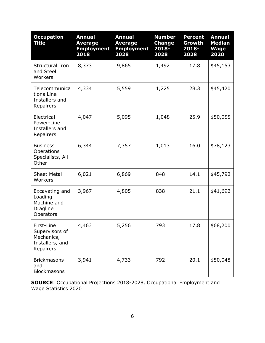| <b>Occupation</b><br><b>Title</b>                                          | <b>Annual</b><br><b>Average</b><br><b>Employment</b><br>2018 | <b>Annual</b><br><b>Average</b><br><b>Employment</b><br>2028 | <b>Number</b><br><b>Change</b><br>$2018 -$<br>2028 | <b>Percent</b><br>Growth<br>2018-<br>2028 | <b>Annual</b><br><b>Median</b><br><b>Wage</b><br>2020 |
|----------------------------------------------------------------------------|--------------------------------------------------------------|--------------------------------------------------------------|----------------------------------------------------|-------------------------------------------|-------------------------------------------------------|
| Structural Iron<br>and Steel<br>Workers                                    | 8,373                                                        | 9,865                                                        | 1,492                                              | 17.8                                      | \$45,153                                              |
| Telecommunica<br>tions Line<br>Installers and<br>Repairers                 | 4,334                                                        | 5,559                                                        | 1,225                                              | 28.3                                      | \$45,420                                              |
| Electrical<br>Power-Line<br>Installers and<br>Repairers                    | 4,047                                                        | 5,095                                                        | 1,048                                              | 25.9                                      | \$50,055                                              |
| <b>Business</b><br>Operations<br>Specialists, All<br>Other                 | 6,344                                                        | 7,357                                                        | 1,013                                              | 16.0                                      | \$78,123                                              |
| <b>Sheet Metal</b><br>Workers                                              | 6,021                                                        | 6,869                                                        | 848                                                | 14.1                                      | \$45,792                                              |
| Excavating and<br>Loading<br>Machine and<br><b>Dragline</b><br>Operators   | 3,967                                                        | 4,805                                                        | 838                                                | 21.1                                      | \$41,692                                              |
| First-Line<br>Supervisors of<br>Mechanics,<br>Installers, and<br>Repairers | 4,463                                                        | 5,256                                                        | 793                                                | 17.8                                      | \$68,200                                              |
| <b>Brickmasons</b><br>and<br><b>Blockmasons</b>                            | 3,941                                                        | 4,733                                                        | 792                                                | 20.1                                      | \$50,048                                              |

**SOURCE**: Occupational Projections 2018-2028, Occupational Employment and Wage Statistics 2020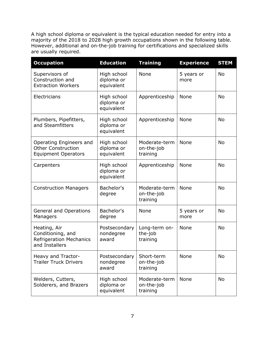A high school diploma or equivalent is the typical education needed for entry into a majority of the 2018 to 2028 high growth occupations shown in the following table. However, additional and on-the-job training for certifications and specialized skills are usually required.

| <b>Occupation</b>                                                                     | <b>Education</b>                        | <b>Training</b>                         | <b>Experience</b>  | <b>STEM</b> |
|---------------------------------------------------------------------------------------|-----------------------------------------|-----------------------------------------|--------------------|-------------|
| Supervisors of<br>Construction and<br><b>Extraction Workers</b>                       | High school<br>diploma or<br>equivalent | None                                    | 5 years or<br>more | <b>No</b>   |
| Electricians                                                                          | High school<br>diploma or<br>equivalent | Apprenticeship                          | None               | <b>No</b>   |
| Plumbers, Pipefitters,<br>and Steamfitters                                            | High school<br>diploma or<br>equivalent | Apprenticeship                          | None               | <b>No</b>   |
| Operating Engineers and<br><b>Other Construction</b><br><b>Equipment Operators</b>    | High school<br>diploma or<br>equivalent | Moderate-term<br>on-the-job<br>training | None               | <b>No</b>   |
| Carpenters                                                                            | High school<br>diploma or<br>equivalent | Apprenticeship                          | None               | <b>No</b>   |
| <b>Construction Managers</b>                                                          | Bachelor's<br>degree                    | Moderate-term<br>on-the-job<br>training | None               | <b>No</b>   |
| <b>General and Operations</b><br>Managers                                             | Bachelor's<br>degree                    | None                                    | 5 years or<br>more | <b>No</b>   |
| Heating, Air<br>Conditioning, and<br><b>Refrigeration Mechanics</b><br>and Installers | Postsecondary<br>nondegree<br>award     | Long-term on-<br>the-job<br>training    | <b>None</b>        | <b>No</b>   |
| Heavy and Tractor-<br><b>Trailer Truck Drivers</b>                                    | Postsecondary<br>nondegree<br>award     | Short-term<br>on-the-job<br>training    | None               | No          |
| Welders, Cutters,<br>Solderers, and Brazers                                           | High school<br>diploma or<br>equivalent | Moderate-term<br>on-the-job<br>training | None               | No          |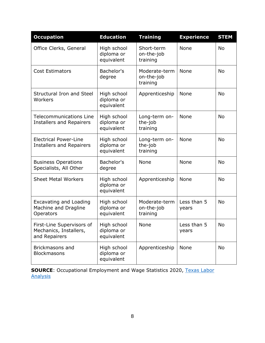| <b>Occupation</b>                                                    | <b>Education</b>                        | <b>Training</b>                         | <b>Experience</b>    | <b>STEM</b> |
|----------------------------------------------------------------------|-----------------------------------------|-----------------------------------------|----------------------|-------------|
| Office Clerks, General                                               | High school<br>diploma or<br>equivalent | Short-term<br>on-the-job<br>training    | None                 | <b>No</b>   |
| <b>Cost Estimators</b>                                               | Bachelor's<br>degree                    | Moderate-term<br>on-the-job<br>training | None                 | No          |
| <b>Structural Iron and Steel</b><br>Workers                          | High school<br>diploma or<br>equivalent | Apprenticeship                          | None                 | <b>No</b>   |
| <b>Telecommunications Line</b><br><b>Installers and Repairers</b>    | High school<br>diploma or<br>equivalent | Long-term on-<br>the-job<br>training    | None                 | <b>No</b>   |
| <b>Electrical Power-Line</b><br><b>Installers and Repairers</b>      | High school<br>diploma or<br>equivalent | Long-term on-<br>the-job<br>training    | None                 | <b>No</b>   |
| <b>Business Operations</b><br>Specialists, All Other                 | Bachelor's<br>degree                    | None                                    | None                 | <b>No</b>   |
| <b>Sheet Metal Workers</b>                                           | High school<br>diploma or<br>equivalent | Apprenticeship                          | None                 | <b>No</b>   |
| <b>Excavating and Loading</b><br>Machine and Dragline<br>Operators   | High school<br>diploma or<br>equivalent | Moderate-term<br>on-the-job<br>training | Less than 5<br>years | <b>No</b>   |
| First-Line Supervisors of<br>Mechanics, Installers,<br>and Repairers | High school<br>diploma or<br>equivalent | None                                    | Less than 5<br>years | No          |
| <b>Brickmasons and</b><br><b>Blockmasons</b>                         | High school<br>diploma or<br>equivalent | Apprenticeship                          | None                 | No          |

**SOURCE**: Occupational Employment and Wage Statistics 2020, [Texas Labor](https://texaslaboranalysis.com/)  [Analysis](https://texaslaboranalysis.com/)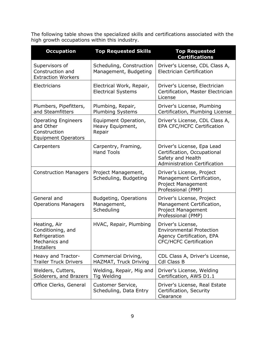The following table shows the specialized skills and certifications associated with the high growth occupations within this industry.

| <b>Occupation</b>                                                                        | <b>Top Requested Skills</b>                               | <b>Top Requested</b><br><b>Certifications</b>                                                                         |
|------------------------------------------------------------------------------------------|-----------------------------------------------------------|-----------------------------------------------------------------------------------------------------------------------|
| Supervisors of<br>Construction and<br><b>Extraction Workers</b>                          | Scheduling, Construction<br>Management, Budgeting         | Driver's License, CDL Class A,<br><b>Electrician Certification</b>                                                    |
| Electricians                                                                             | Electrical Work, Repair,<br><b>Electrical Systems</b>     | Driver's License, Electrician<br>Certification, Master Electrician<br>License                                         |
| Plumbers, Pipefitters,<br>and Steamfitters                                               | Plumbing, Repair,<br><b>Plumbing Systems</b>              | Driver's License, Plumbing<br>Certification, Plumbing License                                                         |
| <b>Operating Engineers</b><br>and Other<br>Construction<br><b>Equipment Operators</b>    | Equipment Operation,<br>Heavy Equipment,<br>Repair        | Driver's License, CDL Class A,<br><b>EPA CFC/HCFC Certification</b>                                                   |
| Carpenters                                                                               | Carpentry, Framing,<br><b>Hand Tools</b>                  | Driver's License, Epa Lead<br>Certification, Occupational<br>Safety and Health<br><b>Administration Certification</b> |
| <b>Construction Managers</b>                                                             | Project Management,<br>Scheduling, Budgeting              | Driver's License, Project<br>Management Certification,<br><b>Project Management</b><br>Professional (PMP)             |
| General and<br><b>Operations Managers</b>                                                | <b>Budgeting, Operations</b><br>Management,<br>Scheduling | Driver's License, Project<br>Management Certification,<br><b>Project Management</b><br>Professional (PMP)             |
| Heating, Air<br>Conditioning, and<br>Refrigeration<br>Mechanics and<br><b>Installers</b> | HVAC, Repair, Plumbing                                    | Driver's License,<br><b>Environmental Protection</b><br>Agency Certification, EPA<br><b>CFC/HCFC Certification</b>    |
| Heavy and Tractor-<br><b>Trailer Truck Drivers</b>                                       | Commercial Driving,<br>HAZMAT, Truck Driving              | CDL Class A, Driver's License,<br><b>Cdl Class B</b>                                                                  |
| Welders, Cutters,<br>Solderers, and Brazers                                              | Welding, Repair, Mig and<br>Tig Welding                   | Driver's License, Welding<br>Certification, AWS D1.1                                                                  |
| Office Clerks, General                                                                   | Customer Service,<br>Scheduling, Data Entry               | Driver's License, Real Estate<br>Certification, Security<br>Clearance                                                 |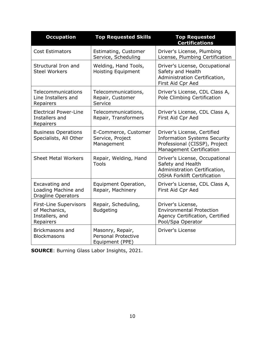| <b>Occupation</b>                                                              | <b>Top Requested Skills</b>                                       | <b>Top Requested</b><br><b>Certifications</b>                                                                                          |
|--------------------------------------------------------------------------------|-------------------------------------------------------------------|----------------------------------------------------------------------------------------------------------------------------------------|
| <b>Cost Estimators</b>                                                         | Estimating, Customer<br>Service, Scheduling                       | Driver's License, Plumbing<br>License, Plumbing Certification                                                                          |
| Structural Iron and<br><b>Steel Workers</b>                                    | Welding, Hand Tools,<br><b>Hoisting Equipment</b>                 | Driver's License, Occupational<br>Safety and Health<br>Administration Certification,<br>First Aid Cpr Aed                              |
| Telecommunications<br>Line Installers and<br>Repairers                         | Telecommunications,<br>Repair, Customer<br>Service                | Driver's License, CDL Class A,<br>Pole Climbing Certification                                                                          |
| <b>Electrical Power-Line</b><br>Installers and<br>Repairers                    | Telecommunications,<br>Repair, Transformers                       | Driver's License, CDL Class A,<br>First Aid Cpr Aed                                                                                    |
| <b>Business Operations</b><br>Specialists, All Other                           | E-Commerce, Customer<br>Service, Project<br>Management            | Driver's License, Certified<br><b>Information Systems Security</b><br>Professional (CISSP), Project<br><b>Management Certification</b> |
| <b>Sheet Metal Workers</b>                                                     | Repair, Welding, Hand<br>Tools                                    | Driver's License, Occupational<br>Safety and Health<br>Administration Certification,<br><b>OSHA Forklift Certification</b>             |
| Excavating and<br>Loading Machine and<br>Dragline Operators                    | Equipment Operation,<br>Repair, Machinery                         | Driver's License, CDL Class A,<br>First Aid Cpr Aed                                                                                    |
| <b>First-Line Supervisors</b><br>of Mechanics,<br>Installers, and<br>Repairers | Repair, Scheduling,<br><b>Budgeting</b>                           | Driver's License,<br><b>Environmental Protection</b><br>Agency Certification, Certified<br>Pool/Spa Operator                           |
| Brickmasons and<br><b>Blockmasons</b>                                          | Masonry, Repair,<br><b>Personal Protective</b><br>Equipment (PPE) | <b>Driver's License</b>                                                                                                                |

**SOURCE**: Burning Glass Labor Insights, 2021.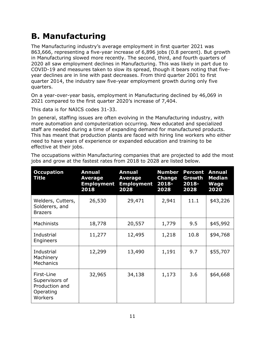#### <span id="page-11-0"></span>**B. Manufacturing**

The Manufacturing industry's average employment in first quarter 2021 was 863,666, representing a five-year increase of 6,896 jobs (0.8 percent). But growth in Manufacturing slowed more recently. The second, third, and fourth quarters of 2020 all saw employment declines in Manufacturing. This was likely in part due to COVID-19 and measures taken to slow its spread, though it bears noting that fiveyear declines are in line with past decreases. From third quarter 2001 to first quarter 2014, the industry saw five-year employment growth during only five quarters.

On a year-over-year basis, employment in Manufacturing declined by 46,069 in 2021 compared to the first quarter 2020's increase of 7,404.

This data is for NAICS codes 31-33.

In general, staffing issues are often evolving in the Manufacturing industry, with more automation and computerization occurring. New educated and specialized staff are needed during a time of expanding demand for manufactured products. This has meant that production plants are faced with hiring line workers who either need to have years of experience or expanded education and training to be effective at their jobs.

| <b>Occupation</b><br><b>Title</b>                                      | <b>Annual</b><br>Average<br><b>Employment</b><br>2018 | <b>Annual</b><br>Average<br><b>Employment</b><br>2028 | <b>Number</b><br><b>Change</b><br>$2018 -$<br>2028 | <b>Percent</b><br>Growth<br>2018-<br>2028 | <b>Annual</b><br><b>Median</b><br><b>Wage</b><br>2020 |
|------------------------------------------------------------------------|-------------------------------------------------------|-------------------------------------------------------|----------------------------------------------------|-------------------------------------------|-------------------------------------------------------|
| Welders, Cutters,<br>Solderers, and<br><b>Brazers</b>                  | 26,530                                                | 29,471                                                | 2,941                                              | 11.1                                      | \$43,226                                              |
| Machinists                                                             | 18,778                                                | 20,557                                                | 1,779                                              | 9.5                                       | \$45,992                                              |
| Industrial<br>Engineers                                                | 11,277                                                | 12,495                                                | 1,218                                              | 10.8                                      | \$94,768                                              |
| Industrial<br>Machinery<br><b>Mechanics</b>                            | 12,299                                                | 13,490                                                | 1,191                                              | 9.7                                       | \$55,707                                              |
| First-Line<br>Supervisors of<br>Production and<br>Operating<br>Workers | 32,965                                                | 34,138                                                | 1,173                                              | 3.6                                       | \$64,668                                              |

The occupations within Manufacturing companies that are projected to add the most jobs and grow at the fastest rates from 2018 to 2028 are listed below.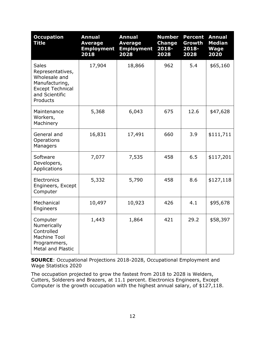| <b>Occupation</b><br><b>Title</b>                                                                                            | <b>Annual</b><br><b>Average</b><br><b>Employment</b><br>2018 | <b>Annual</b><br><b>Average</b><br><b>Employment</b><br>2028 | <b>Number</b><br><b>Change</b><br>2018-<br>2028 | <b>Percent</b><br>Growth<br>2018-<br>2028 | <b>Annual</b><br><b>Median</b><br><b>Wage</b><br>2020 |
|------------------------------------------------------------------------------------------------------------------------------|--------------------------------------------------------------|--------------------------------------------------------------|-------------------------------------------------|-------------------------------------------|-------------------------------------------------------|
| <b>Sales</b><br>Representatives,<br>Wholesale and<br>Manufacturing,<br><b>Except Technical</b><br>and Scientific<br>Products | 17,904                                                       | 18,866                                                       | 962                                             | 5.4                                       | \$65,160                                              |
| Maintenance<br>Workers,<br>Machinery                                                                                         | 5,368                                                        | 6,043                                                        | 675                                             | 12.6                                      | \$47,628                                              |
| General and<br>Operations<br>Managers                                                                                        | 16,831                                                       | 17,491                                                       | 660                                             | 3.9                                       | \$111,711                                             |
| Software<br>Developers,<br>Applications                                                                                      | 7,077                                                        | 7,535                                                        | 458                                             | 6.5                                       | \$117,201                                             |
| Electronics<br>Engineers, Except<br>Computer                                                                                 | 5,332                                                        | 5,790                                                        | 458                                             | 8.6                                       | \$127,118                                             |
| Mechanical<br>Engineers                                                                                                      | 10,497                                                       | 10,923                                                       | 426                                             | 4.1                                       | \$95,678                                              |
| Computer<br>Numerically<br>Controlled<br><b>Machine Tool</b><br>Programmers,<br><b>Metal and Plastic</b>                     | 1,443                                                        | 1,864                                                        | 421                                             | 29.2                                      | \$58,397                                              |

**SOURCE**: Occupational Projections 2018-2028, Occupational Employment and Wage Statistics 2020

The occupation projected to grow the fastest from 2018 to 2028 is Welders, Cutters, Solderers and Brazers, at 11.1 percent. Electronics Engineers, Except Computer is the growth occupation with the highest annual salary, of \$127,118.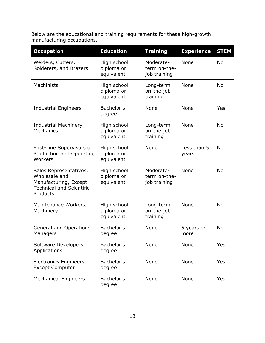Below are the educational and training requirements for these high-growth manufacturing occupations.

| <b>Occupation</b>                                                                                               | <b>Education</b>                        | <b>Training</b>                           | <b>Experience</b>    | <b>STEM</b> |
|-----------------------------------------------------------------------------------------------------------------|-----------------------------------------|-------------------------------------------|----------------------|-------------|
| Welders, Cutters,<br>Solderers, and Brazers                                                                     | High school<br>diploma or<br>equivalent | Moderate-<br>term on-the-<br>job training | None                 | <b>No</b>   |
| Machinists                                                                                                      | High school<br>diploma or<br>equivalent | Long-term<br>on-the-job<br>training       | None                 | <b>No</b>   |
| <b>Industrial Engineers</b>                                                                                     | Bachelor's<br>degree                    | None                                      | None                 | Yes         |
| <b>Industrial Machinery</b><br><b>Mechanics</b>                                                                 | High school<br>diploma or<br>equivalent | Long-term<br>on-the-job<br>training       | None                 | <b>No</b>   |
| First-Line Supervisors of<br>Production and Operating<br>Workers                                                | High school<br>diploma or<br>equivalent | None                                      | Less than 5<br>years | <b>No</b>   |
| Sales Representatives,<br>Wholesale and<br>Manufacturing, Except<br><b>Technical and Scientific</b><br>Products | High school<br>diploma or<br>equivalent | Moderate-<br>term on-the-<br>job training | None                 | <b>No</b>   |
| Maintenance Workers,<br>Machinery                                                                               | High school<br>diploma or<br>equivalent | Long-term<br>on-the-job<br>training       | None                 | <b>No</b>   |
| <b>General and Operations</b><br>Managers                                                                       | Bachelor's<br>degree                    | None                                      | 5 years or<br>more   | <b>No</b>   |
| Software Developers,<br>Applications                                                                            | Bachelor's<br>degree                    | None                                      | None                 | Yes         |
| Electronics Engineers,<br><b>Except Computer</b>                                                                | Bachelor's<br>degree                    | None                                      | None                 | Yes         |
| <b>Mechanical Engineers</b>                                                                                     | Bachelor's<br>degree                    | None                                      | None                 | Yes         |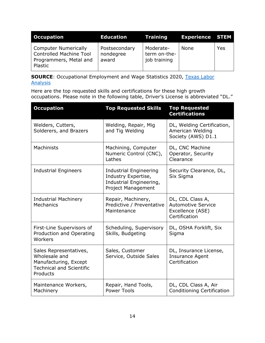| <b>Occupation</b>                                                                    | Education                           | <b>Training</b>                           | <b>Experience STEM</b> |     |
|--------------------------------------------------------------------------------------|-------------------------------------|-------------------------------------------|------------------------|-----|
| Computer Numerically<br>Controlled Machine Tool<br>Programmers, Metal and<br>Plastic | Postsecondary<br>nondegree<br>award | Moderate-<br>term on-the-<br>job training | None                   | Yes |

**SOURCE:** Occupational Employment and Wage Statistics 2020, Texas Labor **[Analysis](https://texaslaboranalysis.com/)** 

Here are the top requested skills and certifications for these high growth occupations. Please note in the following table, Driver's License is abbreviated "DL."

| <b>Occupation</b>                                                                                               | <b>Top Requested Skills</b>                                                                                  | <b>Top Requested</b><br><b>Certifications</b>                                      |
|-----------------------------------------------------------------------------------------------------------------|--------------------------------------------------------------------------------------------------------------|------------------------------------------------------------------------------------|
| Welders, Cutters,<br>Solderers, and Brazers                                                                     | Welding, Repair, Mig<br>and Tig Welding                                                                      | DL, Welding Certification,<br>American Welding<br>Society (AWS) D1.1               |
| <b>Machinists</b>                                                                                               | Machining, Computer<br>Numeric Control (CNC),<br>Lathes                                                      | DL, CNC Machine<br>Operator, Security<br>Clearance                                 |
| <b>Industrial Engineers</b>                                                                                     | <b>Industrial Engineering</b><br>Industry Expertise,<br>Industrial Engineering,<br><b>Project Management</b> | Security Clearance, DL,<br>Six Sigma                                               |
| <b>Industrial Machinery</b><br>Mechanics                                                                        | Repair, Machinery,<br>Predictive / Preventative<br>Maintenance                                               | DL, CDL Class A,<br><b>Automotive Service</b><br>Excellence (ASE)<br>Certification |
| First-Line Supervisors of<br>Production and Operating<br>Workers                                                | Scheduling, Supervisory<br>Skills, Budgeting                                                                 | DL, OSHA Forklift, Six<br>Sigma                                                    |
| Sales Representatives,<br>Wholesale and<br>Manufacturing, Except<br><b>Technical and Scientific</b><br>Products | Sales, Customer<br>Service, Outside Sales                                                                    | DL, Insurance License,<br><b>Insurance Agent</b><br>Certification                  |
| Maintenance Workers,<br>Machinery                                                                               | Repair, Hand Tools,<br><b>Power Tools</b>                                                                    | DL, CDL Class A, Air<br><b>Conditioning Certification</b>                          |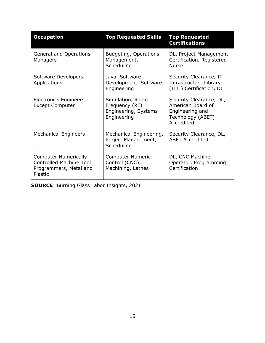| <b>Occupation</b>                                                                                  | <b>Top Requested Skills</b>                                                | <b>Top Requested</b><br><b>Certifications</b>                                                      |
|----------------------------------------------------------------------------------------------------|----------------------------------------------------------------------------|----------------------------------------------------------------------------------------------------|
| <b>General and Operations</b><br>Managers                                                          | <b>Budgeting, Operations</b><br>Management,<br>Scheduling                  | DL, Project Management<br>Certification, Registered<br><b>Nurse</b>                                |
| Software Developers,<br>Applications                                                               | Java, Software<br>Development, Software<br>Engineering                     | Security Clearance, IT<br>Infrastructure Library<br>(ITIL) Certification, DL                       |
| Electronics Engineers,<br><b>Except Computer</b>                                                   | Simulation, Radio<br>Frequency (RF)<br>Engineering, Systems<br>Engineering | Security Clearance, DL,<br>American Board of<br>Engineering and<br>Technology (ABET)<br>Accredited |
| <b>Mechanical Engineers</b>                                                                        | Mechanical Engineering,<br>Project Management,<br>Scheduling               | Security Clearance, DL,<br><b>ABET Accredited</b>                                                  |
| <b>Computer Numerically</b><br><b>Controlled Machine Tool</b><br>Programmers, Metal and<br>Plastic | <b>Computer Numeric</b><br>Control (CNC),<br>Machining, Lathes             | DL, CNC Machine<br>Operator, Programming<br>Certification                                          |

**SOURCE**: Burning Glass Labor Insights, 2021.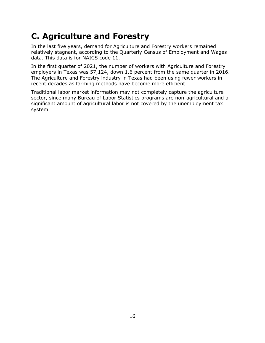#### <span id="page-16-0"></span>**C. Agriculture and Forestry**

In the last five years, demand for Agriculture and Forestry workers remained relatively stagnant, according to the Quarterly Census of Employment and Wages data. This data is for NAICS code 11.

In the first quarter of 2021, the number of workers with Agriculture and Forestry employers in Texas was 57,124, down 1.6 percent from the same quarter in 2016. The Agriculture and Forestry industry in Texas had been using fewer workers in recent decades as farming methods have become more efficient.

Traditional labor market information may not completely capture the agriculture sector, since many Bureau of Labor Statistics programs are non-agricultural and a significant amount of agricultural labor is not covered by the unemployment tax system.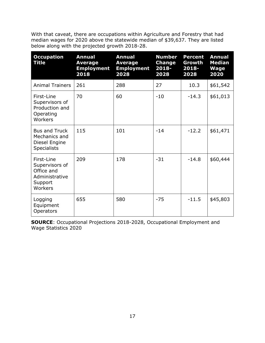With that caveat, there are occupations within Agriculture and Forestry that had median wages for 2020 above the statewide median of \$39,637. They are listed below along with the projected growth 2018-28.

| <b>Occupation</b><br><b>Title</b>                                                  | <b>Annual</b><br><b>Average</b><br><b>Employment</b><br>2018 | <b>Annual</b><br><b>Average</b><br><b>Employment</b><br>2028 | <b>Number</b><br><b>Change</b><br>2018-<br>2028 | <b>Percent</b><br>Growth<br>2018-<br>2028 | <b>Annual</b><br><b>Median</b><br><b>Wage</b><br>2020 |
|------------------------------------------------------------------------------------|--------------------------------------------------------------|--------------------------------------------------------------|-------------------------------------------------|-------------------------------------------|-------------------------------------------------------|
| <b>Animal Trainers</b>                                                             | 261                                                          | 288                                                          | 27                                              | 10.3                                      | \$61,542                                              |
| First-Line<br>Supervisors of<br>Production and<br>Operating<br>Workers             | 70                                                           | 60                                                           | $-10$                                           | $-14.3$                                   | \$61,013                                              |
| <b>Bus and Truck</b><br>Mechanics and<br>Diesel Engine<br><b>Specialists</b>       | 115                                                          | 101                                                          | $-14$                                           | $-12.2$                                   | \$61,471                                              |
| First-Line<br>Supervisors of<br>Office and<br>Administrative<br>Support<br>Workers | 209                                                          | 178                                                          | $-31$                                           | $-14.8$                                   | \$60,444                                              |
| Logging<br>Equipment<br>Operators                                                  | 655                                                          | 580                                                          | $-75$                                           | $-11.5$                                   | \$45,803                                              |

**SOURCE**: Occupational Projections 2018-2028, Occupational Employment and Wage Statistics 2020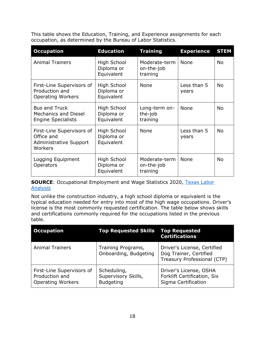This table shows the Education, Training, and Experience assignments for each occupation, as determined by the Bureau of Labor Statistics.

| <b>Occupation</b>                                                                | <b>Education</b>                        | <b>Training</b>                         | <b>Experience</b>    | <b>STEM</b> |
|----------------------------------------------------------------------------------|-----------------------------------------|-----------------------------------------|----------------------|-------------|
| <b>Animal Trainers</b>                                                           | High School<br>Diploma or<br>Equivalent | Moderate-term<br>on-the-job<br>training | None                 | <b>No</b>   |
| First-Line Supervisors of<br>Production and<br><b>Operating Workers</b>          | High School<br>Diploma or<br>Equivalent | None                                    | Less than 5<br>years | <b>No</b>   |
| <b>Bus and Truck</b><br><b>Mechanics and Diesel</b><br><b>Engine Specialists</b> | High School<br>Diploma or<br>Equivalent | Long-term on-<br>the-job<br>training    | None                 | <b>No</b>   |
| First-Line Supervisors of<br>Office and<br>Administrative Support<br>Workers     | High School<br>Diploma or<br>Equivalent | None                                    | Less than 5<br>years | <b>No</b>   |
| Logging Equipment<br><b>Operators</b>                                            | High School<br>Diploma or<br>Equivalent | Moderate-term<br>on-the-job<br>training | <b>None</b>          | <b>No</b>   |

**SOURCE:** Occupational Employment and Wage Statistics 2020, Texas Labor **[Analysis](https://texaslaboranalysis.com/)** 

Not unlike the construction industry, a high school diploma or equivalent is the typical education needed for entry into most of the high wage occupations. Driver's license is the most commonly requested certification. The table below shows skills and certifications commonly required for the occupations listed in the previous table.

| <b>Occupation</b>                                                       | <b>Top Requested Skills Top Requested</b>              | <b>Certifications</b>                                                                |
|-------------------------------------------------------------------------|--------------------------------------------------------|--------------------------------------------------------------------------------------|
| <b>Animal Trainers</b>                                                  | Training Programs,<br>Onboarding, Budgeting            | Driver's License, Certified<br>Dog Trainer, Certified<br>Treasury Professional (CTP) |
| First-Line Supervisors of<br>Production and<br><b>Operating Workers</b> | Scheduling,<br>Supervisory Skills,<br><b>Budgeting</b> | Driver's License, OSHA<br>Forklift Certification, Six<br>Sigma Certification         |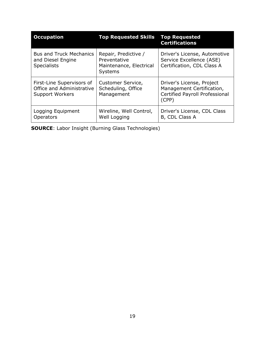| <b>Occupation</b>                                                                | <b>Top Requested Skills</b>                                                       | <b>Top Requested</b><br><b>Certifications</b>                                                            |
|----------------------------------------------------------------------------------|-----------------------------------------------------------------------------------|----------------------------------------------------------------------------------------------------------|
| <b>Bus and Truck Mechanics</b><br>and Diesel Engine<br><b>Specialists</b>        | Repair, Predictive /<br>Preventative<br>Maintenance, Electrical<br><b>Systems</b> | Driver's License, Automotive<br>Service Excellence (ASE)<br>Certification, CDL Class A                   |
| First-Line Supervisors of<br>Office and Administrative<br><b>Support Workers</b> | Customer Service,<br>Scheduling, Office<br>Management                             | Driver's License, Project<br>Management Certification,<br><b>Certified Payroll Professional</b><br>(CPP) |
| Logging Equipment<br>Operators                                                   | Wireline, Well Control,<br>Well Logging                                           | Driver's License, CDL Class<br>B, CDL Class A                                                            |

**SOURCE**: Labor Insight (Burning Glass Technologies)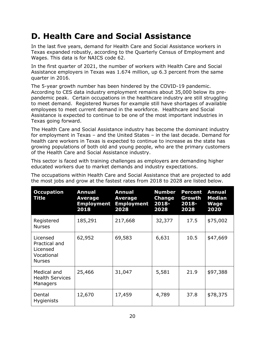#### <span id="page-20-0"></span>**D. Health Care and Social Assistance**

In the last five years, demand for Health Care and Social Assistance workers in Texas expanded robustly, according to the Quarterly Census of Employment and Wages. This data is for NAICS code 62.

In the first quarter of 2021, the number of workers with Health Care and Social Assistance employers in Texas was 1.674 million, up 6.3 percent from the same quarter in 2016.

The 5-year growth number has been hindered by the COVID-19 pandemic. According to CES data industry employment remains about 35,000 below its prepandemic peak. Certain occupations in the healthcare industry are still struggling to meet demand. Registered Nurses for example still have shortages of available employees to meet current demand in the workforce. Healthcare and Social Assistance is expected to continue to be one of the most important industries in Texas going forward.

The Health Care and Social Assistance industry has become the dominant industry for employment in Texas – and the United States – in the last decade. Demand for health care workers in Texas is expected to continue to increase as the state has growing populations of both old and young people, who are the primary customers of the Health Care and Social Assistance industry.

This sector is faced with training challenges as employers are demanding higher educated workers due to market demands and industry expectations.

The occupations within Health Care and Social Assistance that are projected to add the most jobs and grow at the fastest rates from 2018 to 2028 are listed below.

| <b>Occupation</b><br>Title                                           | Annual<br>Average<br><b>Employment</b><br>2018 | <b>Annual</b><br><b>Average</b><br><b>Employment</b><br>2028 | <b>Number</b><br><b>Change</b><br>$2018 -$<br>2028 | <b>Percent</b><br>Growth<br>2018-<br>2028 | <b>Annual</b><br><b>Median</b><br><b>Wage</b><br>2020 |
|----------------------------------------------------------------------|------------------------------------------------|--------------------------------------------------------------|----------------------------------------------------|-------------------------------------------|-------------------------------------------------------|
| Registered<br><b>Nurses</b>                                          | 185,291                                        | 217,668                                                      | 32,377                                             | 17.5                                      | \$75,002                                              |
| Licensed<br>Practical and<br>Licensed<br>Vocational<br><b>Nurses</b> | 62,952                                         | 69,583                                                       | 6,631                                              | 10.5                                      | \$47,669                                              |
| Medical and<br><b>Health Services</b><br>Managers                    | 25,466                                         | 31,047                                                       | 5,581                                              | 21.9                                      | \$97,388                                              |
| Dental<br><b>Hygienists</b>                                          | 12,670                                         | 17,459                                                       | 4,789                                              | 37.8                                      | \$78,375                                              |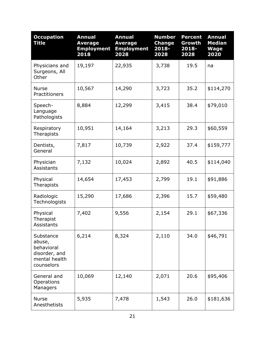| <b>Occupation</b><br><b>Title</b>                                                 | <b>Annual</b><br><b>Average</b><br><b>Employment</b><br>2018 | <b>Annual</b><br><b>Average</b><br><b>Employment</b><br>2028 | <b>Number</b><br><b>Change</b><br>$2018 -$<br>2028 | <b>Percent</b><br>Growth<br>2018-<br>2028 | <b>Annual</b><br><b>Median</b><br><b>Wage</b><br>2020 |
|-----------------------------------------------------------------------------------|--------------------------------------------------------------|--------------------------------------------------------------|----------------------------------------------------|-------------------------------------------|-------------------------------------------------------|
| Physicians and<br>Surgeons, All<br>Other                                          | 19,197                                                       | 22,935                                                       | 3,738                                              | 19.5                                      | na                                                    |
| <b>Nurse</b><br>Practitioners                                                     | 10,567                                                       | 14,290                                                       | 3,723                                              | 35.2                                      | \$114,270                                             |
| Speech-<br>Language<br>Pathologists                                               | 8,884                                                        | 12,299                                                       | 3,415                                              | 38.4                                      | \$79,010                                              |
| Respiratory<br>Therapists                                                         | 10,951                                                       | 14,164                                                       | 3,213                                              | 29.3                                      | \$60,559                                              |
| Dentists,<br>General                                                              | 7,817                                                        | 10,739                                                       | 2,922                                              | 37.4                                      | \$159,777                                             |
| Physician<br><b>Assistants</b>                                                    | 7,132                                                        | 10,024                                                       | 2,892                                              | 40.5                                      | \$114,040                                             |
| Physical<br>Therapists                                                            | 14,654                                                       | 17,453                                                       | 2,799                                              | 19.1                                      | \$91,886                                              |
| Radiologic<br>Technologists                                                       | 15,290                                                       | 17,686                                                       | 2,396                                              | 15.7                                      | \$59,480                                              |
| Physical<br>Therapist<br>Assistants                                               | 7,402                                                        | 9,556                                                        | 2,154                                              | 29.1                                      | \$67,336                                              |
| Substance<br>abuse,<br>behavioral<br>disorder, and<br>mental health<br>counselors | 6,214                                                        | 8,324                                                        | 2,110                                              | 34.0                                      | \$46,791                                              |
| General and<br>Operations<br>Managers                                             | 10,069                                                       | 12,140                                                       | 2,071                                              | 20.6                                      | \$95,406                                              |
| <b>Nurse</b><br>Anesthetists                                                      | 5,935                                                        | 7,478                                                        | 1,543                                              | 26.0                                      | \$181,636                                             |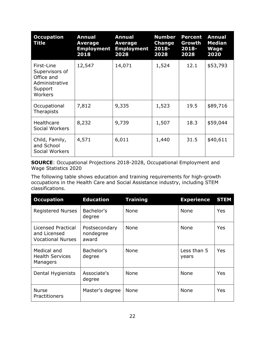| <b>Occupation</b><br>Title                                                         | <b>Annual</b><br><b>Average</b><br><b>Employment</b><br>2018 | <b>Annual</b><br>Average<br><b>Employment</b><br>2028 | <b>Number</b><br><b>Change</b><br>$2018 -$<br>2028 | <b>Percent</b><br>Growth<br>2018-<br>2028 | <b>Annual</b><br><b>Median</b><br><b>Wage</b><br>2020 |
|------------------------------------------------------------------------------------|--------------------------------------------------------------|-------------------------------------------------------|----------------------------------------------------|-------------------------------------------|-------------------------------------------------------|
| First-Line<br>Supervisors of<br>Office and<br>Administrative<br>Support<br>Workers | 12,547                                                       | 14,071                                                | 1,524                                              | 12.1                                      | \$53,793                                              |
| Occupational<br>Therapists                                                         | 7,812                                                        | 9,335                                                 | 1,523                                              | 19.5                                      | \$89,716                                              |
| Healthcare<br>Social Workers                                                       | 8,232                                                        | 9,739                                                 | 1,507                                              | 18.3                                      | \$59,044                                              |
| Child, Family,<br>and School<br>Social Workers                                     | 4,571                                                        | 6,011                                                 | 1,440                                              | 31.5                                      | \$40,611                                              |

**SOURCE**: Occupational Projections 2018-2028, Occupational Employment and Wage Statistics 2020

The following table shows education and training requirements for high-growth occupations in the Health Care and Social Assistance industry, including STEM classifications.

| <b>Occupation</b>                                                     | <b>Education</b>                    | <b>Training</b> | <b>Experience</b>    | <b>STEM</b> |
|-----------------------------------------------------------------------|-------------------------------------|-----------------|----------------------|-------------|
| <b>Registered Nurses</b>                                              | Bachelor's<br>degree                | None            | None                 | Yes         |
| <b>Licensed Practical</b><br>and Licensed<br><b>Vocational Nurses</b> | Postsecondary<br>nondegree<br>award | None            | None                 | Yes         |
| Medical and<br><b>Health Services</b><br>Managers                     | Bachelor's<br>degree                | None            | Less than 5<br>years | Yes         |
| Dental Hygienists                                                     | Associate's<br>degree               | None            | None                 | Yes         |
| <b>Nurse</b><br>Practitioners                                         | Master's degree                     | None            | None                 | Yes         |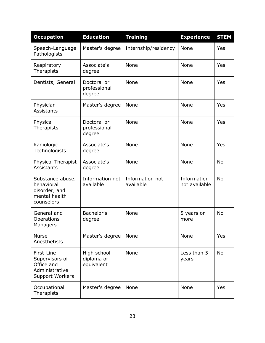| <b>Occupation</b>                                                                      | <b>Education</b>                        | <b>Training</b>              | <b>Experience</b>            | <b>STEM</b> |
|----------------------------------------------------------------------------------------|-----------------------------------------|------------------------------|------------------------------|-------------|
| Speech-Language<br>Pathologists                                                        | Master's degree                         | Internship/residency         | None                         | Yes         |
| Respiratory<br>Therapists                                                              | Associate's<br>degree                   | None                         | None                         | Yes         |
| Dentists, General                                                                      | Doctoral or<br>professional<br>degree   | None                         | None                         | Yes         |
| Physician<br>Assistants                                                                | Master's degree                         | None                         | None                         | Yes         |
| Physical<br>Therapists                                                                 | Doctoral or<br>professional<br>degree   | None                         | None                         | Yes         |
| Radiologic<br>Technologists                                                            | Associate's<br>degree                   | None                         | None                         | Yes         |
| <b>Physical Therapist</b><br>Assistants                                                | Associate's<br>degree                   | None                         | None                         | <b>No</b>   |
| Substance abuse,<br>behavioral<br>disorder, and<br>mental health<br>counselors         | Information not<br>available            | Information not<br>available | Information<br>not available | <b>No</b>   |
| General and<br>Operations<br>Managers                                                  | Bachelor's<br>degree                    | None                         | 5 years or<br>more           | <b>No</b>   |
| <b>Nurse</b><br>Anesthetists                                                           | Master's degree                         | None                         | None                         | Yes         |
| First-Line<br>Supervisors of<br>Office and<br>Administrative<br><b>Support Workers</b> | High school<br>diploma or<br>equivalent | None                         | Less than 5<br>years         | <b>No</b>   |
| Occupational<br>Therapists                                                             | Master's degree                         | None                         | None                         | Yes         |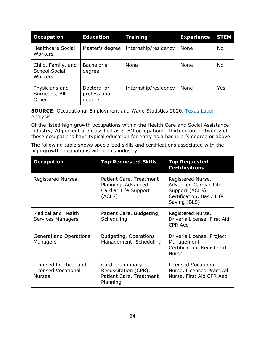| <b>Occupation</b>                                     | <b>Education</b>                      | <b>Training</b>      | <b>Experience</b> | <b>STEM</b> |
|-------------------------------------------------------|---------------------------------------|----------------------|-------------------|-------------|
| <b>Healthcare Social</b><br>Workers                   | Master's degree                       | Internship/residency | None              | <b>No</b>   |
| Child, Family, and<br><b>School Social</b><br>Workers | Bachelor's<br>degree                  | None                 | None              | <b>No</b>   |
| Physicians and<br>Surgeons, All<br>Other              | Doctoral or<br>professional<br>degree | Internship/residency | None              | Yes         |

**SOURCE:** Occupational Employment and Wage Statistics 2020, Texas Labor **[Analysis](https://texaslaboranalysis.com/)** 

Of the listed high growth occupations within the Health Care and Social Assistance industry, 70 percent are classified as STEM occupations. Thirteen out of twenty of these occupations have typical education for entry as a bachelor's degree or above.

The following table shows specialized skills and certifications associated with the high growth occupations within this industry:

| <b>Occupation</b>                                              | <b>Top Requested Skills</b>                                                     | <b>Top Requested</b><br><b>Certifications</b>                                                                    |
|----------------------------------------------------------------|---------------------------------------------------------------------------------|------------------------------------------------------------------------------------------------------------------|
| <b>Registered Nurses</b>                                       | Patient Care, Treatment<br>Planning, Advanced<br>Cardiac Life Support<br>(ACLS) | Registered Nurse,<br><b>Advanced Cardiac Life</b><br>Support (ACLS)<br>Certification, Basic Life<br>Saving (BLS) |
| <b>Medical and Health</b><br>Services Managers                 | Patient Care, Budgeting,<br>Scheduling                                          | Registered Nurse,<br>Driver's License, First Aid<br><b>CPR Aed</b>                                               |
| <b>General and Operations</b><br>Managers                      | <b>Budgeting, Operations</b><br>Management, Scheduling                          | Driver's License, Project<br>Management<br>Certification, Registered<br><b>Nurse</b>                             |
| Licensed Practical and<br>Licensed Vocational<br><b>Nurses</b> | Cardiopulmonary<br>Resuscitation (CPR),<br>Patient Care, Treatment<br>Planning  | Licensed Vocational<br>Nurse, Licensed Practical<br>Nurse, First Aid CPR Aed                                     |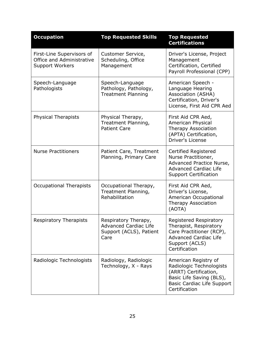| <b>Occupation</b>                                                                | <b>Top Requested Skills</b>                                                             | <b>Top Requested</b><br><b>Certifications</b>                                                                                                               |
|----------------------------------------------------------------------------------|-----------------------------------------------------------------------------------------|-------------------------------------------------------------------------------------------------------------------------------------------------------------|
| First-Line Supervisors of<br>Office and Administrative<br><b>Support Workers</b> | Customer Service,<br>Scheduling, Office<br>Management                                   | Driver's License, Project<br>Management<br>Certification, Certified<br>Payroll Professional (CPP)                                                           |
| Speech-Language<br>Pathologists                                                  | Speech-Language<br>Pathology, Pathology,<br><b>Treatment Planning</b>                   | American Speech -<br>Language Hearing<br>Association (ASHA)<br>Certification, Driver's<br>License, First Aid CPR Aed                                        |
| <b>Physical Therapists</b>                                                       | Physical Therapy,<br>Treatment Planning,<br><b>Patient Care</b>                         | First Aid CPR Aed,<br>American Physical<br>Therapy Association<br>(APTA) Certification,<br>Driver's License                                                 |
| <b>Nurse Practitioners</b>                                                       | Patient Care, Treatment<br>Planning, Primary Care                                       | Certified Registered<br>Nurse Practitioner,<br>Advanced Practice Nurse,<br><b>Advanced Cardiac Life</b><br><b>Support Certification</b>                     |
| <b>Occupational Therapists</b>                                                   | Occupational Therapy,<br>Treatment Planning,<br>Rehabilitation                          | First Aid CPR Aed,<br>Driver's License,<br>American Occupational<br>Therapy Association<br>(AOTA)                                                           |
| <b>Respiratory Therapists</b>                                                    | Respiratory Therapy,<br><b>Advanced Cardiac Life</b><br>Support (ACLS), Patient<br>Care | <b>Registered Respiratory</b><br>Therapist, Respiratory<br>Care Practitioner (RCP),<br><b>Advanced Cardiac Life</b><br>Support (ACLS)<br>Certification      |
| Radiologic Technologists                                                         | Radiology, Radiologic<br>Technology, X - Rays                                           | American Registry of<br>Radiologic Technologists<br>(ARRT) Certification,<br>Basic Life Saving (BLS),<br><b>Basic Cardiac Life Support</b><br>Certification |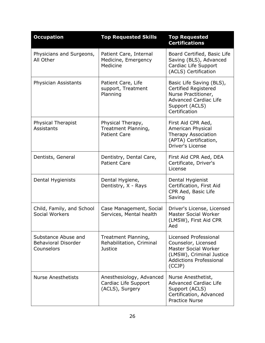| <b>Occupation</b>                                               | <b>Top Requested Skills</b>                                         | <b>Top Requested</b><br><b>Certifications</b>                                                                                                       |
|-----------------------------------------------------------------|---------------------------------------------------------------------|-----------------------------------------------------------------------------------------------------------------------------------------------------|
| Physicians and Surgeons,<br>All Other                           | Patient Care, Internal<br>Medicine, Emergency<br>Medicine           | Board Certified, Basic Life<br>Saving (BLS), Advanced<br>Cardiac Life Support<br>(ACLS) Certification                                               |
| Physician Assistants                                            | Patient Care, Life<br>support, Treatment<br>Planning                | Basic Life Saving (BLS),<br><b>Certified Registered</b><br>Nurse Practitioner,<br><b>Advanced Cardiac Life</b><br>Support (ACLS)<br>Certification   |
| <b>Physical Therapist</b><br>Assistants                         | Physical Therapy,<br>Treatment Planning,<br><b>Patient Care</b>     | First Aid CPR Aed,<br>American Physical<br>Therapy Association<br>(APTA) Certification,<br>Driver's License                                         |
| Dentists, General                                               | Dentistry, Dental Care,<br><b>Patient Care</b>                      | First Aid CPR Aed, DEA<br>Certificate, Driver's<br>License                                                                                          |
| Dental Hygienists                                               | Dental Hygiene,<br>Dentistry, X - Rays                              | Dental Hygienist<br>Certification, First Aid<br>CPR Aed, Basic Life<br>Saving                                                                       |
| Child, Family, and School<br><b>Social Workers</b>              | Case Management, Social<br>Services, Mental health                  | Driver's License, Licensed<br><b>Master Social Worker</b><br>(LMSW), First Aid CPR<br>Aed                                                           |
| Substance Abuse and<br><b>Behavioral Disorder</b><br>Counselors | Treatment Planning,<br>Rehabilitation, Criminal<br><b>Justice</b>   | Licensed Professional<br>Counselor, Licensed<br><b>Master Social Worker</b><br>(LMSW), Criminal Justice<br><b>Addictions Professional</b><br>(CCJP) |
| <b>Nurse Anesthetists</b>                                       | Anesthesiology, Advanced<br>Cardiac Life Support<br>(ACLS), Surgery | Nurse Anesthetist,<br><b>Advanced Cardiac Life</b><br>Support (ACLS)<br>Certification, Advanced<br><b>Practice Nurse</b>                            |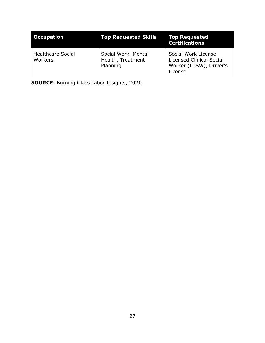| <b>Occupation</b>                   | <b>Top Requested Skills</b>                          | <b>Top Requested</b><br><b>Certifications</b>                                                 |
|-------------------------------------|------------------------------------------------------|-----------------------------------------------------------------------------------------------|
| <b>Healthcare Social</b><br>Workers | Social Work, Mental<br>Health, Treatment<br>Planning | Social Work License,<br><b>Licensed Clinical Social</b><br>Worker (LCSW), Driver's<br>License |

**SOURCE**: Burning Glass Labor Insights, 2021.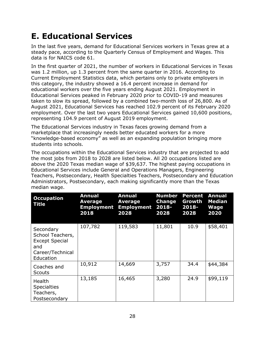#### <span id="page-28-0"></span>**E. Educational Services**

In the last five years, demand for Educational Services workers in Texas grew at a steady pace, according to the Quarterly Census of Employment and Wages. This data is for NAICS code 61.

In the first quarter of 2021, the number of workers in Educational Services in Texas was 1.2 million, up 1.3 percent from the same quarter in 2016. According to Current Employment Statistics data, which pertains only to private employers in this category, the industry showed a 16.4 percent increase in demand for educational workers over the five years ending August 2021. Employment in Educational Services peaked in February 2020 prior to COVID-19 and measures taken to slow its spread, followed by a combined two-month loss of 26,800. As of August 2021, Educational Services has reached 102.9 percent of its February 2020 employment. Over the last two years Educational Services gained 10,600 positions, representing 104.9 percent of August 2019 employment.

The Educational Services industry in Texas faces growing demand from a marketplace that increasingly needs better educated workers for a more "knowledge-based economy" as well as an expanding population bringing more students into schools.

The occupations within the Educational Services industry that are projected to add the most jobs from 2018 to 2028 are listed below. All 20 occupations listed are above the 2020 Texas median wage of \$39,637. The highest paying occupations in Educational Services include General and Operations Managers, Engineering Teachers, Postsecondary, Health Specialties Teachers, Postsecondary and Education Administrators, Postsecondary, each making significantly more than the Texas median wage.

| <b>Occupation</b><br>Title                                                                     | <b>Annual</b><br>Average<br><b>Employment</b><br>2018 | <b>Annual</b><br>Average<br><b>Employment 2018-</b><br>2028 | <b>Number</b><br><b>Change</b><br>2028 | <b>Percent</b><br>Growth<br>2018-<br>2028 | <b>Annual</b><br><b>Median</b><br><b>Wage</b><br>2020 |
|------------------------------------------------------------------------------------------------|-------------------------------------------------------|-------------------------------------------------------------|----------------------------------------|-------------------------------------------|-------------------------------------------------------|
| Secondary<br>School Teachers,<br><b>Except Special</b><br>and<br>Career/Technical<br>Education | 107,782                                               | 119,583                                                     | 11,801                                 | 10.9                                      | \$58,401                                              |
| Coaches and<br><b>Scouts</b>                                                                   | 10,912                                                | 14,669                                                      | 3,757                                  | 34.4                                      | \$44,384                                              |
| <b>Health</b><br><b>Specialties</b><br>Teachers,<br>Postsecondary                              | 13,185                                                | 16,465                                                      | 3,280                                  | 24.9                                      | \$99,119                                              |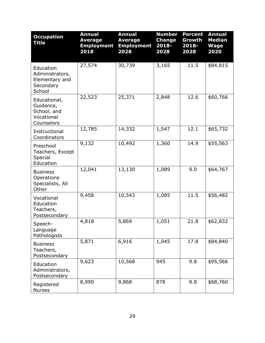| <b>Occupation</b><br><b>Title</b>                                     | <b>Annual</b><br><b>Average</b><br><b>Employment</b><br>2018 | <b>Annual</b><br><b>Average</b><br><b>Employment</b><br>2028 | <b>Number</b><br><b>Change</b><br>2018-<br>2028 | <b>Percent</b><br>Growth<br>2018-<br>2028 | <b>Annual</b><br><b>Median</b><br><b>Wage</b><br>2020 |
|-----------------------------------------------------------------------|--------------------------------------------------------------|--------------------------------------------------------------|-------------------------------------------------|-------------------------------------------|-------------------------------------------------------|
| Education<br>Administrators,<br>Elementary and<br>Secondary<br>School | 27,574                                                       | 30,739                                                       | 3,165                                           | 11.5                                      | \$84,815                                              |
| Educational,<br>Guidance,<br>School, and<br>Vocational<br>Counselors  | 22,523                                                       | 25,371                                                       | 2,848                                           | 12.6                                      | \$60,766                                              |
| Instructional<br>Coordinators                                         | 12,785                                                       | 14,332                                                       | 1,547                                           | 12.1                                      | \$65,732                                              |
| Preschool<br>Teachers, Except<br>Special<br>Education                 | 9,132                                                        | 10,492                                                       | 1,360                                           | 14.9                                      | \$55,563                                              |
| <b>Business</b><br>Operations<br>Specialists, All<br>Other            | 12,041                                                       | 13,130                                                       | 1,089                                           | 9.0                                       | \$64,767                                              |
| Vocational<br>Education<br>Teachers,<br>Postsecondary                 | 9,458                                                        | 10,543                                                       | 1,085                                           | 11.5                                      | \$56,482                                              |
| Speech-<br>Language<br>Pathologists                                   | 4,818                                                        | 5,869                                                        | 1,051                                           | 21.8                                      | \$62,832                                              |
| <b>Business</b><br>Teachers,<br>Postsecondary                         | 5,871                                                        | 6,916                                                        | 1,045                                           | 17.8                                      | \$84,840                                              |
| Education<br>Administrators,<br>Postsecondary                         | 9,623                                                        | 10,568                                                       | 945                                             | 9.8                                       | \$95,566                                              |
| Registered<br><b>Nurses</b>                                           | 8,990                                                        | 9,868                                                        | 878                                             | 9.8                                       | \$68,760                                              |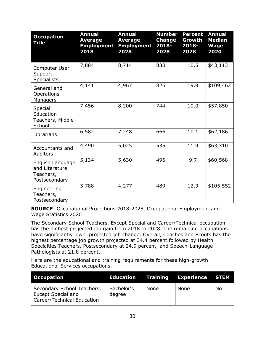| <b>Occupation</b><br><b>Title</b>                                | <b>Annual</b><br><b>Average</b><br><b>Employment</b><br>2018 | <b>Annual</b><br><b>Average</b><br><b>Employment</b><br>2028 | <b>Number</b><br><b>Change</b><br>2018-<br>2028 | <b>Percent</b><br>Growth<br>2018-<br>2028 | <b>Annual</b><br><b>Median</b><br><b>Wage</b><br>2020 |
|------------------------------------------------------------------|--------------------------------------------------------------|--------------------------------------------------------------|-------------------------------------------------|-------------------------------------------|-------------------------------------------------------|
| Computer User<br>Support<br><b>Specialists</b>                   | 7,884                                                        | 8,714                                                        | 830                                             | 10.5                                      | \$43,113                                              |
| General and<br>Operations<br>Managers                            | 4,141                                                        | 4,967                                                        | 826                                             | 19.9                                      | \$109,462                                             |
| Special<br>Education<br>Teachers, Middle<br>School               | 7,456                                                        | 8,200                                                        | 744                                             | 10.0                                      | \$57,850                                              |
| Librarians                                                       | 6,582                                                        | 7,248                                                        | 666                                             | 10.1                                      | \$62,186                                              |
| Accountants and<br>Auditors                                      | 4,490                                                        | 5,025                                                        | 535                                             | 11.9                                      | \$63,310                                              |
| English Language<br>and Literature<br>Teachers,<br>Postsecondary | 5,134                                                        | 5,630                                                        | 496                                             | 9.7                                       | \$60,568                                              |
| Engineering<br>Teachers,<br>Postsecondary                        | 3,788                                                        | 4,277                                                        | 489                                             | 12.9                                      | \$105,552                                             |

**SOURCE**: Occupational Projections 2018-2028, Occupational Employment and Wage Statistics 2020

The Secondary School Teachers, Except Special and Career/Technical occupation has the highest projected job gain from 2018 to 2028. The remaining occupations have significantly lower projected job change. Overall, Coaches and Scouts has the highest percentage job growth projected at 34.4 percent followed by Health Specialties Teachers, Postsecondary at 24.9 percent, and Speech-Language Pathologists at 21.8 percent.

Here are the educational and training requirements for these high-growth Educational Services occupations.

| <b>Occupation</b>                                                                     |                      |      | <b>Education Training Experience STEM</b> |           |
|---------------------------------------------------------------------------------------|----------------------|------|-------------------------------------------|-----------|
| Secondary School Teachers,<br><b>Except Special and</b><br>Career/Technical Education | Bachelor's<br>degree | None | None                                      | <b>No</b> |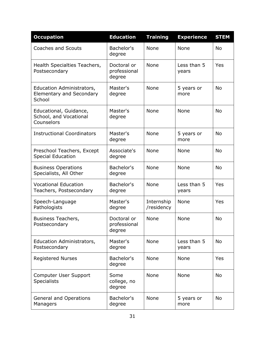| <b>Occupation</b>                                                      | <b>Education</b>                      | <b>Training</b>          | <b>Experience</b>    | <b>STEM</b> |
|------------------------------------------------------------------------|---------------------------------------|--------------------------|----------------------|-------------|
| <b>Coaches and Scouts</b>                                              | Bachelor's<br>degree                  | <b>None</b>              | <b>None</b>          | <b>No</b>   |
| Health Specialties Teachers,<br>Postsecondary                          | Doctoral or<br>professional<br>degree | None                     | Less than 5<br>years | Yes         |
| Education Administrators,<br><b>Elementary and Secondary</b><br>School | Master's<br>degree                    | None                     | 5 years or<br>more   | <b>No</b>   |
| Educational, Guidance,<br>School, and Vocational<br>Counselors         | Master's<br>degree                    | None                     | None                 | <b>No</b>   |
| <b>Instructional Coordinators</b>                                      | Master's<br>degree                    | None                     | 5 years or<br>more   | <b>No</b>   |
| Preschool Teachers, Except<br><b>Special Education</b>                 | Associate's<br>degree                 | None                     | None                 | <b>No</b>   |
| <b>Business Operations</b><br>Specialists, All Other                   | Bachelor's<br>degree                  | None                     | None                 | <b>No</b>   |
| <b>Vocational Education</b><br>Teachers, Postsecondary                 | Bachelor's<br>degree                  | None                     | Less than 5<br>years | Yes         |
| Speech-Language<br>Pathologists                                        | Master's<br>degree                    | Internship<br>/residency | None                 | Yes         |
| Business Teachers,<br>Postsecondary                                    | Doctoral or<br>professional<br>degree | None                     | None                 | <b>No</b>   |
| Education Administrators,<br>Postsecondary                             | Master's<br>degree                    | None                     | Less than 5<br>years | <b>No</b>   |
| <b>Registered Nurses</b>                                               | Bachelor's<br>degree                  | None                     | None                 | Yes         |
| Computer User Support<br><b>Specialists</b>                            | Some<br>college, no<br>degree         | None                     | None                 | No          |
| <b>General and Operations</b><br>Managers                              | Bachelor's<br>degree                  | None                     | 5 years or<br>more   | No          |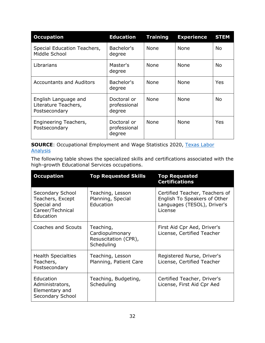| <b>Occupation</b>                                             | <b>Education</b>                      | <b>Training</b> | <b>Experience</b> | <b>STEM</b> |
|---------------------------------------------------------------|---------------------------------------|-----------------|-------------------|-------------|
| Special Education Teachers,<br>Middle School                  | Bachelor's<br>degree                  | None            | None              | No.         |
| Librarians                                                    | Master's<br>degree                    | None            | None              | No.         |
| <b>Accountants and Auditors</b>                               | Bachelor's<br>degree                  | None            | None              | Yes         |
| English Language and<br>Literature Teachers,<br>Postsecondary | Doctoral or<br>professional<br>degree | <b>None</b>     | None              | No.         |
| Engineering Teachers,<br>Postsecondary                        | Doctoral or<br>professional<br>degree | <b>None</b>     | <b>None</b>       | Yes         |

**SOURCE:** Occupational Employment and Wage Statistics 2020, Texas Labor **[Analysis](https://texaslaboranalysis.com/)** 

The following table shows the specialized skills and certifications associated with the high-growth Educational Services occupations.

| <b>Occupation</b>                                                                    | <b>Top Requested Skills</b>                                        | <b>Top Requested</b><br><b>Certifications</b>                                                            |
|--------------------------------------------------------------------------------------|--------------------------------------------------------------------|----------------------------------------------------------------------------------------------------------|
| Secondary School<br>Teachers, Except<br>Special and<br>Career/Technical<br>Education | Teaching, Lesson<br>Planning, Special<br>Education                 | Certified Teacher, Teachers of<br>English To Speakers of Other<br>Languages (TESOL), Driver's<br>License |
| Coaches and Scouts                                                                   | Teaching,<br>Cardiopulmonary<br>Resuscitation (CPR),<br>Scheduling | First Aid Cpr Aed, Driver's<br>License, Certified Teacher                                                |
| <b>Health Specialties</b><br>Teachers,<br>Postsecondary                              | Teaching, Lesson<br>Planning, Patient Care                         | Registered Nurse, Driver's<br>License, Certified Teacher                                                 |
| Education<br>Administrators,<br>Elementary and<br>Secondary School                   | Teaching, Budgeting,<br>Scheduling                                 | Certified Teacher, Driver's<br>License, First Aid Cpr Aed                                                |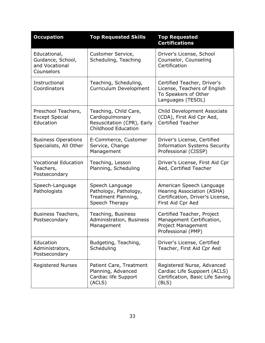| <b>Occupation</b>                                                 | <b>Top Requested Skills</b>                                                                          | <b>Top Requested</b><br><b>Certifications</b>                                                                   |
|-------------------------------------------------------------------|------------------------------------------------------------------------------------------------------|-----------------------------------------------------------------------------------------------------------------|
| Educational,<br>Guidance, School,<br>and Vocational<br>Counselors | Customer Service,<br>Scheduling, Teaching                                                            | Driver's License, School<br>Counselor, Counseling<br>Certification                                              |
| Instructional<br>Coordinators                                     | Teaching, Scheduling,<br>Curriculum Development                                                      | Certified Teacher, Driver's<br>License, Teachers of English<br>To Speakers of Other<br>Languages (TESOL)        |
| Preschool Teachers,<br><b>Except Special</b><br>Education         | Teaching, Child Care,<br>Cardiopulmonary<br>Resuscitation (CPR), Early<br><b>Childhood Education</b> | Child Development Associate<br>(CDA), First Aid Cpr Aed,<br><b>Certified Teacher</b>                            |
| <b>Business Operations</b><br>Specialists, All Other              | E-Commerce, Customer<br>Service, Change<br>Management                                                | Driver's License, Certified<br><b>Information Systems Security</b><br>Professional (CISSP)                      |
| <b>Vocational Education</b><br>Teachers,<br>Postsecondary         | Teaching, Lesson<br>Planning, Scheduling                                                             | Driver's License, First Aid Cpr<br>Aed, Certified Teacher                                                       |
| Speech-Language<br>Pathologists                                   | Speech Language<br>Pathology, Pathology,<br>Treatment Planning,<br>Speech Therapy                    | American Speech Language<br>Hearing Association (ASHA)<br>Certification, Driver's License,<br>First Aid Cpr Aed |
| Business Teachers,<br>Postsecondary                               | Teaching, Business<br>Administration, Business<br>Management                                         | Certified Teacher, Project<br>Management Certification,<br>Project Management<br>Professional (PMP)             |
| Education<br>Administrators,<br>Postsecondary                     | Budgeting, Teaching,<br>Scheduling                                                                   | Driver's License, Certified<br>Teacher, First Aid Cpr Aed                                                       |
| <b>Registered Nurses</b>                                          | Patient Care, Treatment<br>Planning, Advanced<br>Cardiac life Support<br>(ACLS)                      | Registered Nurse, Advanced<br>Cardiac Life Suppoert (ACLS)<br>Certification, Basic Life Saving<br>(BLS)         |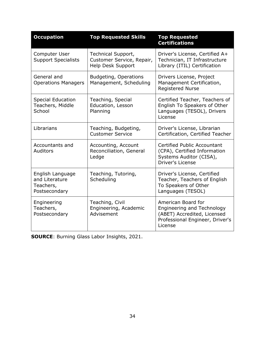| <b>Occupation</b>                                                | <b>Top Requested Skills</b>                                          | <b>Top Requested</b><br><b>Certifications</b>                                                                                        |  |
|------------------------------------------------------------------|----------------------------------------------------------------------|--------------------------------------------------------------------------------------------------------------------------------------|--|
| Computer User<br><b>Support Specialists</b>                      | Technical Support,<br>Customer Service, Repair,<br>Help Desk Support | Driver's License, Certified A+<br>Technician, IT Infrastructure<br>Library (ITIL) Certification                                      |  |
| General and<br><b>Operations Managers</b>                        | <b>Budgeting, Operations</b><br>Management, Scheduling               | Drivers License, Project<br>Management Certification,<br><b>Registered Nurse</b>                                                     |  |
| <b>Special Education</b><br>Teachers, Middle<br>School           | Teaching, Special<br>Education, Lesson<br>Planning                   | Certified Teacher, Teachers of<br>English To Speakers of Other<br>Languages (TESOL), Drivers<br>License                              |  |
| Librarians                                                       | Teaching, Budgeting,<br><b>Customer Service</b>                      | Driver's License, Librarian<br>Certification, Certified Teacher                                                                      |  |
| Accountants and<br><b>Auditors</b>                               | Accounting, Account<br>Reconciliation, General<br>Ledge              | Certified Public Accountant<br>(CPA), Certified Information<br>Systems Auditor (CISA),<br>Driver's License                           |  |
| English Language<br>and Literature<br>Teachers,<br>Postsecondary | Teaching, Tutoring,<br>Scheduling                                    | Driver's License, Certified<br>Teacher, Teachers of English<br>To Speakers of Other<br>Languages (TESOL)                             |  |
| Engineering<br>Teachers,<br>Postsecondary                        | Teaching, Civil<br>Engineering, Academic<br>Advisement               | American Board for<br><b>Engineering and Technology</b><br>(ABET) Accredited, Licensed<br>Professional Engineer, Driver's<br>License |  |

**SOURCE**: Burning Glass Labor Insights, 2021.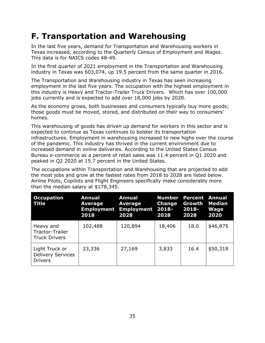#### <span id="page-35-0"></span>**F. Transportation and Warehousing**

In the last five years, demand for Transportation and Warehousing workers in Texas increased, according to the Quarterly Census of Employment and Wages. This data is for NAICS codes 48-49.

In the first quarter of 2021 employment in the Transportation and Warehousing industry in Texas was 603,074, up 19.5 percent from the same quarter in 2016.

The Transportation and Warehousing industry in Texas has seen increasing employment in the last five years. The occupation with the highest employment in this industry is Heavy and Tractor-Trailer Truck Drivers. Which has over 100,000 jobs currently and is expected to add over 18,000 jobs by 2028.

As the economy grows, both businesses and consumers typically buy more goods; those goods must be moved, stored, and distributed on their way to consumers' homes.

This warehousing of goods has driven up demand for workers in this sector and is expected to continue as Texas continues to bolster its transportation infrastructures. Employment in warehousing increased to new highs over the course of the pandemic. This industry has thrived in the current environment due to increased demand in online deliveries. According to the United States Census Bureau e-commerce as a percent of retail sales was 11.4 percent in Q1 2020 and peaked in Q2 2020 at 15.7 percent in the United States.

The occupations within Transportation and Warehousing that are projected to add the most jobs and grow at the fastest rates from 2018 to 2028 are listed below. Airline Pilots, Copilots and Flight Engineers specifically make considerably more than the median salary at \$178,345.

| <b>Occupation</b><br>Title                                   | Annual<br><b>Average</b><br>2018 | <b>Annual</b><br>Average<br><b>Employment Employment 2018-</b><br>2028 | <b>Change</b><br>2028 | <b>Number Percent Annual</b><br>Growth<br>2018-<br>2028 | <b>Median</b><br>Wage<br>2020 |
|--------------------------------------------------------------|----------------------------------|------------------------------------------------------------------------|-----------------------|---------------------------------------------------------|-------------------------------|
| Heavy and<br>Tractor-Trailer<br><b>Truck Drivers</b>         | 102,488                          | 120,894                                                                | 18,406                | 18.0                                                    | \$46,875                      |
| Light Truck or<br><b>Delivery Services</b><br><b>Drivers</b> | 23,336                           | 27,169                                                                 | 3,833                 | 16.4                                                    | \$50,318                      |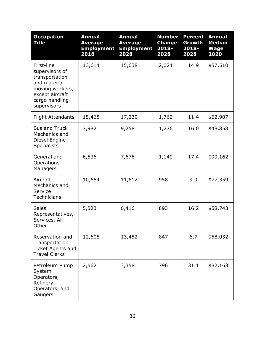| <b>Occupation</b><br><b>Title</b>                                                                                                     | <b>Annual</b><br><b>Average</b><br><b>Employment</b><br>2018 | <b>Annual</b><br><b>Average</b><br><b>Employment</b><br>2028 | <b>Number</b><br><b>Change</b><br>2018-<br>2028 | <b>Percent</b><br>Growth<br>2018-<br>2028 | <b>Annual</b><br><b>Median</b><br><b>Wage</b><br>2020 |
|---------------------------------------------------------------------------------------------------------------------------------------|--------------------------------------------------------------|--------------------------------------------------------------|-------------------------------------------------|-------------------------------------------|-------------------------------------------------------|
| First-line<br>supervisors of<br>transportation<br>and material<br>moving workers,<br>except aircraft<br>cargo handling<br>supervisors | 13,614                                                       | 15,638                                                       | 2,024                                           | 14.9                                      | \$57,510                                              |
| <b>Flight Attendants</b>                                                                                                              | 15,468                                                       | 17,230                                                       | 1,762                                           | 11.4                                      | \$62,907                                              |
| <b>Bus and Truck</b><br>Mechanics and<br>Diesel Engine<br><b>Specialists</b>                                                          | 7,982                                                        | 9,258                                                        | 1,276                                           | 16.0                                      | \$48,858                                              |
| General and<br>Operations<br>Managers                                                                                                 | 6,536                                                        | 7,676                                                        | 1,140                                           | 17.4                                      | \$99,162                                              |
| Aircraft<br>Mechanics and<br>Service<br>Technicians                                                                                   | 10,654                                                       | 11,612                                                       | 958                                             | 9.0                                       | \$77,359                                              |
| <b>Sales</b><br>Representatives,<br>Services, All<br>Other                                                                            | 5,523                                                        | 6,416                                                        | 893                                             | 16.2                                      | \$58,743                                              |
| Reservation and<br>Transportation<br>Ticket Agents and<br><b>Travel Clerks</b>                                                        | 12,605                                                       | 13,452                                                       | 847                                             | 6.7                                       | \$58,032                                              |
| Petroleum Pump<br>System<br>Operators,<br>Refinery<br>Operators, and<br>Gaugers                                                       | 2,562                                                        | 3,358                                                        | 796                                             | 31.1                                      | \$82,163                                              |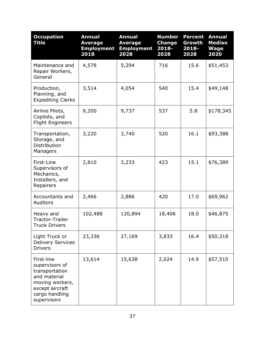| <b>Occupation</b><br><b>Title</b>                                                                                                     | <b>Annual</b><br><b>Average</b><br><b>Employment</b><br>2018 | <b>Annual</b><br><b>Average</b><br><b>Employment</b><br>2028 | <b>Number</b><br><b>Change</b><br>$2018 -$<br>2028 | <b>Percent</b><br>Growth<br>2018-<br>2028 | <b>Annual</b><br><b>Median</b><br><b>Wage</b><br>2020 |
|---------------------------------------------------------------------------------------------------------------------------------------|--------------------------------------------------------------|--------------------------------------------------------------|----------------------------------------------------|-------------------------------------------|-------------------------------------------------------|
| Maintenance and<br>Repair Workers,<br>General                                                                                         | 4,578                                                        | 5,294                                                        | 716                                                | 15.6                                      | \$51,453                                              |
| Production,<br>Planning, and<br><b>Expediting Clerks</b>                                                                              | 3,514                                                        | 4,054                                                        | 540                                                | 15.4                                      | \$49,148                                              |
| Airline Pilots,<br>Copilots, and<br><b>Flight Engineers</b>                                                                           | 9,200                                                        | 9,737                                                        | 537                                                | 5.8                                       | \$178,345                                             |
| Transportation,<br>Storage, and<br>Distribution<br>Managers                                                                           | 3,220                                                        | 3,740                                                        | 520                                                | 16.1                                      | \$93,388                                              |
| First-Line<br>Supervisors of<br>Mechanics,<br>Installers, and<br>Repairers                                                            | 2,810                                                        | 3,233                                                        | 423                                                | 15.1                                      | \$76,389                                              |
| Accountants and<br><b>Auditors</b>                                                                                                    | 2,466                                                        | 2,886                                                        | 420                                                | 17.0                                      | \$69,962                                              |
| Heavy and<br>Tractor-Trailer<br><b>Truck Drivers</b>                                                                                  | 102,488                                                      | 120,894                                                      | 18,406                                             | 18.0                                      | \$46,875                                              |
| Light Truck or<br><b>Delivery Services</b><br><b>Drivers</b>                                                                          | 23,336                                                       | 27,169                                                       | 3,833                                              | 16.4                                      | \$50,318                                              |
| First-line<br>supervisors of<br>transportation<br>and material<br>moving workers,<br>except aircraft<br>cargo handling<br>supervisors | 13,614                                                       | 15,638                                                       | 2,024                                              | 14.9                                      | \$57,510                                              |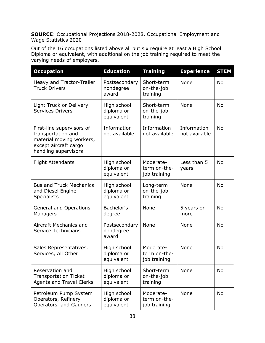Out of the 16 occupations listed above all but six require at least a High School Diploma or equivalent, with additional on the job training required to meet the varying needs of employers.

| <b>Occupation</b>                                                                                                            | <b>Education</b>                        | <b>Training</b>                           | <b>Experience</b>            | <b>STEM</b> |
|------------------------------------------------------------------------------------------------------------------------------|-----------------------------------------|-------------------------------------------|------------------------------|-------------|
| Heavy and Tractor-Trailer<br><b>Truck Drivers</b>                                                                            | Postsecondary<br>nondegree<br>award     | Short-term<br>on-the-job<br>training      | None                         | <b>No</b>   |
| Light Truck or Delivery<br><b>Services Drivers</b>                                                                           | High school<br>diploma or<br>equivalent | Short-term<br>on-the-job<br>training      | None                         | <b>No</b>   |
| First-line supervisors of<br>transportation and<br>material moving workers,<br>except aircraft cargo<br>handling supervisors | Information<br>not available            | Information<br>not available              | Information<br>not available | <b>No</b>   |
| <b>Flight Attendants</b>                                                                                                     | High school<br>diploma or<br>equivalent | Moderate-<br>term on-the-<br>job training | Less than 5<br>years         | No          |
| <b>Bus and Truck Mechanics</b><br>and Diesel Engine<br><b>Specialists</b>                                                    | High school<br>diploma or<br>equivalent | Long-term<br>on-the-job<br>training       | None                         | <b>No</b>   |
| <b>General and Operations</b><br>Managers                                                                                    | Bachelor's<br>degree                    | None                                      | 5 years or<br>more           | <b>No</b>   |
| Aircraft Mechanics and<br><b>Service Technicians</b>                                                                         | Postsecondary<br>nondegree<br>award     | None                                      | None                         | <b>No</b>   |
| Sales Representatives,<br>Services, All Other                                                                                | High school<br>diploma or<br>equivalent | Moderate-<br>term on-the-<br>job training | None                         | <b>No</b>   |
| Reservation and<br><b>Transportation Ticket</b><br><b>Agents and Travel Clerks</b>                                           | High school<br>diploma or<br>equivalent | Short-term<br>on-the-job<br>training      | None                         | No          |
| Petroleum Pump System<br>Operators, Refinery<br>Operators, and Gaugers                                                       | High school<br>diploma or<br>equivalent | Moderate-<br>term on-the-<br>job training | None                         | No          |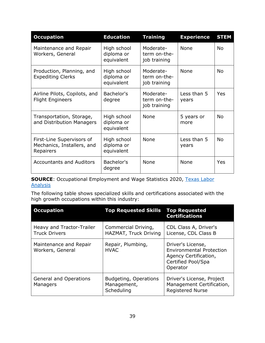| <b>Occupation</b>                                                    | <b>Education</b>                        | <b>Training</b>                           | <b>Experience</b>    | <b>STEM</b> |
|----------------------------------------------------------------------|-----------------------------------------|-------------------------------------------|----------------------|-------------|
| Maintenance and Repair<br>Workers, General                           | High school<br>diploma or<br>equivalent | Moderate-<br>term on-the-<br>job training | None                 | <b>No</b>   |
| Production, Planning, and<br><b>Expediting Clerks</b>                | High school<br>diploma or<br>equivalent | Moderate-<br>term on-the-<br>job training | None                 | <b>No</b>   |
| Airline Pilots, Copilots, and<br><b>Flight Engineers</b>             | Bachelor's<br>degree                    | Moderate-<br>term on-the-<br>job training | Less than 5<br>years | Yes         |
| Transportation, Storage,<br>and Distribution Managers                | High school<br>diploma or<br>equivalent | None                                      | 5 years or<br>more   | <b>No</b>   |
| First-Line Supervisors of<br>Mechanics, Installers, and<br>Repairers | High school<br>diploma or<br>equivalent | None                                      | Less than 5<br>years | <b>No</b>   |
| <b>Accountants and Auditors</b>                                      | Bachelor's<br>degree                    | None                                      | None                 | Yes         |

**SOURCE:** Occupational Employment and Wage Statistics 2020, Texas Labor **[Analysis](https://texaslaboranalysis.com/)** 

The following table shows specialized skills and certifications associated with the high growth occupations within this industry:

| <b>Occupation</b>                                 | <b>Top Requested Skills</b>                        | <b>Top Requested</b><br><b>Certifications</b>                                                                   |
|---------------------------------------------------|----------------------------------------------------|-----------------------------------------------------------------------------------------------------------------|
| Heavy and Tractor-Trailer<br><b>Truck Drivers</b> | Commercial Driving,<br>HAZMAT, Truck Driving       | CDL Class A, Driver's<br>License, CDL Class B                                                                   |
| Maintenance and Repair<br>Workers, General        | Repair, Plumbing,<br><b>HVAC</b>                   | Driver's License,<br><b>Environmental Protection</b><br>Agency Certification,<br>Certified Pool/Spa<br>Operator |
| <b>General and Operations</b><br>Managers         | Budgeting, Operations<br>Management,<br>Scheduling | Driver's License, Project<br>Management Certification,<br><b>Registered Nurse</b>                               |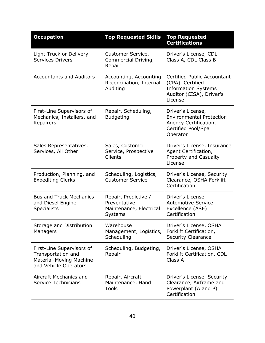| <b>Occupation</b>                                                                                   | <b>Top Requested Skills</b>                                                | <b>Top Requested</b><br><b>Certifications</b>                                                                               |
|-----------------------------------------------------------------------------------------------------|----------------------------------------------------------------------------|-----------------------------------------------------------------------------------------------------------------------------|
| Light Truck or Delivery<br><b>Services Drivers</b>                                                  | Customer Service,<br>Commercial Driving,<br>Repair                         | Driver's License, CDL<br>Class A, CDL Class B                                                                               |
| <b>Accountants and Auditors</b>                                                                     | Accounting, Accounting<br>Reconciliation, Internal<br>Auditing             | <b>Certified Public Accountant</b><br>(CPA), Certified<br><b>Information Systems</b><br>Auditor (CISA), Driver's<br>License |
| First-Line Supervisors of<br>Mechanics, Installers, and<br>Repairers                                | Repair, Scheduling,<br><b>Budgeting</b>                                    | Driver's License,<br><b>Environmental Protection</b><br>Agency Certification,<br>Certified Pool/Spa<br>Operator             |
| Sales Representatives,<br>Services, All Other                                                       | Sales, Customer<br>Service, Prospective<br>Clients                         | Driver's License, Insurance<br>Agent Certification,<br>Property and Casualty<br>License                                     |
| Production, Planning, and<br><b>Expediting Clerks</b>                                               | Scheduling, Logistics,<br><b>Customer Service</b>                          | Driver's License, Security<br>Clearance, OSHA Forklift<br>Certification                                                     |
| <b>Bus and Truck Mechanics</b><br>and Diesel Engine<br><b>Specialists</b>                           | Repair, Predictive /<br>Preventative<br>Maintenance, Electrical<br>Systems | Driver's License,<br><b>Automotive Service</b><br>Excellence (ASE)<br>Certification                                         |
| Storage and Distribution<br>Managers                                                                | Warehouse<br>Management, Logistics,<br>Scheduling                          | Driver's License, OSHA<br>Forklift Certification,<br><b>Security Clearance</b>                                              |
| First-Line Supervisors of<br>Transportation and<br>Material-Moving Machine<br>and Vehicle Operators | Scheduling, Budgeting,<br>Repair                                           | Driver's License, OSHA<br>Forklift Certification, CDL<br>Class A                                                            |
| Aircraft Mechanics and<br>Service Technicians                                                       | Repair, Aircraft<br>Maintenance, Hand<br>Tools                             | Driver's License, Security<br>Clearance, Airframe and<br>Powerplant (A and P)<br>Certification                              |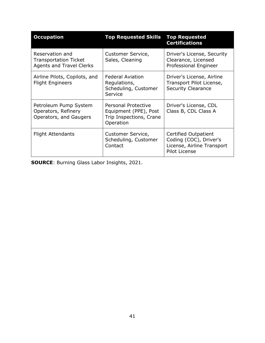| <b>Occupation</b>                                                                  | <b>Top Requested Skills</b>                                                                 | <b>Top Requested</b><br><b>Certifications</b>                                                        |
|------------------------------------------------------------------------------------|---------------------------------------------------------------------------------------------|------------------------------------------------------------------------------------------------------|
| Reservation and<br><b>Transportation Ticket</b><br><b>Agents and Travel Clerks</b> | Customer Service,<br>Sales, Cleaning                                                        | Driver's License, Security<br>Clearance, Licensed<br>Professional Engineer                           |
| Airline Pilots, Copilots, and<br><b>Flight Engineers</b>                           | <b>Federal Aviation</b><br>Regulations,<br>Scheduling, Customer<br>Service                  | Driver's License, Airline<br>Transport Pilot License,<br><b>Security Clearance</b>                   |
| Petroleum Pump System<br>Operators, Refinery<br>Operators, and Gaugers             | <b>Personal Protective</b><br>Equipment (PPE), Post<br>Trip Inspections, Crane<br>Operation | Driver's License, CDL<br>Class B, CDL Class A                                                        |
| Flight Attendants                                                                  | Customer Service,<br>Scheduling, Customer<br>Contact                                        | Certified Outpatient<br>Coding (COC), Driver's<br>License, Airline Transport<br><b>Pilot License</b> |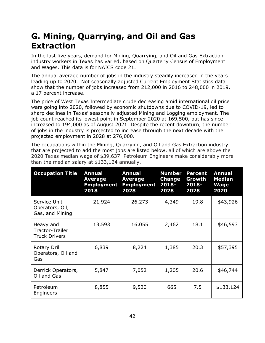#### **G. Mining, Quarrying, and Oil and Gas Extraction**

In the last five years, demand for Mining, Quarrying, and Oil and Gas Extraction industry workers in Texas has varied, based on Quarterly Census of Employment and Wages. This data is for NAICS code 21.

The annual average number of jobs in the industry steadily increased in the years leading up to 2020. Not seasonally adjusted Current Employment Statistics data show that the number of jobs increased from 212,000 in 2016 to 248,000 in 2019, a 17 percent increase.

The price of West Texas Intermediate crude decreasing amid international oil price wars going into 2020, followed by economic shutdowns due to COVID-19, led to sharp declines in Texas' seasonally adjusted Mining and Logging employment. The job count reached its lowest point in September 2020 at 169,500, but has since increased to 194,000 as of August 2021. Despite the recent downturn, the number of jobs in the industry is projected to increase through the next decade with the projected employment in 2028 at 276,000.

The occupations within the Mining, Quarrying, and Oil and Gas Extraction industry that are projected to add the most jobs are listed below, all of which are above the 2020 Texas median wage of \$39,637. Petroleum Engineers make considerably more than the median salary at \$133,124 annually.

| <b>Occupation Title</b>                              | <b>Annual</b><br>Average<br><b>Employment</b><br>2018 | <b>Annual</b><br>Average<br><b>Employment</b><br>2028 | <b>Number</b><br><b>Change</b><br>2018-<br>2028 | <b>Percent</b><br>Growth<br>2018-<br>2028 | <b>Annual</b><br><b>Median</b><br>Wage<br>2020 |
|------------------------------------------------------|-------------------------------------------------------|-------------------------------------------------------|-------------------------------------------------|-------------------------------------------|------------------------------------------------|
| Service Unit<br>Operators, Oil,<br>Gas, and Mining   | 21,924                                                | 26,273                                                | 4,349                                           | 19.8                                      | \$43,926                                       |
| Heavy and<br>Tractor-Trailer<br><b>Truck Drivers</b> | 13,593                                                | 16,055                                                | 2,462                                           | 18.1                                      | \$46,593                                       |
| Rotary Drill<br>Operators, Oil and<br>Gas            | 6,839                                                 | 8,224                                                 | 1,385                                           | 20.3                                      | \$57,395                                       |
| Derrick Operators,<br>Oil and Gas                    | 5,847                                                 | 7,052                                                 | 1,205                                           | 20.6                                      | \$46,744                                       |
| Petroleum<br>Engineers                               | 8,855                                                 | 9,520                                                 | 665                                             | 7.5                                       | \$133,124                                      |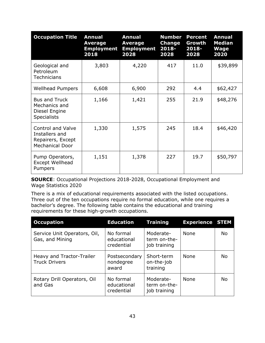| <b>Occupation Title</b>                                                                   | <b>Annual</b><br><b>Average</b><br><b>Employment</b><br>2018 | <b>Annual</b><br><b>Average</b><br><b>Employment</b><br>2028 | <b>Number</b><br>Change<br>$2018 -$<br>2028 | <b>Percent</b><br>Growth<br>$2018 -$<br>2028 | <b>Annual</b><br><b>Median</b><br><b>Wage</b><br>2020 |
|-------------------------------------------------------------------------------------------|--------------------------------------------------------------|--------------------------------------------------------------|---------------------------------------------|----------------------------------------------|-------------------------------------------------------|
| Geological and<br>Petroleum<br><b>Technicians</b>                                         | 3,803                                                        | 4,220                                                        | 417                                         | 11.0                                         | \$39,899                                              |
| <b>Wellhead Pumpers</b>                                                                   | 6,608                                                        | 6,900                                                        | 292                                         | 4.4                                          | \$62,427                                              |
| <b>Bus and Truck</b><br>Mechanics and<br>Diesel Engine<br><b>Specialists</b>              | 1,166                                                        | 1,421                                                        | 255                                         | 21.9                                         | \$48,276                                              |
| <b>Control and Valve</b><br>Installers and<br>Repairers, Except<br><b>Mechanical Door</b> | 1,330                                                        | 1,575                                                        | 245                                         | 18.4                                         | \$46,420                                              |
| Pump Operators,<br><b>Except Wellhead</b><br>Pumpers                                      | 1,151                                                        | 1,378                                                        | 227                                         | 19.7                                         | \$50,797                                              |

There is a mix of educational requirements associated with the listed occupations. Three out of the ten occupations require no formal education, while one requires a bachelor's degree. The following table contains the educational and training requirements for these high-growth occupations.

| <b>Occupation</b>                                 | <b>Education</b>                       | <b>Training</b>                           | <b>Experience STEM</b> |           |
|---------------------------------------------------|----------------------------------------|-------------------------------------------|------------------------|-----------|
| Service Unit Operators, Oil,<br>Gas, and Mining   | No formal<br>educational<br>credential | Moderate-<br>term on-the-<br>job training | None                   | No.       |
| Heavy and Tractor-Trailer<br><b>Truck Drivers</b> | Postsecondary<br>nondegree<br>award    | Short-term<br>on-the-job<br>training      | None                   | <b>No</b> |
| Rotary Drill Operators, Oil<br>and Gas            | No formal<br>educational<br>credential | Moderate-<br>term on-the-<br>job training | None                   | No.       |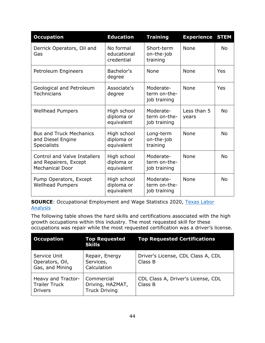| <b>Occupation</b>                                                                      | <b>Education</b>                        | <b>Training</b>                           | <b>Experience</b>    | <b>STEM</b> |
|----------------------------------------------------------------------------------------|-----------------------------------------|-------------------------------------------|----------------------|-------------|
| Derrick Operators, Oil and<br>Gas                                                      | No formal<br>educational<br>credential  | Short-term<br>on-the-job<br>training      | None                 | <b>No</b>   |
| Petroleum Engineers                                                                    | Bachelor's<br>degree                    | <b>None</b>                               | None                 | Yes         |
| Geological and Petroleum<br><b>Technicians</b>                                         | Associate's<br>degree                   | Moderate-<br>term on-the-<br>job training | None                 | Yes         |
| <b>Wellhead Pumpers</b>                                                                | High school<br>diploma or<br>equivalent | Moderate-<br>term on-the-<br>job training | Less than 5<br>years | No.         |
| <b>Bus and Truck Mechanics</b><br>and Diesel Engine<br><b>Specialists</b>              | High school<br>diploma or<br>equivalent | Long-term<br>on-the-job<br>training       | None                 | <b>No</b>   |
| <b>Control and Valve Installers</b><br>and Repairers, Except<br><b>Mechanical Door</b> | High school<br>diploma or<br>equivalent | Moderate-<br>term on-the-<br>job training | None                 | <b>No</b>   |
| Pump Operators, Except<br><b>Wellhead Pumpers</b>                                      | High school<br>diploma or<br>equivalent | Moderate-<br>term on-the-<br>job training | None                 | <b>No</b>   |

**SOURCE:** Occupational Employment and Wage Statistics 2020, Texas Labor **[Analysis](https://texaslaboranalysis.com/)** 

The following table shows the hard skills and certifications associated with the high growth occupations within this industry. The most requested skill for these occupations was repair while the most requested certification was a driver's license.

| <b>Occupation</b>                                            | <b>Top Requested</b><br><b>Skills</b>                  | <b>Top Requested Certifications</b>           |
|--------------------------------------------------------------|--------------------------------------------------------|-----------------------------------------------|
| Service Unit<br>Operators, Oil,<br>Gas, and Mining           | Repair, Energy<br>Services,<br>Calculation             | Driver's License, CDL Class A, CDL<br>Class B |
| Heavy and Tractor-<br><b>Trailer Truck</b><br><b>Drivers</b> | Commercial<br>Driving, HAZMAT,<br><b>Truck Driving</b> | CDL Class A, Driver's License, CDL<br>Class B |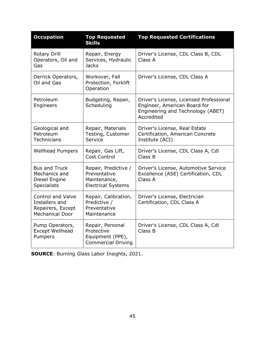| <b>Occupation</b>                                                                         | <b>Top Requested</b><br><b>Skills</b>                                             | <b>Top Requested Certifications</b>                                                                                        |
|-------------------------------------------------------------------------------------------|-----------------------------------------------------------------------------------|----------------------------------------------------------------------------------------------------------------------------|
| Rotary Drill<br>Operators, Oil and<br>Gas                                                 | Repair, Energy<br>Services, Hydraulic<br><b>Jacks</b>                             | Driver's License, CDL Class B, CDL<br>Class A                                                                              |
| Derrick Operators,<br>Oil and Gas                                                         | Workover, Fall<br>Protection, Forklift<br>Operation                               | Driver's License, CDL Class A                                                                                              |
| Petroleum<br>Engineers                                                                    | Budgeting, Repair,<br>Scheduling                                                  | Driver's License, Licensed Professional<br>Engineer, American Board for<br>Engineering and Technology (ABET)<br>Accredited |
| Geological and<br>Petroleum<br>Technicians                                                | Repair, Materials<br>Testing, Customer<br>Service                                 | Driver's License, Real Estate<br>Certification, American Concrete<br>Institute (ACI)                                       |
| <b>Wellhead Pumpers</b>                                                                   | Repair, Gas Lift,<br>Cost Control                                                 | Driver's License, CDL Class A, Cdl<br>Class B                                                                              |
| <b>Bus and Truck</b><br>Mechanics and<br>Diesel Engine<br><b>Specialists</b>              | Repair, Predictive /<br>Preventative<br>Maintenance,<br><b>Electrical Systems</b> | Driver's License, Automotive Service<br>Excellence (ASE) Certification, CDL<br>Class A                                     |
| <b>Control and Valve</b><br>Installers and<br>Repairers, Except<br><b>Mechanical Door</b> | Repair, Calibration,<br>Predictive /<br>Preventative<br>Maintenance               | Driver's License, Electrician<br>Certification, CDL Class A                                                                |
| Pump Operators,<br>Except Wellhead<br>Pumpers                                             | Repair, Personal<br>Protective<br>Equipment (PPE),<br><b>Commercial Driving</b>   | Driver's License, CDL Class A, Cdl<br>Class B                                                                              |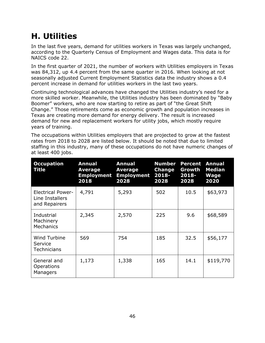## **H. Utilities**

In the last five years, demand for utilities workers in Texas was largely unchanged, according to the Quarterly Census of Employment and Wages data. This data is for NAICS code 22.

In the first quarter of 2021, the number of workers with Utilities employers in Texas was 84,312, up 4.4 percent from the same quarter in 2016. When looking at not seasonally adjusted Current Employment Statistics data the industry shows a 0.4 percent increase in demand for utilities workers in the last two years.

Continuing technological advances have changed the Utilities industry's need for a more skilled worker. Meanwhile, the Utilities industry has been dominated by "Baby Boomer" workers, who are now starting to retire as part of "the Great Shift Change." Those retirements come as economic growth and population increases in Texas are creating more demand for energy delivery. The result is increased demand for new and replacement workers for utility jobs, which mostly require years of training.

The occupations within Utilities employers that are projected to grow at the fastest rates from 2018 to 2028 are listed below. It should be noted that due to limited staffing in this industry, many of these occupations do not have numeric changes of at least 400 jobs.

| <b>Occupation</b><br>Title                                   | <b>Annual</b><br>Average<br><b>Employment</b><br>2018 | <b>Annual</b><br>Average<br><b>Employment</b><br>2028 | <b>Number</b><br>Change<br>$2018 -$<br>2028 | <b>Percent</b><br>Growth<br>$2018 -$<br>2028 | <b>Annual</b><br><b>Median</b><br><b>Wage</b><br>2020 |
|--------------------------------------------------------------|-------------------------------------------------------|-------------------------------------------------------|---------------------------------------------|----------------------------------------------|-------------------------------------------------------|
| <b>Electrical Power-</b><br>Line Installers<br>and Repairers | 4,791                                                 | 5,293                                                 | 502                                         | 10.5                                         | \$63,973                                              |
| Industrial<br>Machinery<br>Mechanics                         | 2,345                                                 | 2,570                                                 | 225                                         | 9.6                                          | \$68,589                                              |
| Wind Turbine<br>Service<br><b>Technicians</b>                | 569                                                   | 754                                                   | 185                                         | 32.5                                         | \$56,177                                              |
| General and<br><b>Operations</b><br>Managers                 | 1,173                                                 | 1,338                                                 | 165                                         | 14.1                                         | \$119,770                                             |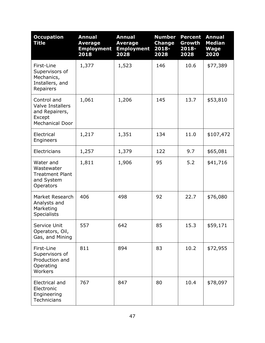| <b>Occupation</b><br><b>Title</b>                                                            | <b>Annual</b><br><b>Average</b><br><b>Employment</b><br>2018 | <b>Annual</b><br><b>Average</b><br><b>Employment</b><br>2028 | <b>Number</b><br><b>Change</b><br>2018-<br>2028 | <b>Percent</b><br>Growth<br>2018-<br>2028 | <b>Annual</b><br><b>Median</b><br><b>Wage</b><br>2020 |
|----------------------------------------------------------------------------------------------|--------------------------------------------------------------|--------------------------------------------------------------|-------------------------------------------------|-------------------------------------------|-------------------------------------------------------|
| First-Line<br>Supervisors of<br>Mechanics,<br>Installers, and<br>Repairers                   | 1,377                                                        | 1,523                                                        | 146                                             | 10.6                                      | \$77,389                                              |
| Control and<br><b>Valve Installers</b><br>and Repairers,<br>Except<br><b>Mechanical Door</b> | 1,061                                                        | 1,206                                                        | 145                                             | 13.7                                      | \$53,810                                              |
| Electrical<br>Engineers                                                                      | 1,217                                                        | 1,351                                                        | 134                                             | 11.0                                      | \$107,472                                             |
| Electricians                                                                                 | 1,257                                                        | 1,379                                                        | 122                                             | 9.7                                       | \$65,081                                              |
| Water and<br>Wastewater<br><b>Treatment Plant</b><br>and System<br>Operators                 | 1,811                                                        | 1,906                                                        | 95                                              | 5.2                                       | \$41,716                                              |
| Market Research<br>Analysts and<br>Marketing<br><b>Specialists</b>                           | 406                                                          | 498                                                          | 92                                              | 22.7                                      | \$76,080                                              |
| Service Unit<br>Operators, Oil,<br>Gas, and Mining                                           | 557                                                          | 642                                                          | 85                                              | 15.3                                      | \$59,171                                              |
| First-Line<br>Supervisors of<br>Production and<br>Operating<br>Workers                       | 811                                                          | 894                                                          | 83                                              | 10.2                                      | \$72,955                                              |
| Electrical and<br>Electronic<br>Engineering<br>Technicians                                   | 767                                                          | 847                                                          | 80                                              | 10.4                                      | \$78,097                                              |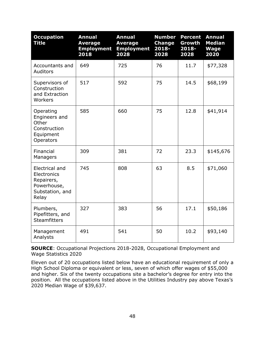| <b>Occupation</b><br><b>Title</b>                                                      | <b>Annual</b><br><b>Average</b><br><b>Employment</b><br>2018 | <b>Annual</b><br><b>Average</b><br><b>Employment</b><br>2028 | <b>Number</b><br><b>Change</b><br>2018-<br>2028 | <b>Percent</b><br>Growth<br>2018-<br>2028 | <b>Annual</b><br><b>Median</b><br><b>Wage</b><br>2020 |
|----------------------------------------------------------------------------------------|--------------------------------------------------------------|--------------------------------------------------------------|-------------------------------------------------|-------------------------------------------|-------------------------------------------------------|
| Accountants and<br>Auditors                                                            | 649                                                          | 725                                                          | 76                                              | 11.7                                      | \$77,328                                              |
| Supervisors of<br>Construction<br>and Extraction<br>Workers                            | 517                                                          | 592                                                          | 75                                              | 14.5                                      | \$68,199                                              |
| Operating<br>Engineers and<br>Other<br>Construction<br>Equipment<br>Operators          | 585                                                          | 660                                                          | 75                                              | 12.8                                      | \$41,914                                              |
| Financial<br>Managers                                                                  | 309                                                          | 381                                                          | 72                                              | 23.3                                      | \$145,676                                             |
| Electrical and<br>Electronics<br>Repairers,<br>Powerhouse,<br>Substation, and<br>Relay | 745                                                          | 808                                                          | 63                                              | 8.5                                       | \$71,060                                              |
| Plumbers,<br>Pipefitters, and<br><b>Steamfitters</b>                                   | 327                                                          | 383                                                          | 56                                              | 17.1                                      | \$50,186                                              |
| Management<br>Analysts                                                                 | 491                                                          | 541                                                          | 50                                              | 10.2                                      | \$93,140                                              |

Eleven out of 20 occupations listed below have an educational requirement of only a High School Diploma or equivalent or less, seven of which offer wages of \$55,000 and higher. Six of the twenty occupations site a bachelor's degree for entry into the position. All the occupations listed above in the Utilities Industry pay above Texas's 2020 Median Wage of \$39,637.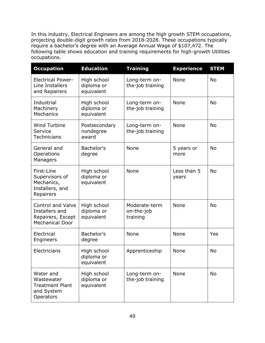In this industry, Electrical Engineers are among the high growth STEM occupations, projecting double-digit growth rates from 2018-2028. These occupations typically require a bachelor's degree with an Average Annual Wage of \$107,472. The following table shows education and training requirements for high-growth Utilities occupations.

| <b>Occupation</b>                                                                         | <b>Education</b>                        | <b>Training</b>                           | <b>Experience</b>    | <b>STEM</b> |
|-------------------------------------------------------------------------------------------|-----------------------------------------|-------------------------------------------|----------------------|-------------|
| <b>Electrical Power-</b><br>Line Installers<br>and Repairers                              | High school<br>diploma or<br>equivalent | None<br>Long-term on-<br>the-job training |                      | <b>No</b>   |
| Industrial<br>Machinery<br>Mechanics                                                      | High school<br>diploma or<br>equivalent | Long-term on-<br>the-job training         | None                 | <b>No</b>   |
| Wind Turbine<br>Service<br><b>Technicians</b>                                             | Postsecondary<br>nondegree<br>award     | Long-term on-<br>the-job training         | None                 | <b>No</b>   |
| General and<br>Operations<br>Managers                                                     | Bachelor's<br>degree                    | None                                      | 5 years or<br>more   | <b>No</b>   |
| First-Line<br>Supervisors of<br>Mechanics,<br>Installers, and<br>Repairers                | High school<br>diploma or<br>equivalent | None                                      | Less than 5<br>years | <b>No</b>   |
| <b>Control and Valve</b><br>Installers and<br>Repairers, Except<br><b>Mechanical Door</b> | High school<br>diploma or<br>equivalent | Moderate-term<br>on-the-job<br>training   | None                 | <b>No</b>   |
| Electrical<br>Engineers                                                                   | Bachelor's<br>degree                    | None                                      | None                 | Yes         |
| Electricians                                                                              | High school<br>diploma or<br>equivalent | Apprenticeship                            | None                 | <b>No</b>   |
| Water and<br>Wastewater<br><b>Treatment Plant</b><br>and System<br>Operators              | High school<br>diploma or<br>equivalent | Long-term on-<br>the-job training         | None                 | <b>No</b>   |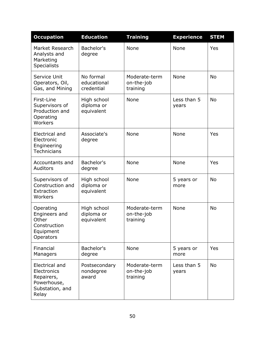| <b>Occupation</b>                                                                      | <b>Education</b>                        | <b>Training</b>                         | <b>Experience</b>    | <b>STEM</b> |
|----------------------------------------------------------------------------------------|-----------------------------------------|-----------------------------------------|----------------------|-------------|
| Market Research<br>Analysts and<br>Marketing<br><b>Specialists</b>                     | Bachelor's<br>degree                    | None                                    | None                 | Yes         |
| Service Unit<br>Operators, Oil,<br>Gas, and Mining                                     | No formal<br>educational<br>credential  | Moderate-term<br>on-the-job<br>training | None                 | <b>No</b>   |
| First-Line<br>Supervisors of<br>Production and<br>Operating<br>Workers                 | High school<br>diploma or<br>equivalent | None                                    | Less than 5<br>years | <b>No</b>   |
| Electrical and<br>Electronic<br>Engineering<br><b>Technicians</b>                      | Associate's<br>degree                   | None                                    | None                 | Yes         |
| Accountants and<br>Auditors                                                            | Bachelor's<br>degree                    | None                                    | None                 | Yes         |
| Supervisors of<br>Construction and<br>Extraction<br>Workers                            | High school<br>diploma or<br>equivalent | None                                    | 5 years or<br>more   | <b>No</b>   |
| Operating<br>Engineers and<br>Other<br>Construction<br>Equipment<br>Operators          | High school<br>diploma or<br>equivalent | Moderate-term<br>on-the-job<br>training | None                 | <b>No</b>   |
| Financial<br>Managers                                                                  | Bachelor's<br>degree                    | None                                    | 5 years or<br>more   | Yes         |
| Electrical and<br>Electronics<br>Repairers,<br>Powerhouse,<br>Substation, and<br>Relay | Postsecondary<br>nondegree<br>award     | Moderate-term<br>on-the-job<br>training | Less than 5<br>years | <b>No</b>   |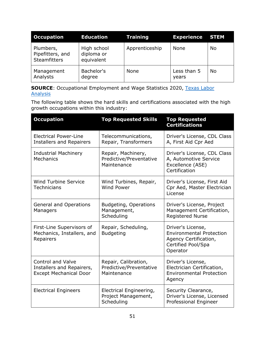| <b>Occupation</b>                                    | <b>Education</b>                        | <b>Training</b> | <b>Experience STEM</b> |           |
|------------------------------------------------------|-----------------------------------------|-----------------|------------------------|-----------|
| Plumbers,<br>Pipefitters, and<br><b>Steamfitters</b> | High school<br>diploma or<br>equivalent | Apprenticeship  | <b>None</b>            | <b>No</b> |
| Management<br>Analysts                               | Bachelor's<br>degree                    | None            | Less than 5<br>years   | No        |

**SOURCE:** Occupational Employment and Wage Statistics 2020, Texas Labor [Analysis](https://texaslaboranalysis.com/)

The following table shows the hard skills and certifications associated with the high growth occupations within this industry:

| <b>Occupation</b>                                                                      | <b>Top Requested Skills</b>                                    | <b>Top Requested</b><br><b>Certifications</b>                                                                   |
|----------------------------------------------------------------------------------------|----------------------------------------------------------------|-----------------------------------------------------------------------------------------------------------------|
| <b>Electrical Power-Line</b><br><b>Installers and Repairers</b>                        | Telecommunications,<br>Repair, Transformers                    | Driver's License, CDL Class<br>A, First Aid Cpr Aed                                                             |
| <b>Industrial Machinery</b><br>Mechanics                                               | Repair, Machinery,<br>Predictive/Preventative<br>Maintenance   | Driver's License, CDL Class<br>A, Automotive Service<br>Excellence (ASE)<br>Certification                       |
| <b>Wind Turbine Service</b><br>Technicians                                             | Wind Turbines, Repair,<br><b>Wind Power</b>                    | Driver's License, First Aid<br>Cpr Aed, Master Electrician<br>License                                           |
| <b>General and Operations</b><br>Managers                                              | Budgeting, Operations<br>Management,<br>Scheduling             | Driver's License, Project<br>Management Certification,<br><b>Registered Nurse</b>                               |
| First-Line Supervisors of<br>Mechanics, Installers, and<br>Repairers                   | Repair, Scheduling,<br><b>Budgeting</b>                        | Driver's License,<br><b>Environmental Protection</b><br>Agency Certification,<br>Certified Pool/Spa<br>Operator |
| <b>Control and Valve</b><br>Installers and Repairers,<br><b>Except Mechanical Door</b> | Repair, Calibration,<br>Predictive/Preventative<br>Maintenance | Driver's License,<br>Electrician Certification,<br><b>Environmental Protection</b><br>Agency                    |
| <b>Electrical Engineers</b>                                                            | Electrical Engineering,<br>Project Management,<br>Scheduling   | Security Clearance,<br>Driver's License, Licensed<br>Professional Engineer                                      |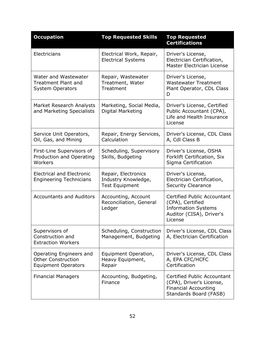| <b>Occupation</b>                                                                  | <b>Top Requested Skills</b>                                         | <b>Top Requested</b><br><b>Certifications</b>                                                                        |
|------------------------------------------------------------------------------------|---------------------------------------------------------------------|----------------------------------------------------------------------------------------------------------------------|
| Electricians                                                                       | Electrical Work, Repair,<br><b>Electrical Systems</b>               | Driver's License,<br>Electrician Certification,<br>Master Electrician License                                        |
| Water and Wastewater<br><b>Treatment Plant and</b><br><b>System Operators</b>      | Repair, Wastewater<br>Treatment, Water<br>Treatment                 | Driver's License,<br><b>Wastewater Treatment</b><br>Plant Operator, CDL Class<br>D                                   |
| Market Research Analysts<br>and Marketing Specialists                              | Marketing, Social Media,<br>Digital Marketing                       | Driver's License, Certified<br>Public Accountant (CPA),<br>Life and Health Insurance<br>License                      |
| Service Unit Operators,<br>Oil, Gas, and Mining                                    | Repair, Energy Services,<br>Calculation                             | Driver's License, CDL Class<br>A, Cdl Class B                                                                        |
| First-Line Supervisors of<br>Production and Operating<br>Workers                   | Scheduling, Supervisory<br>Skills, Budgeting                        | Driver's License, OSHA<br>Forklift Certification, Six<br>Sigma Certification                                         |
| <b>Electrical and Electronic</b><br><b>Engineering Technicians</b>                 | Repair, Electronics<br>Industry Knowledge,<br><b>Test Equipment</b> | Driver's License,<br>Electrician Certification,<br><b>Security Clearance</b>                                         |
| <b>Accountants and Auditors</b>                                                    | Accounting, Account<br>Reconciliation, General<br>Ledger            | Certified Public Accountant<br>(CPA), Certified<br><b>Information Systems</b><br>Auditor (CISA), Driver's<br>License |
| Supervisors of<br>Construction and<br><b>Extraction Workers</b>                    | Scheduling, Construction<br>Management, Budgeting                   | Driver's License, CDL Class<br>A, Electrician Certification                                                          |
| Operating Engineers and<br><b>Other Construction</b><br><b>Equipment Operators</b> | Equipment Operation,<br>Heavy Equipment,<br>Repair                  | Driver's License, CDL Class<br>A, EPA CFC/HCFC<br>Certification                                                      |
| <b>Financial Managers</b>                                                          | Accounting, Budgeting,<br>Finance                                   | Certified Public Accountant<br>(CPA), Driver's License,<br><b>Financial Accounting</b><br>Standards Board (FASB)     |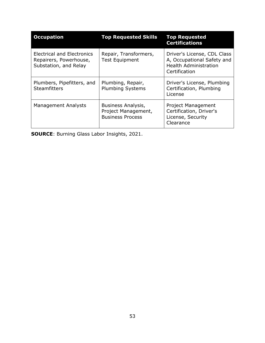| <b>Occupation</b>                                                             | <b>Top Requested Skills</b>                                          | <b>Top Requested</b><br><b>Certifications</b>                                                              |
|-------------------------------------------------------------------------------|----------------------------------------------------------------------|------------------------------------------------------------------------------------------------------------|
| Electrical and Electronics<br>Repairers, Powerhouse,<br>Substation, and Relay | Repair, Transformers,<br><b>Test Equipment</b>                       | Driver's License, CDL Class<br>A, Occupational Safety and<br><b>Health Administration</b><br>Certification |
| Plumbers, Pipefitters, and<br><b>Steamfitters</b>                             | Plumbing, Repair,<br><b>Plumbing Systems</b>                         | Driver's License, Plumbing<br>Certification, Plumbing<br>License                                           |
| Management Analysts                                                           | Business Analysis,<br>Project Management,<br><b>Business Process</b> | <b>Project Management</b><br>Certification, Driver's<br>License, Security<br>Clearance                     |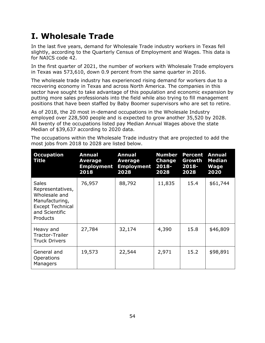### **I. Wholesale Trade**

In the last five years, demand for Wholesale Trade industry workers in Texas fell slightly, according to the Quarterly Census of Employment and Wages. This data is for NAICS code 42.

In the first quarter of 2021, the number of workers with Wholesale Trade employers in Texas was 573,610, down 0.9 percent from the same quarter in 2016.

The wholesale trade industry has experienced rising demand for workers due to a recovering economy in Texas and across North America. The companies in this sector have sought to take advantage of this population and economic expansion by putting more sales professionals into the field while also trying to fill management positions that have been staffed by Baby Boomer supervisors who are set to retire.

As of 2018, the 20 most in-demand occupations in the Wholesale Industry employed over 228,500 people and is expected to grow another 35,520 by 2028. All twenty of the occupations listed pay Median Annual Wages above the state Median of \$39,637 according to 2020 data.

| <b>Occupation</b><br>Title                                                                                                   | <b>Annual</b><br><b>Average</b><br><b>Employment</b><br>2018 | <b>Annual</b><br><b>Average</b><br><b>Employment</b><br>2028 | <b>Number</b><br>Change<br>2018-<br>2028 | <b>Percent</b><br>Growth<br>2018-<br>2028 | <b>Annual</b><br><b>Median</b><br><b>Wage</b><br>2020 |
|------------------------------------------------------------------------------------------------------------------------------|--------------------------------------------------------------|--------------------------------------------------------------|------------------------------------------|-------------------------------------------|-------------------------------------------------------|
| <b>Sales</b><br>Representatives,<br>Wholesale and<br>Manufacturing,<br><b>Except Technical</b><br>and Scientific<br>Products | 76,957                                                       | 88,792                                                       | 11,835                                   | 15.4                                      | \$61,744                                              |
| Heavy and<br>Tractor-Trailer<br><b>Truck Drivers</b>                                                                         | 27,784                                                       | 32,174                                                       | 4,390                                    | 15.8                                      | \$46,809                                              |
| General and<br><b>Operations</b><br>Managers                                                                                 | 19,573                                                       | 22,544                                                       | 2,971                                    | 15.2                                      | \$98,891                                              |

The occupations within the Wholesale Trade industry that are projected to add the most jobs from 2018 to 2028 are listed below.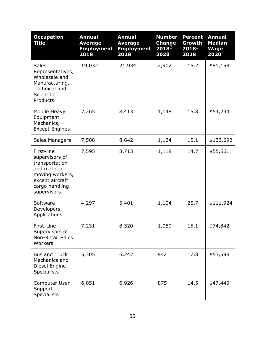| <b>Occupation</b><br><b>Title</b>                                                                                                     | <b>Annual</b><br><b>Average</b><br><b>Employment</b><br>2018 | <b>Annual</b><br><b>Average</b><br><b>Employment</b><br>2028 | <b>Number</b><br><b>Change</b><br>2018-<br>2028 | <b>Percent</b><br>Growth<br>2018-<br>2028 | <b>Annual</b><br><b>Median</b><br><b>Wage</b><br>2020 |
|---------------------------------------------------------------------------------------------------------------------------------------|--------------------------------------------------------------|--------------------------------------------------------------|-------------------------------------------------|-------------------------------------------|-------------------------------------------------------|
| <b>Sales</b><br>Representatives,<br>Wholesale and<br>Manufacturing,<br><b>Technical and</b><br>Scientific<br>Products                 | 19,032                                                       | 21,934                                                       | 2,902                                           | 15.2                                      | \$81,158                                              |
| Mobile Heavy<br>Equipment<br>Mechanics,<br><b>Except Engines</b>                                                                      | 7,265                                                        | 8,413                                                        | 1,148                                           | 15.8                                      | \$54,234                                              |
| Sales Managers                                                                                                                        | 7,508                                                        | 8,642                                                        | 1,134                                           | 15.1                                      | \$133,692                                             |
| First-line<br>supervisors of<br>transportation<br>and material<br>moving workers,<br>except aircraft<br>cargo handling<br>supervisors | 7,595                                                        | 8,713                                                        | 1,118                                           | 14.7                                      | \$55,661                                              |
| Software<br>Developers,<br>Applications                                                                                               | 4,297                                                        | 5,401                                                        | 1,104                                           | 25.7                                      | \$111,924                                             |
| First-Line<br>Supervisors of<br><b>Non-Retail Sales</b><br>Workers                                                                    | 7,231                                                        | 8,320                                                        | 1,089                                           | 15.1                                      | \$74,842                                              |
| <b>Bus and Truck</b><br>Mechanics and<br>Diesel Engine<br><b>Specialists</b>                                                          | 5,305                                                        | 6,247                                                        | 942                                             | 17.8                                      | \$53,598                                              |
| Computer User<br>Support<br><b>Specialists</b>                                                                                        | 6,051                                                        | 6,926                                                        | 875                                             | 14.5                                      | \$47,449                                              |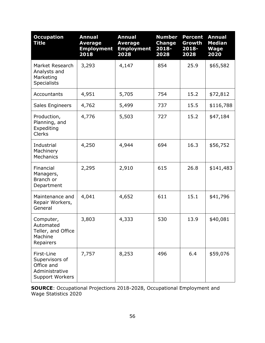| <b>Occupation</b><br><b>Title</b>                                                      | <b>Annual</b><br><b>Average</b><br><b>Employment</b><br>2018 | <b>Annual</b><br><b>Average</b><br><b>Employment</b><br>2028 | <b>Number</b><br><b>Change</b><br>2018-<br>2028 | <b>Percent</b><br>Growth<br>2018-<br>2028 | <b>Annual</b><br><b>Median</b><br><b>Wage</b><br>2020 |
|----------------------------------------------------------------------------------------|--------------------------------------------------------------|--------------------------------------------------------------|-------------------------------------------------|-------------------------------------------|-------------------------------------------------------|
| Market Research<br>Analysts and<br>Marketing<br><b>Specialists</b>                     | 3,293                                                        | 4,147                                                        | 854                                             | 25.9                                      | \$65,582                                              |
| Accountants                                                                            | 4,951                                                        | 5,705                                                        | 754                                             | 15.2                                      | \$72,812                                              |
| Sales Engineers                                                                        | 4,762                                                        | 5,499                                                        | 737                                             | 15.5                                      | \$116,788                                             |
| Production,<br>Planning, and<br>Expediting<br><b>Clerks</b>                            | 4,776                                                        | 5,503                                                        | 727                                             | 15.2                                      | \$47,184                                              |
| Industrial<br>Machinery<br><b>Mechanics</b>                                            | 4,250                                                        | 4,944                                                        | 694                                             | 16.3                                      | \$56,752                                              |
| Financial<br>Managers,<br>Branch or<br>Department                                      | 2,295                                                        | 2,910                                                        | 615                                             | 26.8                                      | \$141,483                                             |
| Maintenance and<br>Repair Workers,<br>General                                          | 4,041                                                        | 4,652                                                        | 611                                             | 15.1                                      | \$41,796                                              |
| Computer,<br>Automated<br>Teller, and Office<br>Machine<br>Repairers                   | 3,803                                                        | 4,333                                                        | 530                                             | 13.9                                      | \$40,081                                              |
| First-Line<br>Supervisors of<br>Office and<br>Administrative<br><b>Support Workers</b> | 7,757                                                        | 8,253                                                        | 496                                             | 6.4                                       | \$59,076                                              |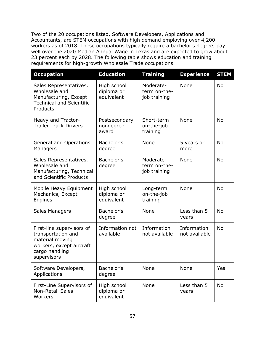Two of the 20 occupations listed, Software Developers, Applications and Accountants, are STEM occupations with high demand employing over 4,200 workers as of 2018. These occupations typically require a bachelor's degree, pay well over the 2020 Median Annual Wage in Texas and are expected to grow about 23 percent each by 2028. The following table shows education and training requirements for high-growth Wholesale Trade occupations.

| <b>Occupation</b>                                                                                                               | <b>Education</b>                        | <b>Training</b>                           | <b>Experience</b>            | <b>STEM</b> |
|---------------------------------------------------------------------------------------------------------------------------------|-----------------------------------------|-------------------------------------------|------------------------------|-------------|
| Sales Representatives,<br>Wholesale and<br>Manufacturing, Except<br><b>Technical and Scientific</b><br>Products                 | High school<br>diploma or<br>equivalent | Moderate-<br>term on-the-<br>job training | <b>None</b>                  | <b>No</b>   |
| Heavy and Tractor-<br><b>Trailer Truck Drivers</b>                                                                              | Postsecondary<br>nondegree<br>award     | Short-term<br>on-the-job<br>training      | None                         | <b>No</b>   |
| General and Operations<br>Managers                                                                                              | Bachelor's<br>degree                    | <b>None</b>                               | 5 years or<br>more           | <b>No</b>   |
| Sales Representatives,<br>Wholesale and<br>Manufacturing, Technical<br>and Scientific Products                                  | Bachelor's<br>degree                    | Moderate-<br>term on-the-<br>job training | None                         | <b>No</b>   |
| Mobile Heavy Equipment<br>Mechanics, Except<br>Engines                                                                          | High school<br>diploma or<br>equivalent | Long-term<br>on-the-job<br>training       | None                         | <b>No</b>   |
| Sales Managers                                                                                                                  | Bachelor's<br>degree                    | None                                      | Less than 5<br>years         | <b>No</b>   |
| First-line supervisors of<br>transportation and<br>material moving<br>workers, except aircraft<br>cargo handling<br>supervisors | Information not<br>available            | Information<br>not available              | Information<br>not available | <b>No</b>   |
| Software Developers,<br>Applications                                                                                            | Bachelor's<br>degree                    | None                                      | None                         | Yes         |
| First-Line Supervisors of<br><b>Non-Retail Sales</b><br>Workers                                                                 | High school<br>diploma or<br>equivalent | None                                      | Less than 5<br>years         | No          |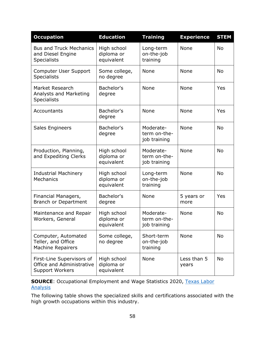| <b>Occupation</b>                                                                | <b>Education</b>                        | <b>Training</b>                           | <b>Experience</b>    | <b>STEM</b> |
|----------------------------------------------------------------------------------|-----------------------------------------|-------------------------------------------|----------------------|-------------|
| <b>Bus and Truck Mechanics</b><br>and Diesel Engine<br>Specialists               | High school<br>diploma or<br>equivalent | Long-term<br>on-the-job<br>training       | None                 | <b>No</b>   |
| Computer User Support<br><b>Specialists</b>                                      | Some college,<br>no degree              | None                                      | None                 | <b>No</b>   |
| Market Research<br>Analysts and Marketing<br><b>Specialists</b>                  | Bachelor's<br>degree                    | None                                      | None                 | Yes         |
| Accountants                                                                      | Bachelor's<br>degree                    | None                                      | None                 | Yes         |
| Sales Engineers                                                                  | Bachelor's<br>degree                    | Moderate-<br>term on-the-<br>job training | None                 | <b>No</b>   |
| Production, Planning,<br>and Expediting Clerks                                   | High school<br>diploma or<br>equivalent | Moderate-<br>term on-the-<br>job training | None                 | <b>No</b>   |
| <b>Industrial Machinery</b><br>Mechanics                                         | High school<br>diploma or<br>equivalent | Long-term<br>on-the-job<br>training       | None                 | <b>No</b>   |
| Financial Managers,<br><b>Branch or Department</b>                               | Bachelor's<br>degree                    | None                                      | 5 years or<br>more   | Yes         |
| Maintenance and Repair<br>Workers, General                                       | High school<br>diploma or<br>equivalent | Moderate-<br>term on-the-<br>job training | None                 | <b>No</b>   |
| Computer, Automated<br>Teller, and Office<br><b>Machine Repairers</b>            | Some college,<br>no degree              | Short-term<br>on-the-job<br>training      | None                 | No          |
| First-Line Supervisors of<br>Office and Administrative<br><b>Support Workers</b> | High school<br>diploma or<br>equivalent | None                                      | Less than 5<br>years | <b>No</b>   |

**SOURCE:** Occupational Employment and Wage Statistics 2020, Texas Labor **[Analysis](https://texaslaboranalysis.com/)** 

The following table shows the specialized skills and certifications associated with the high growth occupations within this industry.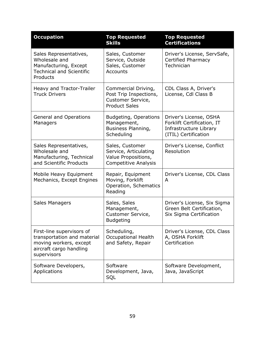| <b>Occupation</b>                                                                                                            | <b>Top Requested</b><br><b>Skills</b>                                                          | <b>Top Requested</b><br><b>Certifications</b>                                                          |
|------------------------------------------------------------------------------------------------------------------------------|------------------------------------------------------------------------------------------------|--------------------------------------------------------------------------------------------------------|
| Sales Representatives,<br>Wholesale and<br>Manufacturing, Except<br><b>Technical and Scientific</b><br>Products              | Sales, Customer<br>Service, Outside<br>Sales, Customer<br>Accounts                             | Driver's License, ServSafe,<br><b>Certified Pharmacy</b><br>Technician                                 |
| Heavy and Tractor-Trailer<br><b>Truck Drivers</b>                                                                            | Commercial Driving,<br>Post Trip Inspections,<br>Customer Service,<br><b>Product Sales</b>     | CDL Class A, Driver's<br>License, Cdl Class B                                                          |
| <b>General and Operations</b><br>Managers                                                                                    | Budgeting, Operations<br>Management,<br>Business Planning,<br>Scheduling                       | Driver's License, OSHA<br>Forklift Certification, IT<br>Infrastructure Library<br>(ITIL) Certification |
| Sales Representatives,<br>Wholesale and<br>Manufacturing, Technical<br>and Scientific Products                               | Sales, Customer<br>Service, Articulating<br>Value Propositions,<br><b>Competitive Analysis</b> | Driver's License, Conflict<br>Resolution                                                               |
| Mobile Heavy Equipment<br>Mechanics, Except Engines                                                                          | Repair, Equipment<br>Moving, Forklift<br>Operation, Schematics<br>Reading                      | Driver's License, CDL Class<br>A                                                                       |
| <b>Sales Managers</b>                                                                                                        | Sales, Sales<br>Management,<br>Customer Service,<br><b>Budgeting</b>                           | Driver's License, Six Sigma<br>Green Belt Certification,<br>Six Sigma Certification                    |
| First-line supervisors of<br>transportation and material<br>moving workers, except<br>aircraft cargo handling<br>supervisors | Scheduling,<br><b>Occupational Health</b><br>and Safety, Repair                                | Driver's License, CDL Class<br>A, OSHA Forklift<br>Certification                                       |
| Software Developers,<br>Applications                                                                                         | Software<br>Development, Java,<br>SQL                                                          | Software Development,<br>Java, JavaScript                                                              |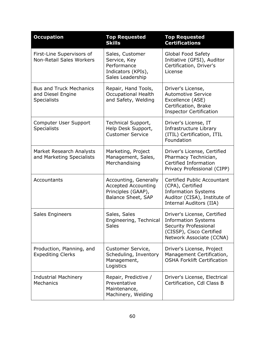| <b>Occupation</b>                                                         | <b>Top Requested</b><br><b>Skills</b>                                                           | <b>Top Requested</b><br><b>Certifications</b>                                                                                              |
|---------------------------------------------------------------------------|-------------------------------------------------------------------------------------------------|--------------------------------------------------------------------------------------------------------------------------------------------|
| First-Line Supervisors of<br><b>Non-Retail Sales Workers</b>              | Sales, Customer<br>Service, Key<br>Performance<br>Indicators (KPIs),<br>Sales Leadership        | Global Food Safety<br>Initiative (GFSI), Auditor<br>Certification, Driver's<br>License                                                     |
| <b>Bus and Truck Mechanics</b><br>and Diesel Engine<br><b>Specialists</b> | Repair, Hand Tools,<br><b>Occupational Health</b><br>and Safety, Welding                        | Driver's License,<br><b>Automotive Service</b><br>Excellence (ASE)<br>Certification, Brake<br><b>Inspector Certification</b>               |
| Computer User Support<br><b>Specialists</b>                               | Technical Support,<br>Help Desk Support,<br><b>Customer Service</b>                             | Driver's License, IT<br>Infrastructure Library<br>(ITIL) Certification, ITIL<br>Foundation                                                 |
| Market Research Analysts<br>and Marketing Specialists                     | Marketing, Project<br>Management, Sales,<br>Merchandising                                       | Driver's License, Certified<br>Pharmacy Technician,<br>Certified Information<br>Privacy Professional (CIPP)                                |
| Accountants                                                               | Accounting, Generally<br><b>Accepted Accounting</b><br>Principles (GAAP),<br>Balance Sheet, SAP | Certified Public Accountant<br>(CPA), Certified<br><b>Information Systems</b><br>Auditor (CISA), Institute of<br>Internal Auditors (IIA)   |
| Sales Engineers                                                           | Sales, Sales<br>Engineering, Technical<br>Sales                                                 | Driver's License, Certified<br><b>Information Systems</b><br>Security Professional<br>(CISSP), Cisco Certified<br>Network Associate (CCNA) |
| Production, Planning, and<br><b>Expediting Clerks</b>                     | Customer Service,<br>Scheduling, Inventory<br>Management,<br>Logistics                          | Driver's License, Project<br>Management Certification,<br><b>OSHA Forklift Certification</b>                                               |
| <b>Industrial Machinery</b><br>Mechanics                                  | Repair, Predictive /<br>Preventative<br>Maintenance,<br>Machinery, Welding                      | Driver's License, Electrical<br>Certification, Cdl Class B                                                                                 |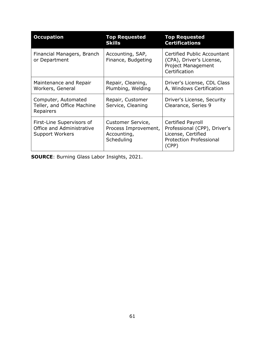| <b>Occupation</b>                                                                | <b>Top Requested</b><br><b>Skills</b>                                  | <b>Top Requested</b><br><b>Certifications</b>                                                                      |
|----------------------------------------------------------------------------------|------------------------------------------------------------------------|--------------------------------------------------------------------------------------------------------------------|
| Financial Managers, Branch<br>or Department                                      | Accounting, SAP,<br>Finance, Budgeting                                 | Certified Public Accountant<br>(CPA), Driver's License,<br>Project Management<br>Certification                     |
| Maintenance and Repair<br>Workers, General                                       | Repair, Cleaning,<br>Plumbing, Welding                                 | Driver's License, CDL Class<br>A, Windows Certification                                                            |
| Computer, Automated<br>Teller, and Office Machine<br>Repairers                   | Repair, Customer<br>Service, Cleaning                                  | Driver's License, Security<br>Clearance, Series 9                                                                  |
| First-Line Supervisors of<br>Office and Administrative<br><b>Support Workers</b> | Customer Service,<br>Process Improvement,<br>Accounting,<br>Scheduling | Certified Payroll<br>Professional (CPP), Driver's<br>License, Certified<br><b>Protection Professional</b><br>(CPP) |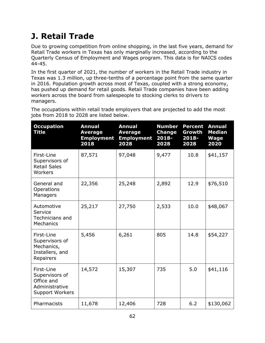# **J. Retail Trade**

Due to growing competition from online shopping, in the last five years, demand for Retail Trade workers in Texas has only marginally increased, according to the Quarterly Census of Employment and Wages program. This data is for NAICS codes 44-45.

In the first quarter of 2021, the number of workers in the Retail Trade industry in Texas was 1.3 million, up three-tenths of a percentage point from the same quarter in 2016. Population growth across most of Texas, coupled with a strong economy, has pushed up demand for retail goods. Retail Trade companies have been adding workers across the board from salespeople to stocking clerks to drivers to managers.

The occupations within retail trade employers that are projected to add the most jobs from 2018 to 2028 are listed below.

| <b>Occupation</b><br>Title                                                             | <b>Annual</b><br><b>Average</b><br><b>Employment</b><br>2018 | <b>Annual</b><br><b>Average</b><br><b>Employment</b><br>2028 | <b>Number</b><br><b>Change</b><br>$2018 -$<br>2028 | <b>Percent</b><br>Growth<br>2018-<br>2028 | <b>Annual</b><br><b>Median</b><br><b>Wage</b><br>2020 |
|----------------------------------------------------------------------------------------|--------------------------------------------------------------|--------------------------------------------------------------|----------------------------------------------------|-------------------------------------------|-------------------------------------------------------|
| First-Line<br>Supervisors of<br><b>Retail Sales</b><br>Workers                         | 87,571                                                       | 97,048                                                       | 9,477                                              | 10.8                                      | \$41,157                                              |
| General and<br>Operations<br>Managers                                                  | 22,356                                                       | 25,248                                                       | 2,892                                              | 12.9                                      | \$76,510                                              |
| Automotive<br>Service<br>Technicians and<br>Mechanics                                  | 25,217                                                       | 27,750                                                       | 2,533                                              | 10.0                                      | \$48,067                                              |
| First-Line<br>Supervisors of<br>Mechanics,<br>Installers, and<br>Repairers             | 5,456                                                        | 6,261                                                        | 805                                                | 14.8                                      | \$54,227                                              |
| First-Line<br>Supervisors of<br>Office and<br>Administrative<br><b>Support Workers</b> | 14,572                                                       | 15,307                                                       | 735                                                | 5.0                                       | \$41,116                                              |
| Pharmacists                                                                            | 11,678                                                       | 12,406                                                       | 728                                                | 6.2                                       | \$130,062                                             |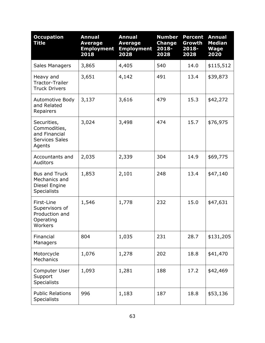| <b>Occupation</b><br><b>Title</b>                                               | <b>Annual</b><br><b>Average</b><br><b>Employment</b><br>2018 | <b>Annual</b><br><b>Average</b><br><b>Employment</b><br>2028 | <b>Number</b><br><b>Change</b><br>2018-<br>2028 | <b>Percent</b><br>Growth<br>2018-<br>2028 | <b>Annual</b><br><b>Median</b><br><b>Wage</b><br>2020 |
|---------------------------------------------------------------------------------|--------------------------------------------------------------|--------------------------------------------------------------|-------------------------------------------------|-------------------------------------------|-------------------------------------------------------|
| Sales Managers                                                                  | 3,865                                                        | 4,405                                                        | 540                                             | 14.0                                      | \$115,512                                             |
| Heavy and<br><b>Tractor-Trailer</b><br><b>Truck Drivers</b>                     | 3,651                                                        | 4,142                                                        | 491                                             | 13.4                                      | \$39,873                                              |
| Automotive Body<br>and Related<br>Repairers                                     | 3,137                                                        | 3,616                                                        | 479                                             | 15.3                                      | \$42,272                                              |
| Securities,<br>Commodities,<br>and Financial<br><b>Services Sales</b><br>Agents | 3,024                                                        | 3,498                                                        | 474                                             | 15.7                                      | \$76,975                                              |
| Accountants and<br>Auditors                                                     | 2,035                                                        | 2,339                                                        | 304                                             | 14.9                                      | \$69,775                                              |
| <b>Bus and Truck</b><br>Mechanics and<br>Diesel Engine<br><b>Specialists</b>    | 1,853                                                        | 2,101                                                        | 248                                             | 13.4                                      | \$47,140                                              |
| First-Line<br>Supervisors of<br>Production and<br>Operating<br>Workers          | 1,546                                                        | 1,778                                                        | 232                                             | 15.0                                      | \$47,631                                              |
| Financial<br>Managers                                                           | 804                                                          | 1,035                                                        | 231                                             | 28.7                                      | \$131,205                                             |
| Motorcycle<br>Mechanics                                                         | 1,076                                                        | 1,278                                                        | 202                                             | 18.8                                      | \$41,470                                              |
| Computer User<br>Support<br><b>Specialists</b>                                  | 1,093                                                        | 1,281                                                        | 188                                             | 17.2                                      | \$42,469                                              |
| <b>Public Relations</b><br><b>Specialists</b>                                   | 996                                                          | 1,183                                                        | 187                                             | 18.8                                      | \$53,136                                              |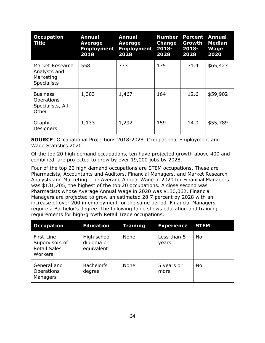| <b>Occupation</b><br>Title                                         | <b>Annual</b><br>Average<br><b>Employment</b><br>2018 | <b>Annual</b><br><b>Average</b><br><b>Employment</b><br>2028 | <b>Number</b><br><b>Change</b><br>$2018 -$<br>2028 | <b>Percent</b><br>Growth<br>2018-<br>2028 | <b>Annual</b><br><b>Median</b><br><b>Wage</b><br>2020 |
|--------------------------------------------------------------------|-------------------------------------------------------|--------------------------------------------------------------|----------------------------------------------------|-------------------------------------------|-------------------------------------------------------|
| Market Research<br>Analysts and<br>Marketing<br><b>Specialists</b> | 558                                                   | 733                                                          | 175                                                | 31.4                                      | \$65,427                                              |
| <b>Business</b><br><b>Operations</b><br>Specialists, All<br>Other  | 1,303                                                 | 1,467                                                        | 164                                                | 12.6                                      | \$59,902                                              |
| Graphic<br>Designers                                               | 1,133                                                 | 1,292                                                        | 159                                                | 14.0                                      | \$55,789                                              |

Of the top 20 high demand occupations, ten have projected growth above 400 and combined, are projected to grow by over 19,000 jobs by 2028.

Four of the top 20 high demand occupations are STEM occupations. These are Pharmacists, Accountants and Auditors, Financial Managers, and Market Research Analysts and Marketing. The Average Annual Wage in 2020 for Financial Managers was \$131,205, the highest of the top 20 occupations. A close second was Pharmacists whose Average Annual Wage in 2020 was \$130,062. Financial Managers are projected to grow an estimated 28.7 percent by 2028 with an increase of over 200 in employment for the same period. Financial Managers require a Bachelor's degree. The following table shows education and training requirements for high-growth Retail Trade occupations.

| <b>Occupation</b>                                              | <b>Education</b>                        | <b>Training</b> | <b>Experience</b>    | <b>STEM</b> |
|----------------------------------------------------------------|-----------------------------------------|-----------------|----------------------|-------------|
| First-Line<br>Supervisors of<br><b>Retail Sales</b><br>Workers | High school<br>diploma or<br>equivalent | None            | Less than 5<br>years | No          |
| General and<br>Operations<br>Managers                          | Bachelor's<br>degree                    | <b>None</b>     | 5 years or<br>more   | <b>No</b>   |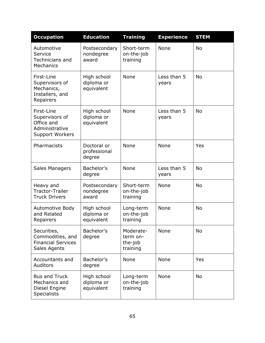| <b>Occupation</b>                                                                      | <b>Education</b>                        | <b>Training</b>                              | <b>Experience</b>    | <b>STEM</b> |
|----------------------------------------------------------------------------------------|-----------------------------------------|----------------------------------------------|----------------------|-------------|
| Automotive<br>Service<br><b>Technicians and</b><br>Mechanics                           | Postsecondary<br>nondegree<br>award     | Short-term<br>on-the-job<br>training         | None                 | <b>No</b>   |
| First-Line<br>Supervisors of<br>Mechanics,<br>Installers, and<br>Repairers             | High school<br>diploma or<br>equivalent | None                                         | Less than 5<br>years | <b>No</b>   |
| First-Line<br>Supervisors of<br>Office and<br>Administrative<br><b>Support Workers</b> | High school<br>diploma or<br>equivalent | None                                         | Less than 5<br>years | <b>No</b>   |
| Pharmacists                                                                            | Doctoral or<br>professional<br>degree   | None                                         | None                 | Yes         |
| Sales Managers                                                                         | Bachelor's<br>degree                    | None                                         | Less than 5<br>years | <b>No</b>   |
| Heavy and<br><b>Tractor-Trailer</b><br><b>Truck Drivers</b>                            | Postsecondary<br>nondegree<br>award     | Short-term<br>on-the-job<br>training         | None                 | <b>No</b>   |
| Automotive Body<br>and Related<br>Repairers                                            | High school<br>diploma or<br>equivalent | Long-term<br>on-the-job<br>training          | None                 | <b>No</b>   |
| Securities,<br>Commodities, and<br><b>Financial Services</b><br>Sales Agents           | Bachelor's<br>degree                    | Moderate-<br>term on-<br>the-job<br>training | None                 | <b>No</b>   |
| Accountants and<br>Auditors                                                            | Bachelor's<br>degree                    | None                                         | None                 | Yes         |
| <b>Bus and Truck</b><br>Mechanics and<br>Diesel Engine<br><b>Specialists</b>           | High school<br>diploma or<br>equivalent | Long-term<br>on-the-job<br>training          | None                 | <b>No</b>   |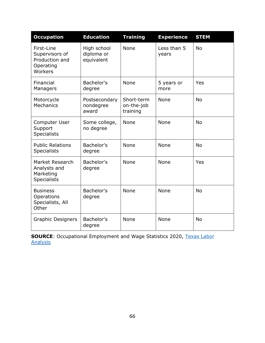| <b>Occupation</b>                                                      | <b>Education</b>                        | <b>Training</b>                      | <b>Experience</b>    | <b>STEM</b> |
|------------------------------------------------------------------------|-----------------------------------------|--------------------------------------|----------------------|-------------|
| First-Line<br>Supervisors of<br>Production and<br>Operating<br>Workers | High school<br>diploma or<br>equivalent | None                                 | Less than 5<br>years | <b>No</b>   |
| Financial<br>Managers                                                  | Bachelor's<br>degree                    | None                                 | 5 years or<br>more   | Yes         |
| Motorcycle<br><b>Mechanics</b>                                         | Postsecondary<br>nondegree<br>award     | Short-term<br>on-the-job<br>training | None                 | <b>No</b>   |
| Computer User<br>Support<br><b>Specialists</b>                         | Some college,<br>no degree              | None                                 | None                 | <b>No</b>   |
| <b>Public Relations</b><br><b>Specialists</b>                          | Bachelor's<br>degree                    | None                                 | None                 | <b>No</b>   |
| Market Research<br>Analysts and<br>Marketing<br><b>Specialists</b>     | Bachelor's<br>degree                    | None                                 | None                 | Yes         |
| <b>Business</b><br>Operations<br>Specialists, All<br>Other             | Bachelor's<br>degree                    | None                                 | None                 | <b>No</b>   |
| <b>Graphic Designers</b>                                               | Bachelor's<br>degree                    | None                                 | None                 | <b>No</b>   |

**SOURCE**: Occupational Employment and Wage Statistics 2020, [Texas Labor](https://texaslaboranalysis.com/)  [Analysis](https://texaslaboranalysis.com/)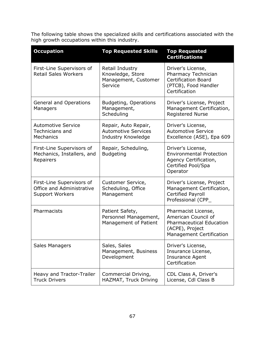The following table shows the specialized skills and certifications associated with the high growth occupations within this industry.

| <b>Occupation</b>                                                                | <b>Top Requested Skills</b>                                              | <b>Top Requested</b><br><b>Certifications</b>                                                                                |
|----------------------------------------------------------------------------------|--------------------------------------------------------------------------|------------------------------------------------------------------------------------------------------------------------------|
| First-Line Supervisors of<br><b>Retail Sales Workers</b>                         | Retail Industry<br>Knowledge, Store<br>Management, Customer<br>Service   | Driver's License,<br>Pharmacy Technician<br><b>Certification Board</b><br>(PTCB), Food Handler<br>Certification              |
| General and Operations<br>Managers                                               | <b>Budgeting, Operations</b><br>Management,<br>Scheduling                | Driver's License, Project<br>Management Certification,<br><b>Registered Nurse</b>                                            |
| <b>Automotive Service</b><br>Technicians and<br>Mechanics                        | Repair, Auto Repair,<br><b>Automotive Services</b><br>Industry Knowledge | Driver's License,<br><b>Automotive Service</b><br>Excellence (ASE), Epa 609                                                  |
| First-Line Supervisors of<br>Mechanics, Installers, and<br>Repairers             | Repair, Scheduling,<br><b>Budgeting</b>                                  | Driver's License,<br><b>Environmental Protection</b><br>Agency Certification,<br>Certified Pool/Spa<br>Operator              |
| First-Line Supervisors of<br>Office and Administrative<br><b>Support Workers</b> | Customer Service,<br>Scheduling, Office<br>Management                    | Driver's License, Project<br>Management Certification,<br><b>Certified Payroll</b><br>Professional (CPP_                     |
| Pharmacists                                                                      | Patient Safety,<br>Personnel Management,<br>Management of Patient        | Pharmacist License,<br>American Council of<br><b>Pharmaceutical Education</b><br>(ACPE), Project<br>Management Certification |
| Sales Managers                                                                   | Sales, Sales<br>Management, Business<br>Development                      | Driver's License,<br>Insurance License,<br><b>Insurance Agent</b><br>Certification                                           |
| Heavy and Tractor-Trailer<br><b>Truck Drivers</b>                                | Commercial Driving,<br>HAZMAT, Truck Driving                             | CDL Class A, Driver's<br>License, Cdl Class B                                                                                |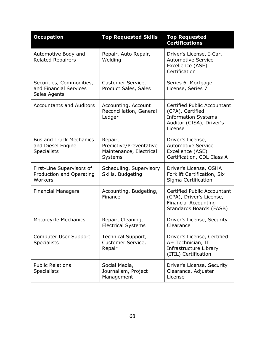| <b>Occupation</b>                                                         | <b>Top Requested Skills</b>                                              | <b>Top Requested</b><br><b>Certifications</b>                                                                               |
|---------------------------------------------------------------------------|--------------------------------------------------------------------------|-----------------------------------------------------------------------------------------------------------------------------|
| Automotive Body and<br><b>Related Repairers</b>                           | Repair, Auto Repair,<br>Welding                                          | Driver's License, I-Car,<br><b>Automotive Service</b><br>Excellence (ASE)<br>Certification                                  |
| Securities, Commodities,<br>and Financial Services<br>Sales Agents        | Customer Service,<br><b>Product Sales, Sales</b>                         | Series 6, Mortgage<br>License, Series 7                                                                                     |
| <b>Accountants and Auditors</b>                                           | Accounting, Account<br>Reconciliation, General<br>Ledger                 | <b>Certified Public Accountant</b><br>(CPA), Certified<br><b>Information Systems</b><br>Auditor (CISA), Driver's<br>License |
| <b>Bus and Truck Mechanics</b><br>and Diesel Engine<br><b>Specialists</b> | Repair,<br>Predictive/Preventative<br>Maintenance, Electrical<br>Systems | Driver's License,<br><b>Automotive Service</b><br>Excellence (ASE)<br>Certification, CDL Class A                            |
| First-Line Supervisors of<br>Production and Operating<br>Workers          | Scheduling, Supervisory<br>Skills, Budgeting                             | Driver's License, OSHA<br>Forklift Certification, Six<br>Sigma Certification                                                |
| <b>Financial Managers</b>                                                 | Accounting, Budgeting,<br>Finance                                        | Certified Public Accountant<br>(CPA), Driver's License,<br><b>Financial Accounting</b><br>Standards Boards (FASB)           |
| Motorcycle Mechanics                                                      | Repair, Cleaning,<br><b>Electrical Systems</b>                           | Driver's License, Security<br>Clearance                                                                                     |
| Computer User Support<br><b>Specialists</b>                               | Technical Support,<br>Customer Service,<br>Repair                        | Driver's License, Certified<br>A+ Technician, IT<br>Infrastructure Library<br>(ITIL) Certification                          |
| <b>Public Relations</b><br><b>Specialists</b>                             | Social Media,<br>Journalism, Project<br>Management                       | Driver's License, Security<br>Clearance, Adjuster<br>License                                                                |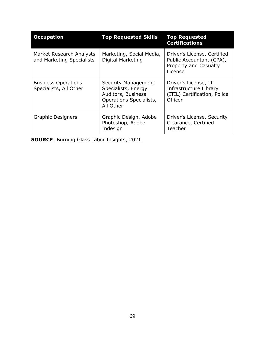| <b>Occupation</b>                                     | <b>Top Requested Skills</b>                                                                              | <b>Top Requested</b><br><b>Certifications</b>                                               |
|-------------------------------------------------------|----------------------------------------------------------------------------------------------------------|---------------------------------------------------------------------------------------------|
| Market Research Analysts<br>and Marketing Specialists | Marketing, Social Media,<br>Digital Marketing                                                            | Driver's License, Certified<br>Public Accountant (CPA),<br>Property and Casualty<br>License |
| <b>Business Operations</b><br>Specialists, All Other  | Security Management<br>Specialists, Energy<br>Auditors, Business<br>Operations Specialists,<br>All Other | Driver's License, IT<br>Infrastructure Library<br>(ITIL) Certification, Police<br>Officer   |
| <b>Graphic Designers</b>                              | Graphic Design, Adobe<br>Photoshop, Adobe<br>Indesign                                                    | Driver's License, Security<br>Clearance, Certified<br>Teacher                               |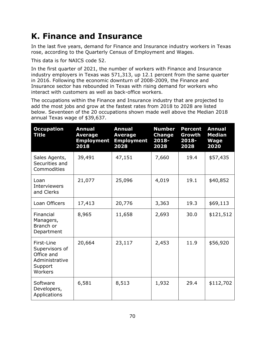## **K. Finance and Insurance**

In the last five years, demand for Finance and Insurance industry workers in Texas rose, according to the Quarterly Census of Employment and Wages.

This data is for NAICS code 52.

In the first quarter of 2021, the number of workers with Finance and Insurance industry employers in Texas was 571,313, up 12.1 percent from the same quarter in 2016. Following the economic downturn of 2008-2009, the Finance and Insurance sector has rebounded in Texas with rising demand for workers who interact with customers as well as back-office workers.

The occupations within the Finance and Insurance industry that are projected to add the most jobs and grow at the fastest rates from 2018 to 2028 are listed below. Seventeen of the 20 occupations shown made well above the Median 2018 annual Texas wage of \$39,637.

| <b>Occupation</b><br>Title                                                         | <b>Annual</b><br><b>Average</b><br><b>Employment</b><br>2018 | <b>Annual</b><br><b>Average</b><br><b>Employment</b><br>2028 | <b>Number</b><br><b>Change</b><br>2018-<br>2028 | <b>Percent</b><br>Growth<br>2018-<br>2028 | <b>Annual</b><br><b>Median</b><br><b>Wage</b><br>2020 |
|------------------------------------------------------------------------------------|--------------------------------------------------------------|--------------------------------------------------------------|-------------------------------------------------|-------------------------------------------|-------------------------------------------------------|
| Sales Agents,<br>Securities and<br>Commodities                                     | 39,491                                                       | 47,151                                                       | 7,660                                           | 19.4                                      | \$57,435                                              |
| Loan<br><b>Interviewers</b><br>and Clerks                                          | 21,077                                                       | 25,096                                                       | 4,019                                           | 19.1                                      | \$40,852                                              |
| Loan Officers                                                                      | 17,413                                                       | 20,776                                                       | 3,363                                           | 19.3                                      | \$69,113                                              |
| Financial<br>Managers,<br>Branch or<br>Department                                  | 8,965                                                        | 11,658                                                       | 2,693                                           | 30.0                                      | \$121,512                                             |
| First-Line<br>Supervisors of<br>Office and<br>Administrative<br>Support<br>Workers | 20,664                                                       | 23,117                                                       | 2,453                                           | 11.9                                      | \$56,920                                              |
| Software<br>Developers,<br>Applications                                            | 6,581                                                        | 8,513                                                        | 1,932                                           | 29.4                                      | \$112,702                                             |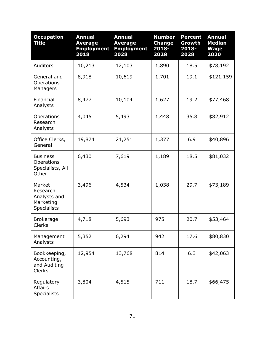| <b>Occupation</b><br><b>Title</b>                                     | <b>Annual</b><br><b>Average</b><br><b>Employment</b><br>2018 | <b>Annual</b><br><b>Average</b><br><b>Employment</b><br>2028 | <b>Number</b><br><b>Change</b><br>2018-<br>2028 | <b>Percent</b><br>Growth<br>2018-<br>2028 | <b>Annual</b><br><b>Median</b><br><b>Wage</b><br>2020 |
|-----------------------------------------------------------------------|--------------------------------------------------------------|--------------------------------------------------------------|-------------------------------------------------|-------------------------------------------|-------------------------------------------------------|
| Auditors                                                              | 10,213                                                       | 12,103                                                       | 1,890                                           | 18.5                                      | \$78,192                                              |
| General and<br>Operations<br>Managers                                 | 8,918                                                        | 10,619                                                       | 1,701                                           | 19.1                                      | \$121,159                                             |
| Financial<br>Analysts                                                 | 8,477                                                        | 10,104                                                       | 1,627                                           | 19.2                                      | \$77,468                                              |
| Operations<br>Research<br>Analysts                                    | 4,045                                                        | 5,493                                                        | 1,448                                           | 35.8                                      | \$82,912                                              |
| Office Clerks,<br>General                                             | 19,874                                                       | 21,251                                                       | 1,377                                           | 6.9                                       | \$40,896                                              |
| <b>Business</b><br>Operations<br>Specialists, All<br>Other            | 6,430                                                        | 7,619                                                        | 1,189                                           | 18.5                                      | \$81,032                                              |
| Market<br>Research<br>Analysts and<br>Marketing<br><b>Specialists</b> | 3,496                                                        | 4,534                                                        | 1,038                                           | 29.7                                      | \$73,189                                              |
| <b>Brokerage</b><br><b>Clerks</b>                                     | 4,718                                                        | 5,693                                                        | 975                                             | 20.7                                      | \$53,464                                              |
| Management<br>Analysts                                                | 5,352                                                        | 6,294                                                        | 942                                             | 17.6                                      | \$80,830                                              |
| Bookkeeping,<br>Accounting,<br>and Auditing<br><b>Clerks</b>          | 12,954                                                       | 13,768                                                       | 814                                             | 6.3                                       | \$42,063                                              |
| Regulatory<br><b>Affairs</b><br><b>Specialists</b>                    | 3,804                                                        | 4,515                                                        | 711                                             | 18.7                                      | \$66,475                                              |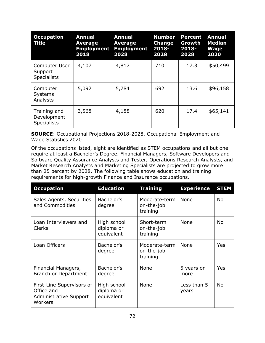| <b>Occupation</b><br><b>Title</b>                 | <b>Annual</b><br><b>Average</b><br><b>Employment</b><br>2018 | <b>Annual</b><br><b>Average</b><br><b>Employment</b><br>2028 | <b>Number</b><br><b>Change</b><br>$2018 -$<br>2028 | <b>Percent</b><br>Growth<br>$2018 -$<br>2028 | <b>Annual</b><br><b>Median</b><br>Wage<br>2020 |
|---------------------------------------------------|--------------------------------------------------------------|--------------------------------------------------------------|----------------------------------------------------|----------------------------------------------|------------------------------------------------|
| Computer User<br>Support<br><b>Specialists</b>    | 4,107                                                        | 4,817                                                        | 710                                                | 17.3                                         | \$50,499                                       |
| Computer<br><b>Systems</b><br>Analysts            | 5,092                                                        | 5,784                                                        | 692                                                | 13.6                                         | \$96,158                                       |
| Training and<br>Development<br><b>Specialists</b> | 3,568                                                        | 4,188                                                        | 620                                                | 17.4                                         | \$65,141                                       |

**SOURCE**: Occupational Projections 2018-2028, Occupational Employment and Wage Statistics 2020

Of the occupations listed, eight are identified as STEM occupations and all but one require at least a Bachelor's Degree. Financial Managers, Software Developers and Software Quality Assurance Analysts and Tester, Operations Research Analysts, and Market Research Analysts and Marketing Specialists are projected to grow more than 25 percent by 2028. The following table shows education and training requirements for high-growth Finance and Insurance occupations.

| <b>Occupation</b>                                                                   | <b>Education</b>                        | <b>Training</b>                         | <b>Experience</b>    | <b>STEM</b> |
|-------------------------------------------------------------------------------------|-----------------------------------------|-----------------------------------------|----------------------|-------------|
| Sales Agents, Securities<br>and Commodities                                         | Bachelor's<br>degree                    | Moderate-term<br>on-the-job<br>training | <b>None</b>          | <b>No</b>   |
| Loan Interviewers and<br><b>Clerks</b>                                              | High school<br>diploma or<br>equivalent | Short-term<br>on-the-job<br>training    | None                 | <b>No</b>   |
| Loan Officers                                                                       | Bachelor's<br>degree                    | Moderate-term<br>on-the-job<br>training | None                 | Yes         |
| Financial Managers,<br>Branch or Department                                         | Bachelor's<br>degree                    | None                                    | 5 years or<br>more   | Yes         |
| First-Line Supervisors of<br>Office and<br><b>Administrative Support</b><br>Workers | High school<br>diploma or<br>equivalent | None                                    | Less than 5<br>years | <b>No</b>   |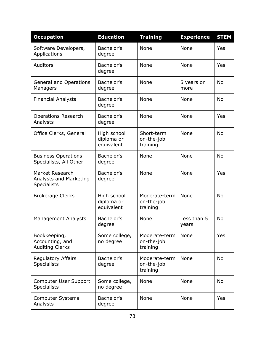| <b>Occupation</b>                                               | <b>Education</b>                        | <b>Training</b>                         | <b>Experience</b>    | <b>STEM</b> |
|-----------------------------------------------------------------|-----------------------------------------|-----------------------------------------|----------------------|-------------|
| Software Developers,<br>Applications                            | Bachelor's<br>degree                    | None                                    | None                 | Yes         |
| Auditors                                                        | Bachelor's<br>degree                    | None                                    | <b>None</b>          | Yes         |
| <b>General and Operations</b><br>Managers                       | Bachelor's<br>degree                    | None                                    | 5 years or<br>more   | <b>No</b>   |
| <b>Financial Analysts</b>                                       | Bachelor's<br>degree                    | None                                    | <b>None</b>          | <b>No</b>   |
| <b>Operations Research</b><br>Analysts                          | Bachelor's<br>degree                    | None                                    | None                 | Yes         |
| Office Clerks, General                                          | High school<br>diploma or<br>equivalent | Short-term<br>on-the-job<br>training    | <b>None</b>          | <b>No</b>   |
| <b>Business Operations</b><br>Specialists, All Other            | Bachelor's<br>degree                    | None                                    | None                 | <b>No</b>   |
| Market Research<br>Analysts and Marketing<br><b>Specialists</b> | Bachelor's<br>degree                    | None                                    | None                 | Yes         |
| <b>Brokerage Clerks</b>                                         | High school<br>diploma or<br>equivalent | Moderate-term<br>on-the-job<br>training | None                 | <b>No</b>   |
| <b>Management Analysts</b>                                      | Bachelor's<br>degree                    | None                                    | Less than 5<br>years | <b>No</b>   |
| Bookkeeping,<br>Accounting, and<br><b>Auditing Clerks</b>       | Some college,<br>no degree              | Moderate-term<br>on-the-job<br>training | None                 | Yes         |
| <b>Regulatory Affairs</b><br><b>Specialists</b>                 | Bachelor's<br>degree                    | Moderate-term<br>on-the-job<br>training | None                 | <b>No</b>   |
| Computer User Support<br><b>Specialists</b>                     | Some college,<br>no degree              | None                                    | None                 | <b>No</b>   |
| <b>Computer Systems</b><br>Analysts                             | Bachelor's<br>degree                    | None                                    | None                 | Yes         |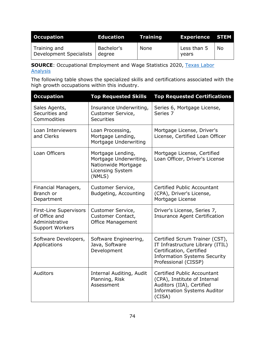| <b>Occupation</b>                       | <b>Education</b>     | <b>A</b> Training | <b>Experience STEM</b> |           |
|-----------------------------------------|----------------------|-------------------|------------------------|-----------|
| Training and<br>Development Specialists | Bachelor's<br>degree | None              | Less than 5<br>vears   | <b>No</b> |

**SOURCE:** Occupational Employment and Wage Statistics 2020, Texas Labor **[Analysis](https://texaslaboranalysis.com/)** 

The following table shows the specialized skills and certifications associated with the high growth occupations within this industry.

| <b>Occupation</b>                                                                   | <b>Top Requested Skills</b>                                                                      | <b>Top Requested Certifications</b>                                                                                                                           |
|-------------------------------------------------------------------------------------|--------------------------------------------------------------------------------------------------|---------------------------------------------------------------------------------------------------------------------------------------------------------------|
| Sales Agents,<br>Securities and<br>Commodities                                      | Insurance Underwriting,<br>Customer Service,<br><b>Securities</b>                                | Series 6, Mortgage License,<br>Series 7                                                                                                                       |
| Loan Interviewers<br>and Clerks                                                     | Loan Processing,<br>Mortgage Lending,<br>Mortgage Underwriting                                   | Mortgage License, Driver's<br>License, Certified Loan Officer                                                                                                 |
| Loan Officers                                                                       | Mortgage Lending,<br>Mortgage Underwriting,<br>Nationwide Mortgage<br>Licensing System<br>(NMLS) | Mortgage License, Certified<br>Loan Officer, Driver's License                                                                                                 |
| Financial Managers,<br>Branch or<br>Department                                      | Customer Service,<br>Budgeting, Accounting                                                       | <b>Certified Public Accountant</b><br>(CPA), Driver's License,<br>Mortgage License                                                                            |
| First-Line Supervisors<br>of Office and<br>Administrative<br><b>Support Workers</b> | Customer Service,<br><b>Customer Contact,</b><br><b>Office Management</b>                        | Driver's License, Series 7,<br><b>Insurance Agent Certification</b>                                                                                           |
| Software Developers,<br>Applications                                                | Software Engineering,<br>Java, Software<br>Development                                           | Certified Scrum Trainer (CST),<br>IT Infrastructure Library (ITIL)<br>Certification, Certified<br><b>Information Systems Security</b><br>Professional (CISSP) |
| Auditors                                                                            | Internal Auditing, Audit<br>Planning, Risk<br>Assessment                                         | Certified Public Accountant<br>(CPA), Institute of Internal<br>Auditors (IIA), Certified<br><b>Information Systems Auditor</b><br>(CISA)                      |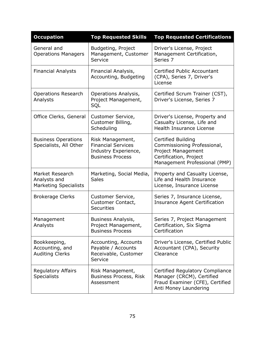| <b>Occupation</b>                                               | <b>Top Requested Skills</b>                                                                      | <b>Top Requested Certifications</b>                                                                                                       |
|-----------------------------------------------------------------|--------------------------------------------------------------------------------------------------|-------------------------------------------------------------------------------------------------------------------------------------------|
| General and<br><b>Operations Managers</b>                       | Budgeting, Project<br>Management, Customer<br>Service                                            | Driver's License, Project<br>Management Certification,<br>Series 7                                                                        |
| <b>Financial Analysts</b>                                       | Financial Analysis,<br>Accounting, Budgeting                                                     | Certified Public Accountant<br>(CPA), Series 7, Driver's<br>License                                                                       |
| <b>Operations Research</b><br>Analysts                          | Operations Analysis,<br>Project Management,<br>SQL                                               | Certified Scrum Trainer (CST),<br>Driver's License, Series 7                                                                              |
| Office Clerks, General                                          | Customer Service,<br>Customer Billing,<br>Scheduling                                             | Driver's License, Property and<br>Casualty License, Life and<br>Health Insurance License                                                  |
| <b>Business Operations</b><br>Specialists, All Other            | Risk Management,<br><b>Financial Services</b><br>Industry Experience,<br><b>Business Process</b> | Certified Building<br>Commissioning Professional,<br><b>Project Management</b><br>Certification, Project<br>Management Professional (PMP) |
| Market Research<br>Analysts and<br><b>Marketing Specialists</b> | Marketing, Social Media,<br><b>Sales</b>                                                         | Property and Casualty License,<br>Life and Health Insurance<br>License, Insurance License                                                 |
| <b>Brokerage Clerks</b>                                         | Customer Service,<br>Customer Contact,<br><b>Securities</b>                                      | Series 7, Insurance License,<br><b>Insurance Agent Certification</b>                                                                      |
| Management<br>Analysts                                          | Business Analysis,<br>Project Management,<br><b>Business Process</b>                             | Series 7, Project Management<br>Certification, Six Sigma<br>Certification                                                                 |
| Bookkeeping,<br>Accounting, and<br><b>Auditing Clerks</b>       | Accounting, Accounts<br>Payable / Accounts<br>Receivable, Customer<br>Service                    | Driver's License, Certified Public<br>Accountant (CPA), Security<br>Clearance                                                             |
| <b>Regulatory Affairs</b><br><b>Specialists</b>                 | Risk Management,<br>Business Process, Risk<br>Assessment                                         | Certified Regulatory Compliance<br>Manager (CRCM), Certified<br>Fraud Examiner (CFE), Certified<br>Anti Money Laundering                  |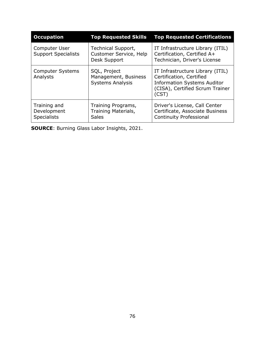| <b>Occupation</b>                                 | <b>Top Requested Skills</b>                                     | <b>Top Requested Certifications</b>                                                                                                            |
|---------------------------------------------------|-----------------------------------------------------------------|------------------------------------------------------------------------------------------------------------------------------------------------|
| Computer User<br><b>Support Specialists</b>       | Technical Support,<br>Customer Service, Help<br>Desk Support    | IT Infrastructure Library (ITIL)<br>Certification, Certified A+<br>Technician, Driver's License                                                |
| <b>Computer Systems</b><br>Analysts               | SQL, Project<br>Management, Business<br><b>Systems Analysis</b> | IT Infrastructure Library (ITIL)<br>Certification, Certified<br><b>Information Systems Auditor</b><br>(CISA), Certified Scrum Trainer<br>(CST) |
| Training and<br>Development<br><b>Specialists</b> | Training Programs,<br>Training Materials,<br><b>Sales</b>       | Driver's License, Call Center<br>Certificate, Associate Business<br><b>Continuity Professional</b>                                             |

**SOURCE**: Burning Glass Labor Insights, 2021.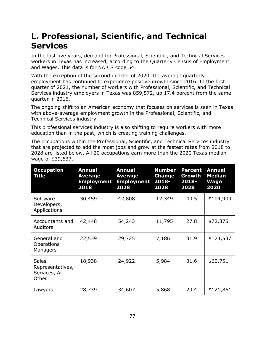## **L. Professional, Scientific, and Technical Services**

In the last five years, demand for Professional, Scientific, and Technical Services workers in Texas has increased, according to the Quarterly Census of Employment and Wages. This data is for NAICS code 54.

With the exception of the second quarter of 2020, the average quarterly employment has continued to experience positive growth since 2016. In the first quarter of 2021, the number of workers with Professional, Scientific, and Technical Services industry employers in Texas was 859,572, up 17.4 percent from the same quarter in 2016.

The ongoing shift to an American economy that focuses on services is seen in Texas with above-average employment growth in the Professional, Scientific, and Technical Services industry.

This professional services industry is also shifting to require workers with more education than in the past, which is creating training challenges.

The occupations within the Professional, Scientific, and Technical Services industry that are projected to add the most jobs and grow at the fastest rates from 2018 to 2028 are listed below. All 20 occupations earn more than the 2020 Texas median wage of \$39,637.

| <b>Occupation</b><br>Title                                 | Annual<br><b>Average</b><br><b>Employment</b><br>2018 | <b>Annual</b><br><b>Average</b><br><b>Employment</b><br>2028 | <b>Number</b><br>Change<br>$2018 -$<br>2028 | <b>Percent</b><br>Growth<br>2018-<br>2028 | <b>Annual</b><br><b>Median</b><br>Wage<br>2020 |
|------------------------------------------------------------|-------------------------------------------------------|--------------------------------------------------------------|---------------------------------------------|-------------------------------------------|------------------------------------------------|
| Software<br>Developers,<br>Applications                    | 30,459                                                | 42,808                                                       | 12,349                                      | 40.5                                      | \$104,909                                      |
| Accountants and<br>Auditors                                | 42,448                                                | 54,243                                                       | 11,795                                      | 27.8                                      | \$72,875                                       |
| General and<br>Operations<br>Managers                      | 22,539                                                | 29,725                                                       | 7,186                                       | 31.9                                      | \$124,537                                      |
| <b>Sales</b><br>Representatives,<br>Services, All<br>Other | 18,938                                                | 24,922                                                       | 5,984                                       | 31.6                                      | \$60,751                                       |
| Lawyers                                                    | 28,739                                                | 34,607                                                       | 5,868                                       | 20.4                                      | \$121,861                                      |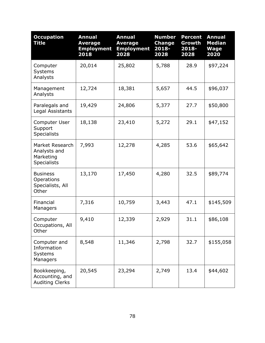| <b>Occupation</b><br><b>Title</b>                                  | <b>Annual</b><br><b>Average</b><br><b>Employment</b><br>2018 | <b>Annual</b><br><b>Average</b><br><b>Employment</b><br>2028 | <b>Number</b><br><b>Change</b><br>2018-<br>2028 | <b>Percent</b><br>Growth<br>2018-<br>2028 | <b>Annual</b><br><b>Median</b><br><b>Wage</b><br>2020 |
|--------------------------------------------------------------------|--------------------------------------------------------------|--------------------------------------------------------------|-------------------------------------------------|-------------------------------------------|-------------------------------------------------------|
| Computer<br><b>Systems</b><br>Analysts                             | 20,014                                                       | 25,802                                                       | 5,788                                           | 28.9                                      | \$97,224                                              |
| Management<br>Analysts                                             | 12,724                                                       | 18,381                                                       | 5,657                                           | 44.5                                      | \$96,037                                              |
| Paralegals and<br>Legal Assistants                                 | 19,429                                                       | 24,806                                                       | 5,377                                           | 27.7                                      | \$50,800                                              |
| Computer User<br>Support<br><b>Specialists</b>                     | 18,138                                                       | 23,410                                                       | 5,272                                           | 29.1                                      | \$47,152                                              |
| Market Research<br>Analysts and<br>Marketing<br><b>Specialists</b> | 7,993                                                        | 12,278                                                       | 4,285                                           | 53.6                                      | \$65,642                                              |
| <b>Business</b><br>Operations<br>Specialists, All<br>Other         | 13,170                                                       | 17,450                                                       | 4,280                                           | 32.5                                      | \$89,774                                              |
| Financial<br>Managers                                              | 7,316                                                        | 10,759                                                       | 3,443                                           | 47.1                                      | \$145,509                                             |
| Computer<br>Occupations, All<br>Other                              | 9,410                                                        | 12,339                                                       | 2,929                                           | 31.1                                      | \$86,108                                              |
| Computer and<br>Information<br>Systems<br>Managers                 | 8,548                                                        | 11,346                                                       | 2,798                                           | 32.7                                      | \$155,058                                             |
| Bookkeeping,<br>Accounting, and<br><b>Auditing Clerks</b>          | 20,545                                                       | 23,294                                                       | 2,749                                           | 13.4                                      | \$44,602                                              |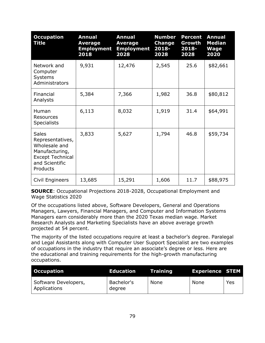| <b>Occupation</b><br>Title                                                                                                   | <b>Annual</b><br><b>Average</b><br><b>Employment</b><br>2018 | <b>Annual</b><br><b>Average</b><br><b>Employment</b><br>2028 | <b>Number</b><br><b>Change</b><br>$2018 -$<br>2028 | <b>Percent</b><br>Growth<br>$2018 -$<br>2028 | <b>Annual</b><br><b>Median</b><br><b>Wage</b><br>2020 |
|------------------------------------------------------------------------------------------------------------------------------|--------------------------------------------------------------|--------------------------------------------------------------|----------------------------------------------------|----------------------------------------------|-------------------------------------------------------|
| Network and<br>Computer<br><b>Systems</b><br>Administrators                                                                  | 9,931                                                        | 12,476                                                       | 2,545                                              | 25.6                                         | \$82,661                                              |
| Financial<br>Analysts                                                                                                        | 5,384                                                        | 7,366                                                        | 1,982                                              | 36.8                                         | \$80,812                                              |
| Human<br><b>Resources</b><br><b>Specialists</b>                                                                              | 6,113                                                        | 8,032                                                        | 1,919                                              | 31.4                                         | \$64,991                                              |
| <b>Sales</b><br>Representatives,<br>Wholesale and<br>Manufacturing,<br><b>Except Technical</b><br>and Scientific<br>Products | 3,833                                                        | 5,627                                                        | 1,794                                              | 46.8                                         | \$59,734                                              |
| Civil Engineers                                                                                                              | 13,685                                                       | 15,291                                                       | 1,606                                              | 11.7                                         | \$88,975                                              |

**SOURCE**: Occupational Projections 2018-2028, Occupational Employment and Wage Statistics 2020

Of the occupations listed above, Software Developers, General and Operations Managers, Lawyers, Financial Managers, and Computer and Information Systems Managers earn considerably more than the 2020 Texas median wage. Market Research Analysts and Marketing Specialists have an above average growth projected at 54 percent.

The majority of the listed occupations require at least a bachelor's degree. Paralegal and Legal Assistants along with Computer User Support Specialist are two examples of occupations in the industry that require an associate's degree or less. Here are the educational and training requirements for the high-growth manufacturing occupations.

| <b>Occupation</b>                    | <b>Education</b>     | <b>Training</b> | <b>Experience STEM</b> |     |
|--------------------------------------|----------------------|-----------------|------------------------|-----|
| Software Developers,<br>Applications | Bachelor's<br>degree | <b>None</b>     | None                   | Yes |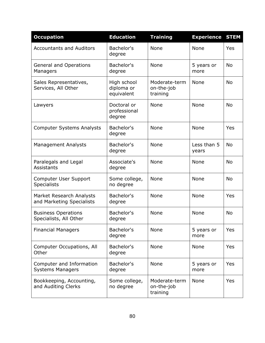| <b>Occupation</b>                                     | <b>Education</b>                        | <b>Training</b>                         | <b>Experience</b>    | <b>STEM</b> |
|-------------------------------------------------------|-----------------------------------------|-----------------------------------------|----------------------|-------------|
| <b>Accountants and Auditors</b>                       | Bachelor's<br>degree                    | None                                    | None                 | Yes         |
| <b>General and Operations</b><br>Managers             | Bachelor's<br>degree                    | None                                    | 5 years or<br>more   | <b>No</b>   |
| Sales Representatives,<br>Services, All Other         | High school<br>diploma or<br>equivalent | Moderate-term<br>on-the-job<br>training | <b>None</b>          | <b>No</b>   |
| Lawyers                                               | Doctoral or<br>professional<br>degree   | None                                    | None                 | <b>No</b>   |
| <b>Computer Systems Analysts</b>                      | Bachelor's<br>degree                    | None                                    | None                 | Yes         |
| <b>Management Analysts</b>                            | Bachelor's<br>degree                    | <b>None</b>                             | Less than 5<br>years | <b>No</b>   |
| Paralegals and Legal<br><b>Assistants</b>             | Associate's<br>degree                   | None                                    | None                 | <b>No</b>   |
| Computer User Support<br><b>Specialists</b>           | Some college,<br>no degree              | None                                    | None                 | <b>No</b>   |
| Market Research Analysts<br>and Marketing Specialists | Bachelor's<br>degree                    | None                                    | None                 | <b>Yes</b>  |
| <b>Business Operations</b><br>Specialists, All Other  | Bachelor's<br>degree                    | None                                    | None                 | <b>No</b>   |
| <b>Financial Managers</b>                             | Bachelor's<br>degree                    | None                                    | 5 years or<br>more   | Yes         |
| Computer Occupations, All<br>Other                    | Bachelor's<br>degree                    | None                                    | None                 | Yes         |
| Computer and Information<br><b>Systems Managers</b>   | Bachelor's<br>degree                    | None                                    | 5 years or<br>more   | Yes         |
| Bookkeeping, Accounting,<br>and Auditing Clerks       | Some college,<br>no degree              | Moderate-term<br>on-the-job<br>training | <b>None</b>          | Yes         |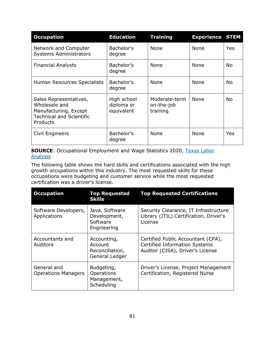| <b>Occupation</b>                                                                                               | <b>Education</b>                        | <b>Training</b>                         | <b>Experience STEM</b> |           |
|-----------------------------------------------------------------------------------------------------------------|-----------------------------------------|-----------------------------------------|------------------------|-----------|
| Network and Computer<br><b>Systems Administrators</b>                                                           | Bachelor's<br>degree                    | <b>None</b>                             | None                   | Yes       |
| <b>Financial Analysts</b>                                                                                       | Bachelor's<br>degree                    | None                                    | <b>None</b>            | No.       |
| Human Resources Specialists                                                                                     | Bachelor's<br>degree                    | None                                    | None                   | No.       |
| Sales Representatives,<br>Wholesale and<br>Manufacturing, Except<br><b>Technical and Scientific</b><br>Products | High school<br>diploma or<br>equivalent | Moderate-term<br>on-the-job<br>training | None                   | <b>No</b> |
| Civil Engineers                                                                                                 | Bachelor's<br>degree                    | None                                    | <b>None</b>            | Yes       |

**SOURCE:** Occupational Employment and Wage Statistics 2020, Texas Labor **[Analysis](https://texaslaboranalysis.com/)** 

The following table shows the hard skills and certifications associated with the high growth occupations within this industry. The most requested skills for these occupations were budgeting and customer service while the most requested certification was a driver's license.

| <b>Occupation</b>                         | <b>Top Requested</b><br><b>Skills</b>                       | <b>Top Requested Certifications</b>                                                                            |
|-------------------------------------------|-------------------------------------------------------------|----------------------------------------------------------------------------------------------------------------|
| Software Developers,<br>Applications      | Java, Software<br>Development,<br>Software<br>Engineering   | Security Clearance, IT Infrastructure<br>Library (ITIL) Certification, Driver's<br>License                     |
| Accountants and<br>Auditors               | Accounting,<br>Account<br>Reconciliation,<br>General Ledger | Certified Public Accountant (CPA),<br><b>Certified Information Systems</b><br>Auditor (CISA), Driver's License |
| General and<br><b>Operations Managers</b> | Budgeting,<br>Operations<br>Management,<br>Scheduling       | Driver's License, Project Management<br>Certification, Registered Nurse                                        |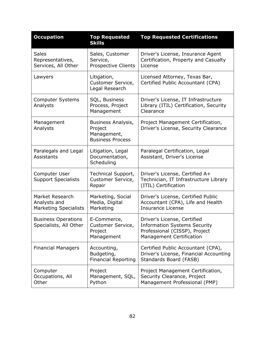| <b>Occupation</b>                                               | <b>Top Requested</b><br><b>Skills</b>                                   | <b>Top Requested Certifications</b>                                                                                                    |
|-----------------------------------------------------------------|-------------------------------------------------------------------------|----------------------------------------------------------------------------------------------------------------------------------------|
| <b>Sales</b><br>Representatives,<br>Services, All Other         | Sales, Customer<br>Service,<br>Prospective Clients                      | Driver's License, Insurance Agent<br>Certification, Property and Casualty<br>License                                                   |
| Lawyers                                                         | Litigation,<br>Customer Service,<br>Legal Research                      | Licensed Attorney, Texas Bar,<br>Certified Public Accountant (CPA)                                                                     |
| <b>Computer Systems</b><br>Analysts                             | SQL, Business<br>Process, Project<br>Management                         | Driver's License, IT Infrastructure<br>Library (ITIL) Certification, Security<br>Clearance                                             |
| Management<br>Analysts                                          | Business Analysis,<br>Project<br>Management,<br><b>Business Process</b> | Project Management Certification,<br>Driver's License, Security Clearance                                                              |
| Paralegals and Legal<br>Assistants                              | Litigation, Legal<br>Documentation,<br>Scheduling                       | Paralegal Certification, Legal<br>Assistant, Driver's License                                                                          |
| Computer User<br><b>Support Specialists</b>                     | Technical Support,<br>Customer Service,<br>Repair                       | Driver's License, Certified A+<br>Technician, IT Infrastructure Library<br>(ITIL) Certification                                        |
| Market Research<br>Analysts and<br><b>Marketing Specialists</b> | Marketing, Social<br>Media, Digital<br>Marketing                        | Driver's License, Certified Public<br>Accountant (CPA), Life and Health<br><b>Insurance License</b>                                    |
| <b>Business Operations</b><br>Specialists, All Other            | E-Commerce,<br>Customer Service,<br>Project<br>Management               | Driver's License, Certified<br><b>Information Systems Security</b><br>Professional (CISSP), Project<br><b>Management Certification</b> |
| <b>Financial Managers</b>                                       | Accounting,<br>Budgeting,<br><b>Financial Reporting</b>                 | Certified Public Accountant (CPA),<br>Driver's License, Financial Accounting<br>Standards Board (FASB)                                 |
| Computer<br>Occupations, All<br>Other                           | Project<br>Management, SQL,<br>Python                                   | Project Management Certification,<br>Security Clearance, Project<br>Management Professional (PMP)                                      |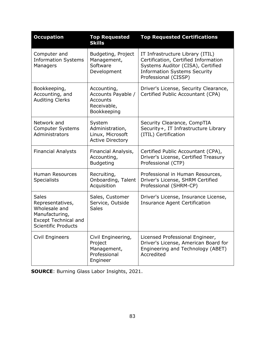| <b>Occupation</b>                                                                                                                | <b>Top Requested</b><br><b>Skills</b>                                       | <b>Top Requested Certifications</b>                                                                                                                                          |
|----------------------------------------------------------------------------------------------------------------------------------|-----------------------------------------------------------------------------|------------------------------------------------------------------------------------------------------------------------------------------------------------------------------|
| Computer and<br><b>Information Systems</b><br>Managers                                                                           | Budgeting, Project<br>Management,<br>Software<br>Development                | IT Infrastructure Library (ITIL)<br>Certification, Certified Information<br>Systems Auditor (CISA), Certified<br><b>Information Systems Security</b><br>Professional (CISSP) |
| Bookkeeping,<br>Accounting, and<br><b>Auditing Clerks</b>                                                                        | Accounting,<br>Accounts Payable /<br>Accounts<br>Receivable,<br>Bookkeeping | Driver's License, Security Clearance,<br>Certified Public Accountant (CPA)                                                                                                   |
| Network and<br><b>Computer Systems</b><br>Administrators                                                                         | System<br>Administration,<br>Linux, Microsoft<br><b>Active Directory</b>    | Security Clearance, CompTIA<br>Security+, IT Infrastructure Library<br>(ITIL) Certification                                                                                  |
| <b>Financial Analysts</b>                                                                                                        | Financial Analysis,<br>Accounting,<br><b>Budgeting</b>                      | Certified Public Accountant (CPA),<br>Driver's License, Certified Treasury<br>Professional (CTP)                                                                             |
| <b>Human Resources</b><br><b>Specialists</b>                                                                                     | Recruiting,<br>Onboarding, Talent<br>Acquisition                            | Professional in Human Resources,<br>Driver's License, SHRM Certified<br>Professional (SHRM-CP)                                                                               |
| <b>Sales</b><br>Representatives,<br>Wholesale and<br>Manufacturing,<br><b>Except Technical and</b><br><b>Scientific Products</b> | Sales, Customer<br>Service, Outside<br><b>Sales</b>                         | Driver's License, Insurance License,<br><b>Insurance Agent Certification</b>                                                                                                 |
| Civil Engineers                                                                                                                  | Civil Engineering,<br>Project<br>Management,<br>Professional<br>Engineer    | Licensed Professional Engineer,<br>Driver's License, American Board for<br>Engineering and Technology (ABET)<br>Accredited                                                   |

**SOURCE**: Burning Glass Labor Insights, 2021.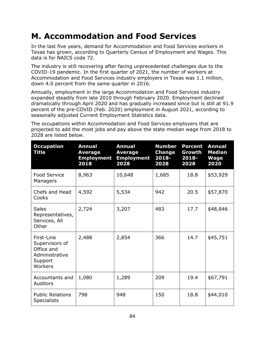## **M. Accommodation and Food Services**

In the last five years, demand for Accommodation and Food Services workers in Texas has grown, according to Quarterly Census of Employment and Wages. This data is for NAICS code 72.

The industry is still recovering after facing unprecedented challenges due to the COVID-19 pandemic. In the first quarter of 2021, the number of workers at Accommodation and Food Services industry employers in Texas was 1.1 million, down 4.0 percent from the same quarter in 2016.

Annually, employment in the large Accommodation and Food Services industry expanded steadily from late 2010 through February 2020. Employment declined dramatically through April 2020 and has gradually increased since but is still at 91.9 percent of the pre-COVID (Feb. 2020) employment in August 2021, according to seasonally adjusted Current Employment Statistics data.

The occupations within Accommodation and Food Services employers that are projected to add the most jobs and pay above the state median wage from 2018 to 2028 are listed below.

| <b>Occupation</b><br><b>Title</b>                                                  | <b>Annual</b><br><b>Average</b><br><b>Employment</b><br>2018 | <b>Annual</b><br><b>Average</b><br><b>Employment</b><br>2028 | <b>Number</b><br>Change<br>2018-<br>2028 | <b>Percent</b><br>Growth<br>2018-<br>2028 | <b>Annual</b><br><b>Median</b><br><b>Wage</b><br>2020 |
|------------------------------------------------------------------------------------|--------------------------------------------------------------|--------------------------------------------------------------|------------------------------------------|-------------------------------------------|-------------------------------------------------------|
| <b>Food Service</b><br>Managers                                                    | 8,963                                                        | 10,648                                                       | 1,685                                    | 18.8                                      | \$53,929                                              |
| Chefs and Head<br>Cooks                                                            | 4,592                                                        | 5,534                                                        | 942                                      | 20.5                                      | \$57,870                                              |
| <b>Sales</b><br>Representatives,<br>Services, All<br>Other                         | 2,724                                                        | 3,207                                                        | 483                                      | 17.7                                      | \$48,846                                              |
| First-Line<br>Supervisors of<br>Office and<br>Administrative<br>Support<br>Workers | 2,488                                                        | 2,854                                                        | 366                                      | 14.7                                      | \$45,751                                              |
| Accountants and<br><b>Auditors</b>                                                 | 1,080                                                        | 1,289                                                        | 209                                      | 19.4                                      | \$67,791                                              |
| <b>Public Relations</b><br><b>Specialists</b>                                      | 798                                                          | 948                                                          | 150                                      | 18.8                                      | \$44,010                                              |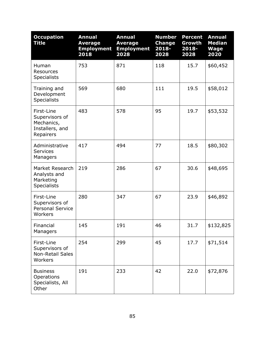| <b>Occupation</b><br><b>Title</b>                                          | <b>Annual</b><br><b>Average</b><br><b>Employment</b><br>2018 | <b>Annual</b><br><b>Average</b><br><b>Employment</b><br>2028 | <b>Number</b><br><b>Change</b><br>2018-<br>2028 | <b>Percent</b><br>Growth<br>2018-<br>2028 | <b>Annual</b><br><b>Median</b><br><b>Wage</b><br>2020 |
|----------------------------------------------------------------------------|--------------------------------------------------------------|--------------------------------------------------------------|-------------------------------------------------|-------------------------------------------|-------------------------------------------------------|
| Human<br><b>Resources</b><br><b>Specialists</b>                            | 753                                                          | 871                                                          | 118                                             | 15.7                                      | \$60,452                                              |
| Training and<br>Development<br><b>Specialists</b>                          | 569                                                          | 680                                                          | 111                                             | 19.5                                      | \$58,012                                              |
| First-Line<br>Supervisors of<br>Mechanics,<br>Installers, and<br>Repairers | 483                                                          | 578                                                          | 95                                              | 19.7                                      | \$53,532                                              |
| Administrative<br><b>Services</b><br>Managers                              | 417                                                          | 494                                                          | 77                                              | 18.5                                      | \$80,302                                              |
| Market Research<br>Analysts and<br>Marketing<br><b>Specialists</b>         | 219                                                          | 286                                                          | 67                                              | 30.6                                      | \$48,695                                              |
| First-Line<br>Supervisors of<br><b>Personal Service</b><br>Workers         | 280                                                          | 347                                                          | 67                                              | 23.9                                      | \$46,892                                              |
| Financial<br>Managers                                                      | 145                                                          | 191                                                          | 46                                              | 31.7                                      | \$132,825                                             |
| First-Line<br>Supervisors of<br><b>Non-Retail Sales</b><br>Workers         | 254                                                          | 299                                                          | 45                                              | 17.7                                      | \$71,514                                              |
| <b>Business</b><br>Operations<br>Specialists, All<br>Other                 | 191                                                          | 233                                                          | 42                                              | 22.0                                      | \$72,876                                              |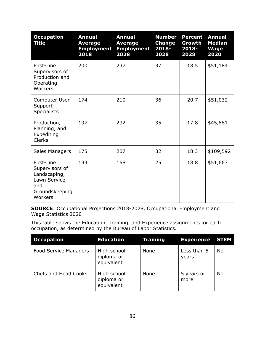| <b>Occupation</b><br><b>Title</b>                                                                 | <b>Annual</b><br><b>Average</b><br><b>Employment</b><br>2018 | <b>Annual</b><br><b>Average</b><br><b>Employment</b><br>2028 | <b>Number</b><br><b>Change</b><br>2018-<br>2028 | <b>Percent</b><br>Growth<br>$2018 -$<br>2028 | <b>Annual</b><br><b>Median</b><br><b>Wage</b><br>2020 |
|---------------------------------------------------------------------------------------------------|--------------------------------------------------------------|--------------------------------------------------------------|-------------------------------------------------|----------------------------------------------|-------------------------------------------------------|
| First-Line<br>Supervisors of<br>Production and<br>Operating<br>Workers                            | 200                                                          | 237                                                          | 37                                              | 18.5                                         | \$51,184                                              |
| Computer User<br>Support<br><b>Specialists</b>                                                    | 174                                                          | 210                                                          | 36                                              | 20.7                                         | \$51,032                                              |
| Production,<br>Planning, and<br>Expediting<br><b>Clerks</b>                                       | 197                                                          | 232                                                          | 35                                              | 17.8                                         | \$45,881                                              |
| Sales Managers                                                                                    | 175                                                          | 207                                                          | 32                                              | 18.3                                         | \$109,592                                             |
| First-Line<br>Supervisors of<br>Landscaping,<br>Lawn Service,<br>and<br>Groundskeeping<br>Workers | 133                                                          | 158                                                          | 25                                              | 18.8                                         | \$51,663                                              |

**SOURCE**: Occupational Projections 2018-2028, Occupational Employment and Wage Statistics 2020

This table shows the Education, Training, and Experience assignments for each occupation, as determined by the Bureau of Labor Statistics.

| <b>Occupation</b>            | <b>Education</b>                        | <b>Training</b> | <b>Experience STEM</b> |    |
|------------------------------|-----------------------------------------|-----------------|------------------------|----|
| <b>Food Service Managers</b> | High school<br>diploma or<br>equivalent | None            | Less than 5<br>years   | No |
| Chefs and Head Cooks         | High school<br>diploma or<br>equivalent | <b>None</b>     | 5 years or<br>more     | No |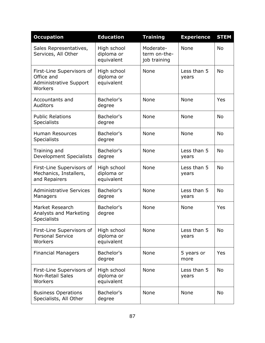| <b>Occupation</b>                                                                   | <b>Education</b>                        | <b>Training</b>                           | <b>Experience</b>    | <b>STEM</b> |
|-------------------------------------------------------------------------------------|-----------------------------------------|-------------------------------------------|----------------------|-------------|
| Sales Representatives,<br>Services, All Other                                       | High school<br>diploma or<br>equivalent | Moderate-<br>term on-the-<br>job training | None                 | <b>No</b>   |
| First-Line Supervisors of<br>Office and<br><b>Administrative Support</b><br>Workers | High school<br>diploma or<br>equivalent | None                                      | Less than 5<br>years | <b>No</b>   |
| Accountants and<br>Auditors                                                         | Bachelor's<br>degree                    | None                                      | None                 | Yes         |
| <b>Public Relations</b><br><b>Specialists</b>                                       | Bachelor's<br>degree                    | <b>None</b>                               | None                 | <b>No</b>   |
| <b>Human Resources</b><br><b>Specialists</b>                                        | Bachelor's<br>degree                    | None                                      | None                 | <b>No</b>   |
| Training and<br><b>Development Specialists</b>                                      | Bachelor's<br>degree                    | None                                      | Less than 5<br>years | <b>No</b>   |
| First-Line Supervisors of<br>Mechanics, Installers,<br>and Repairers                | High school<br>diploma or<br>equivalent | None                                      | Less than 5<br>years | <b>No</b>   |
| <b>Administrative Services</b><br>Managers                                          | Bachelor's<br>degree                    | None                                      | Less than 5<br>years | <b>No</b>   |
| Market Research<br>Analysts and Marketing<br><b>Specialists</b>                     | Bachelor's<br>degree                    | None                                      | <b>None</b>          | Yes         |
| First-Line Supervisors of<br><b>Personal Service</b><br>Workers                     | High school<br>diploma or<br>equivalent | None                                      | Less than 5<br>years | No          |
| <b>Financial Managers</b>                                                           | Bachelor's<br>degree                    | None                                      | 5 years or<br>more   | Yes         |
| First-Line Supervisors of<br><b>Non-Retail Sales</b><br>Workers                     | High school<br>diploma or<br>equivalent | None                                      | Less than 5<br>years | No          |
| <b>Business Operations</b><br>Specialists, All Other                                | Bachelor's<br>degree                    | None                                      | None                 | No          |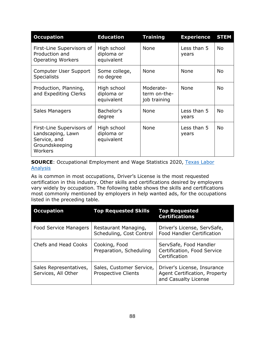| <b>Occupation</b>                                                                           | <b>Education</b>                        | <b>Training</b>                           | <b>Experience</b>    | <b>STEM</b> |
|---------------------------------------------------------------------------------------------|-----------------------------------------|-------------------------------------------|----------------------|-------------|
| First-Line Supervisors of<br>Production and<br><b>Operating Workers</b>                     | High school<br>diploma or<br>equivalent | <b>None</b>                               | Less than 5<br>years | <b>No</b>   |
| Computer User Support<br><b>Specialists</b>                                                 | Some college,<br>no degree              | None                                      | <b>None</b>          | <b>No</b>   |
| Production, Planning,<br>and Expediting Clerks                                              | High school<br>diploma or<br>equivalent | Moderate-<br>term on-the-<br>job training | None                 | <b>No</b>   |
| Sales Managers                                                                              | Bachelor's<br>degree                    | None                                      | Less than 5<br>years | <b>No</b>   |
| First-Line Supervisors of<br>Landscaping, Lawn<br>Service, and<br>Groundskeeping<br>Workers | High school<br>diploma or<br>equivalent | None                                      | Less than 5<br>years | <b>No</b>   |

**SOURCE:** Occupational Employment and Wage Statistics 2020, Texas Labor **[Analysis](https://texaslaboranalysis.com/)** 

As is common in most occupations, Driver's License is the most requested certification in this industry. Other skills and certifications desired by employers vary widely by occupation. The following table shows the skills and certifications most commonly mentioned by employers in help wanted ads, for the occupations listed in the preceding table.

| <b>Occupation</b>                             | <b>Top Requested Skills</b>                      | <b>Top Requested</b><br><b>Certifications</b>                                        |
|-----------------------------------------------|--------------------------------------------------|--------------------------------------------------------------------------------------|
| <b>Food Service Managers</b>                  | Restaurant Managing,<br>Scheduling, Cost Control | Driver's License, ServSafe,<br><b>Food Handler Certification</b>                     |
| <b>Chefs and Head Cooks</b>                   | Cooking, Food<br>Preparation, Scheduling         | ServSafe, Food Handler<br>Certification, Food Service<br>Certification               |
| Sales Representatives,<br>Services, All Other | Sales, Customer Service,<br>Prospective Clients  | Driver's License, Insurance<br>Agent Certification, Property<br>and Casualty License |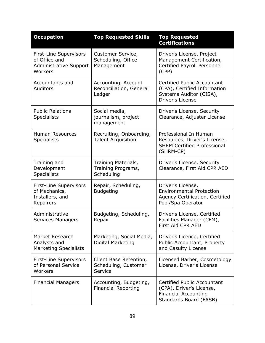| <b>Occupation</b>                                                                          | <b>Top Requested Skills</b>                               | <b>Top Requested</b><br><b>Certifications</b>                                                                           |
|--------------------------------------------------------------------------------------------|-----------------------------------------------------------|-------------------------------------------------------------------------------------------------------------------------|
| <b>First-Line Supervisors</b><br>of Office and<br><b>Administrative Support</b><br>Workers | Customer Service,<br>Scheduling, Office<br>Management     | Driver's License, Project<br>Management Certification,<br>Certified Payroll Personnel<br>(CPP)                          |
| Accountants and<br><b>Auditors</b>                                                         | Accounting, Account<br>Reconciliation, General<br>Ledger  | Certified Public Accountant<br>(CPA), Certified Information<br>Systems Auditor (CISA),<br><b>Driver's License</b>       |
| <b>Public Relations</b><br><b>Specialists</b>                                              | Social media,<br>journalism, project<br>management        | Driver's License, Security<br>Clearance, Adjuster License                                                               |
| <b>Human Resources</b><br><b>Specialists</b>                                               | Recruiting, Onboarding,<br><b>Talent Acquisition</b>      | Professional In Human<br>Resources, Driver's License,<br><b>SHRM Certified Professional</b><br>(SHRM-CP)                |
| Training and<br>Development<br><b>Specialists</b>                                          | Training Materials,<br>Training Programs,<br>Scheduling   | Driver's License, Security<br>Clearance, First Aid CPR AED                                                              |
| <b>First-Line Supervisors</b><br>of Mechanics,<br>Installers, and<br>Repairers             | Repair, Scheduling,<br><b>Budgeting</b>                   | Driver's License,<br><b>Environmental Protection</b><br>Agency Certification, Certified<br>Pool/Spa Operator            |
| Administrative<br>Services Managers                                                        | Budgeting, Scheduling,<br>Repair                          | Driver's License, Certified<br>Facilities Manager (CFM),<br>First Aid CPR AED                                           |
| Market Research<br>Analysts and<br><b>Marketing Specialists</b>                            | Marketing, Social Media,<br>Digital Marketing             | Driver's Licence, Certified<br>Public Accountant, Property<br>and Casulty License                                       |
| <b>First-Line Supervisors</b><br>of Personal Service<br>Workers                            | Client Base Retention,<br>Scheduling, Customer<br>Service | Licensed Barber, Cosmetology<br>License, Driver's License                                                               |
| <b>Financial Managers</b>                                                                  | Accounting, Budgeting,<br><b>Financial Reporting</b>      | <b>Certified Public Accountant</b><br>(CPA), Driver's License,<br><b>Financial Accounting</b><br>Standards Board (FASB) |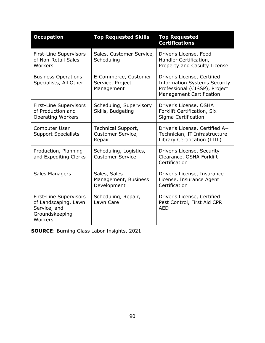| <b>Occupation</b>                                                                                  | <b>Top Requested Skills</b>                            | <b>Top Requested</b><br><b>Certifications</b>                                                                                          |
|----------------------------------------------------------------------------------------------------|--------------------------------------------------------|----------------------------------------------------------------------------------------------------------------------------------------|
| <b>First-Line Supervisors</b><br>of Non-Retail Sales<br>Workers                                    | Sales, Customer Service,<br>Scheduling                 | Driver's License, Food<br>Handler Certification,<br>Property and Casulty License                                                       |
| <b>Business Operations</b><br>Specialists, All Other                                               | E-Commerce, Customer<br>Service, Project<br>Management | Driver's License, Certified<br><b>Information Systems Security</b><br>Professional (CISSP), Project<br><b>Management Certification</b> |
| <b>First-Line Supervisors</b><br>of Production and<br><b>Operating Workers</b>                     | Scheduling, Supervisory<br>Skills, Budgeting           | Driver's License, OSHA<br>Forklift Certification, Six<br>Sigma Certification                                                           |
| Computer User<br><b>Support Specialists</b>                                                        | Technical Support,<br>Customer Service,<br>Repair      | Driver's License, Certified A+<br>Technician, IT Infrastructure<br>Library Certification (ITIL)                                        |
| Production, Planning<br>and Expediting Clerks                                                      | Scheduling, Logistics,<br><b>Customer Service</b>      | Driver's License, Security<br>Clearance, OSHA Forklift<br>Certification                                                                |
| Sales Managers                                                                                     | Sales, Sales<br>Management, Business<br>Development    | Driver's License, Insurance<br>License, Insurance Agent<br>Certification                                                               |
| <b>First-Line Supervisors</b><br>of Landscaping, Lawn<br>Service, and<br>Groundskeeping<br>Workers | Scheduling, Repair,<br>Lawn Care                       | Driver's License, Certified<br>Pest Control, First Aid CPR<br><b>AED</b>                                                               |

**SOURCE**: Burning Glass Labor Insights, 2021.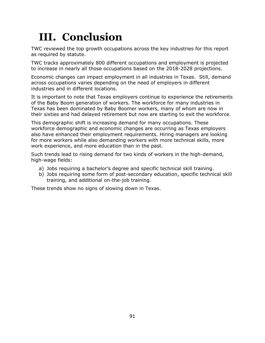## **III. Conclusion**

TWC reviewed the top growth occupations across the key industries for this report as required by statute.

TWC tracks approximately 800 different occupations and employment is projected to increase in nearly all those occupations based on the 2018-2028 projections.

Economic changes can impact employment in all industries in Texas. Still, demand across occupations varies depending on the need of employers in different industries and in different locations.

It is important to note that Texas employers continue to experience the retirements of the Baby Boom generation of workers. The workforce for many industries in Texas has been dominated by Baby Boomer workers, many of whom are now in their sixties and had delayed retirement but now are starting to exit the workforce.

This demographic shift is increasing demand for many occupations. These workforce demographic and economic changes are occurring as Texas employers also have enhanced their employment requirements. Hiring managers are looking for more workers while also demanding workers with more technical skills, more work experience, and more education than in the past.

Such trends lead to rising demand for two kinds of workers in the high-demand, high-wage fields:

- a) Jobs requiring a bachelor's degree and specific technical skill training.
- b) Jobs requiring some form of post-secondary education, specific technical skill training, and additional on-the-job training.

These trends show no signs of slowing down in Texas.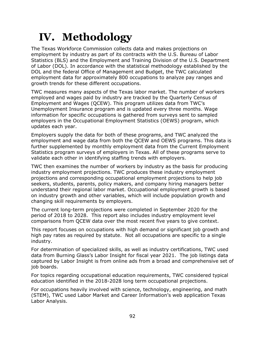## **IV. Methodology**

The Texas Workforce Commission collects data and makes projections on employment by industry as part of its contracts with the U.S. Bureau of Labor Statistics (BLS) and the Employment and Training Division of the U.S. Department of Labor (DOL). In accordance with the statistical methodology established by the DOL and the federal Office of Management and Budget, the TWC calculated employment data for approximately 800 occupations to analyze pay ranges and growth trends for these different occupations.

TWC measures many aspects of the Texas labor market. The number of workers employed and wages paid by industry are tracked by the Quarterly Census of Employment and Wages (QCEW). This program utilizes data from TWC's Unemployment Insurance program and is updated every three months. Wage information for specific occupations is gathered from surveys sent to sampled employers in the Occupational Employment Statistics (OEWS) program, which updates each year.

Employers supply the data for both of these programs, and TWC analyzed the employment and wage data from both the QCEW and OEWS programs. This data is further supplemented by monthly employment data from the Current Employment Statistics program surveys of employers in Texas. All of these programs serve to validate each other in identifying staffing trends with employers.

TWC then examines the number of workers by industry as the basis for producing industry employment projections. TWC produces these industry employment projections and corresponding occupational employment projections to help job seekers, students, parents, policy makers, and company hiring managers better understand their regional labor market. Occupational employment growth is based on industry growth and other variables, which will include population growth and changing skill requirements by employers.

The current long-term projections were completed in September 2020 for the period of 2018 to 2028. This report also includes industry employment level comparisons from QCEW data over the most recent five years to give context.

This report focuses on occupations with high demand or significant job growth and high pay rates as required by statute. Not all occupations are specific to a single industry.

For determination of specialized skills, as well as industry certifications, TWC used data from Burning Glass's Labor Insight for fiscal year 2021. The job listings data captured by Labor Insight is from online ads from a broad and comprehensive set of job boards.

For topics regarding occupational education requirements, TWC considered typical education identified in the 2018-2028 long term occupational projections.

For occupations heavily involved with science, technology, engineering, and math (STEM), TWC used Labor Market and Career Information's web application Texas Labor Analysis.